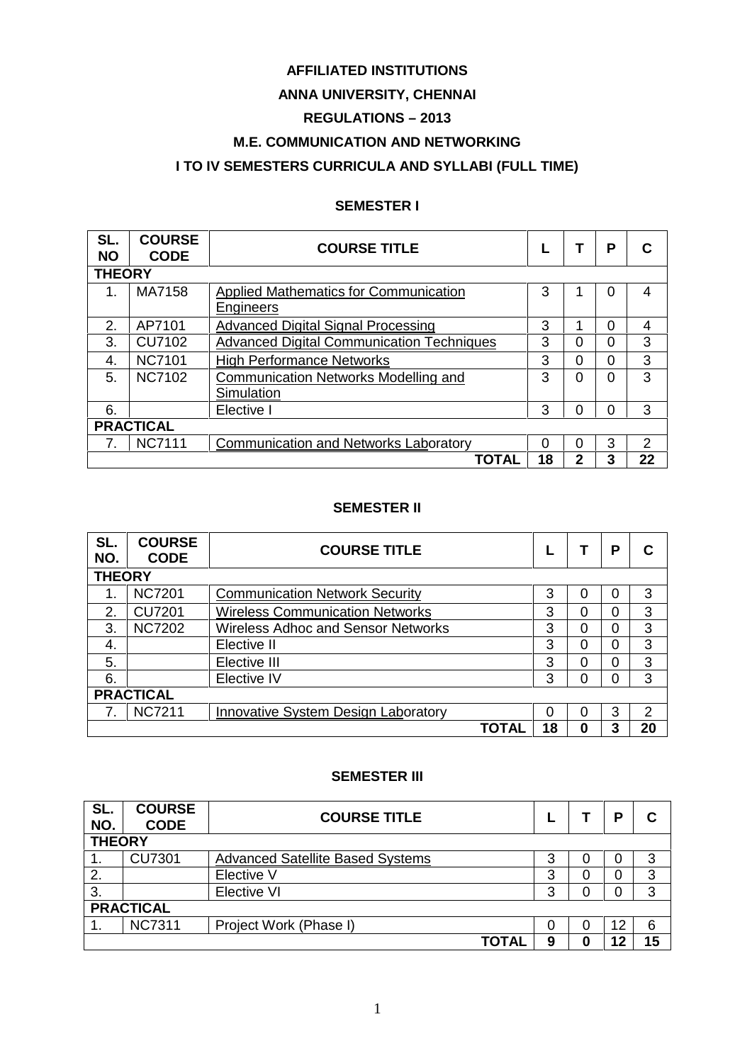#### **AFFILIATED INSTITUTIONS**

# **ANNA UNIVERSITY, CHENNAI**

# **REGULATIONS – 2013**

#### **M.E. COMMUNICATION AND NETWORKING**

# **I TO IV SEMESTERS CURRICULA AND SYLLABI (FULL TIME)**

# **SEMESTER I**

| SL.<br><b>NO</b> | <b>COURSE</b><br><b>CODE</b> | <b>COURSE TITLE</b>                                |    |              | P        | С  |  |  |
|------------------|------------------------------|----------------------------------------------------|----|--------------|----------|----|--|--|
| <b>THEORY</b>    |                              |                                                    |    |              |          |    |  |  |
| 1.               | MA7158                       | Applied Mathematics for Communication<br>Engineers | 3  |              | $\Omega$ | 4  |  |  |
| 2.               | AP7101                       | <b>Advanced Digital Signal Processing</b>          | 3  |              | $\Omega$ | 4  |  |  |
| 3.               | <b>CU7102</b>                | <b>Advanced Digital Communication Techniques</b>   | 3  | $\Omega$     | $\Omega$ | 3  |  |  |
| 4.               | <b>NC7101</b>                | <b>High Performance Networks</b>                   | 3  | 0            | 0        | 3  |  |  |
| 5.               | <b>NC7102</b>                | Communication Networks Modelling and<br>Simulation | 3  | $\Omega$     | $\Omega$ | 3  |  |  |
| 6.               |                              | Elective I                                         | 3  | 0            | 0        | 3  |  |  |
|                  | <b>PRACTICAL</b>             |                                                    |    |              |          |    |  |  |
| 7.               | <b>NC7111</b>                | <b>Communication and Networks Laboratory</b>       | 0  | 0            | 3        | 2  |  |  |
|                  |                              | TOTAL                                              | 18 | $\mathbf{2}$ | 3        | 22 |  |  |

#### **SEMESTER II**

| SL.<br>NO.       | <b>COURSE</b><br><b>CODE</b> | <b>COURSE TITLE</b>                        |    |   | Р | С  |  |  |
|------------------|------------------------------|--------------------------------------------|----|---|---|----|--|--|
| <b>THEORY</b>    |                              |                                            |    |   |   |    |  |  |
|                  | <b>NC7201</b>                | <b>Communication Network Security</b>      | 3  | 0 |   | 3  |  |  |
| 2.               | <b>CU7201</b>                | <b>Wireless Communication Networks</b>     | 3  | 0 | 0 | 3  |  |  |
| 3.               | <b>NC7202</b>                | <b>Wireless Adhoc and Sensor Networks</b>  | 3  | 0 | 0 | 3  |  |  |
| 4.               |                              | Elective II                                | 3  | 0 | 0 | 3  |  |  |
| 5.               |                              | Elective III                               | 3  | 0 | 0 | 3  |  |  |
| 6.               |                              | Elective IV                                | 3  | 0 | 0 | 3  |  |  |
| <b>PRACTICAL</b> |                              |                                            |    |   |   |    |  |  |
|                  | <b>NC7211</b>                | <b>Innovative System Design Laboratory</b> | 0  | 0 | 3 | 2  |  |  |
|                  |                              | TOTAL                                      | 18 | 0 | 3 | 20 |  |  |

#### **SEMESTER III**

| SL.<br>NO. | <b>COURSE</b><br><b>CODE</b> | <b>COURSE TITLE</b>                     |   |   | D  | С  |  |  |  |  |  |
|------------|------------------------------|-----------------------------------------|---|---|----|----|--|--|--|--|--|
|            | <b>THEORY</b>                |                                         |   |   |    |    |  |  |  |  |  |
| 1.         | <b>CU7301</b>                | <b>Advanced Satellite Based Systems</b> | 3 | 0 |    | 3  |  |  |  |  |  |
| 2.         |                              | Elective V                              | 3 | 0 |    | 3  |  |  |  |  |  |
| 3.         |                              | <b>Elective VI</b>                      | 3 | 0 |    | 3  |  |  |  |  |  |
|            | <b>PRACTICAL</b>             |                                         |   |   |    |    |  |  |  |  |  |
|            | <b>NC7311</b>                | Project Work (Phase I)                  | 0 | 0 | 12 | 6  |  |  |  |  |  |
|            |                              | TOTAL                                   | 9 | 0 | 12 | 15 |  |  |  |  |  |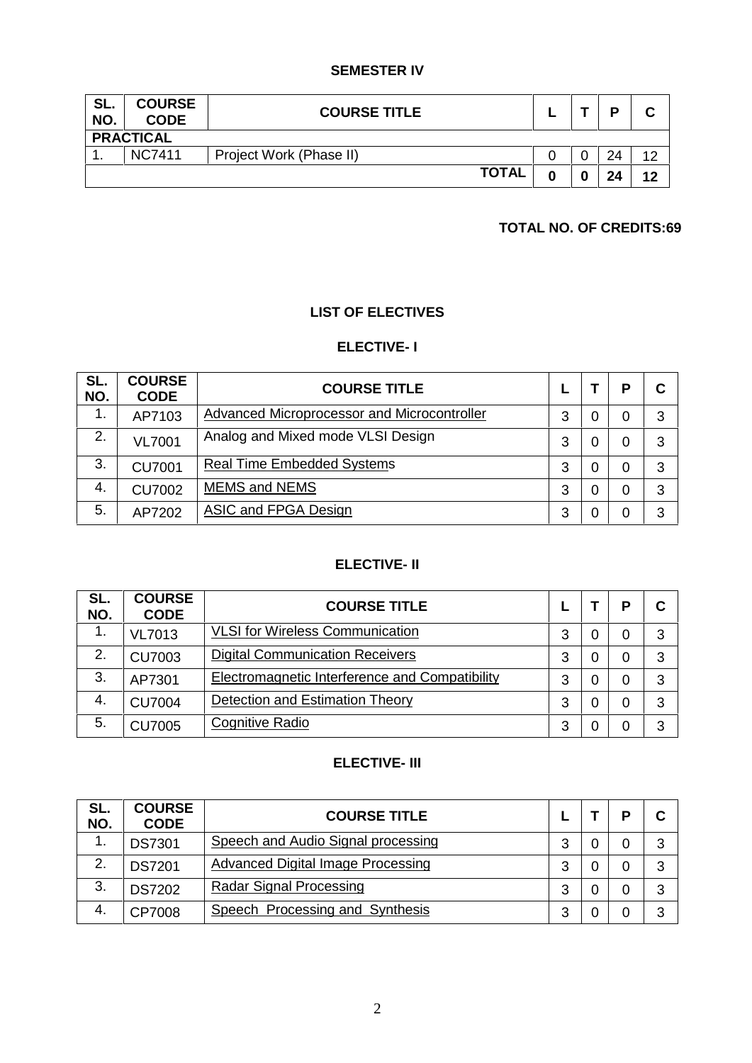# **SEMESTER IV**

| SL.<br>NO. | <b>COURSE</b><br><b>CODE</b> | <b>COURSE TITLE</b>     | - |   | D  | v  |
|------------|------------------------------|-------------------------|---|---|----|----|
|            | <b>PRACTICAL</b>             |                         |   |   |    |    |
| . .        | <b>NC7411</b>                | Project Work (Phase II) |   |   | 24 | 12 |
|            |                              | TOTAL                   |   | 0 | 24 | 12 |

# **TOTAL NO. OF CREDITS:69**

# **LIST OF ELECTIVES**

# **ELECTIVE- I**

| SL.<br>NO. | <b>COURSE</b><br><b>CODE</b> | <b>COURSE TITLE</b>                         |   |   | P | C |
|------------|------------------------------|---------------------------------------------|---|---|---|---|
| 1.         | AP7103                       | Advanced Microprocessor and Microcontroller | 3 | 0 | 0 | 3 |
| 2.         | <b>VL7001</b>                | Analog and Mixed mode VLSI Design           | 3 | 0 | 0 | 3 |
| 3.         | <b>CU7001</b>                | <b>Real Time Embedded Systems</b>           | 3 | 0 | 0 | 3 |
| -4.        | <b>CU7002</b>                | <b>MEMS and NEMS</b>                        | 3 | 0 | 0 | 3 |
| 5.         | AP7202                       | ASIC and FPGA Design                        | 3 | O | 0 | 3 |

# **ELECTIVE- II**

| SL.<br>NO. | <b>COURSE</b><br><b>CODE</b> | <b>COURSE TITLE</b>                            |   |   | D | С |
|------------|------------------------------|------------------------------------------------|---|---|---|---|
|            | <b>VL7013</b>                | <b>VLSI</b> for Wireless Communication         | 3 | O | 0 | 3 |
| 2.         | <b>CU7003</b>                | <b>Digital Communication Receivers</b>         | 3 | 0 | 0 | 3 |
| 3.         | AP7301                       | Electromagnetic Interference and Compatibility | 3 | C | 0 | 3 |
| 4.         | <b>CU7004</b>                | <b>Detection and Estimation Theory</b>         | 3 | C | 0 | 3 |
| -5.        | <b>CU7005</b>                | Cognitive Radio                                | 3 |   |   | 3 |

# **ELECTIVE- III**

| SL.<br>NO. | <b>COURSE</b><br><b>CODE</b> | <b>COURSE TITLE</b>                |   | D | С |
|------------|------------------------------|------------------------------------|---|---|---|
|            | <b>DS7301</b>                | Speech and Audio Signal processing | າ |   | 3 |
| 2.         | <b>DS7201</b>                | Advanced Digital Image Processing  | ຊ |   | 3 |
| 3.         | <b>DS7202</b>                | Radar Signal Processing            | ຊ |   | 3 |
| 4.         | CP7008                       | Speech Processing and Synthesis    |   |   | 3 |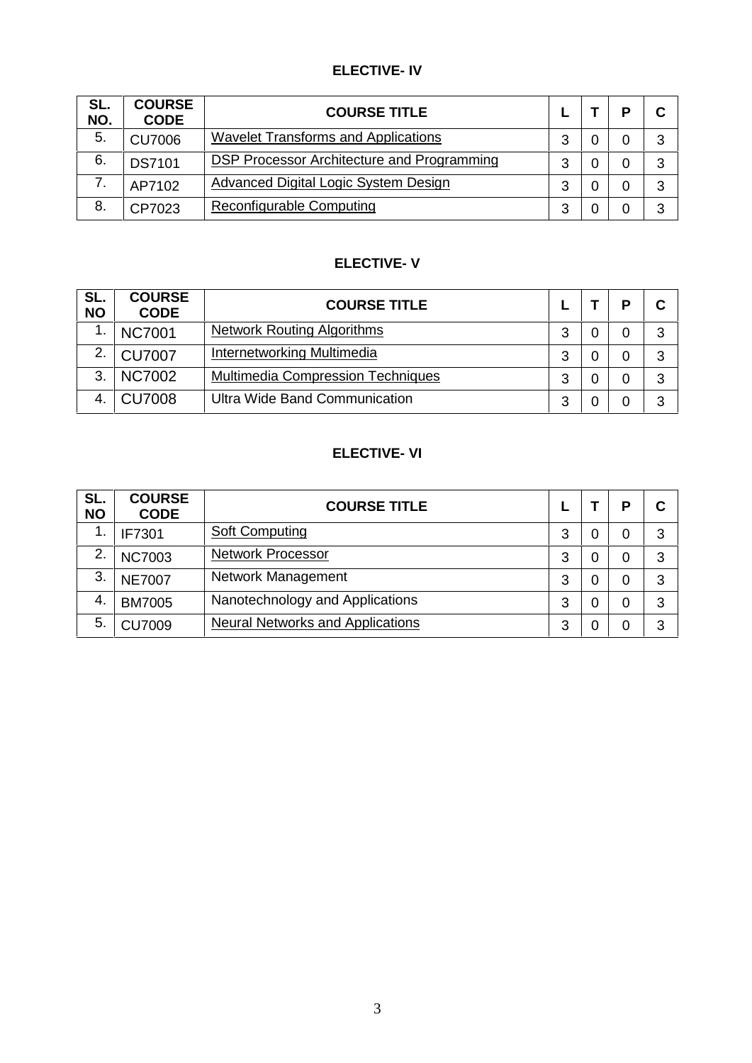# **ELECTIVE- IV**

| SL.<br>NO. | <b>COURSE</b><br><b>CODE</b> | <b>COURSE TITLE</b>                        |   | D | С |
|------------|------------------------------|--------------------------------------------|---|---|---|
| 5.         | <b>CU7006</b>                | <b>Wavelet Transforms and Applications</b> | າ | 0 | 3 |
| 6.         | <b>DS7101</b>                | DSP Processor Architecture and Programming | ว |   | 3 |
| 7          | AP7102                       | Advanced Digital Logic System Design       | 3 |   | 3 |
| 8.         | CP7023                       | Reconfigurable Computing                   | າ |   | 3 |

# **ELECTIVE- V**

| SL.<br><b>NO</b> | <b>COURSE</b><br><b>CODE</b> | <b>COURSE TITLE</b>                      |   | D | C |
|------------------|------------------------------|------------------------------------------|---|---|---|
| и                | <b>NC7001</b>                | <b>Network Routing Algorithms</b>        | າ | 0 | 3 |
| 2.               | <b>CU7007</b>                | Internetworking Multimedia               | າ |   | 3 |
| 3                | <b>NC7002</b>                | <b>Multimedia Compression Techniques</b> | າ | 0 | 3 |
|                  | <b>CU7008</b>                | Ultra Wide Band Communication            | າ |   | 3 |

# **ELECTIVE- VI**

| SL.<br><b>NO</b> | <b>COURSE</b><br><b>CODE</b> | <b>COURSE TITLE</b>                     |   |   | D | C |
|------------------|------------------------------|-----------------------------------------|---|---|---|---|
|                  | IF7301                       | <b>Soft Computing</b>                   | 3 | O | 0 | 3 |
| 2.               | <b>NC7003</b>                | <b>Network Processor</b>                | 3 | O | 0 | 3 |
| 3.               | <b>NE7007</b>                | Network Management                      | 3 | 0 | 0 | 3 |
| -4.              | <b>BM7005</b>                | Nanotechnology and Applications         | 3 | 0 | 0 | 3 |
| 5                | <b>CU7009</b>                | <b>Neural Networks and Applications</b> | 3 | O |   | 3 |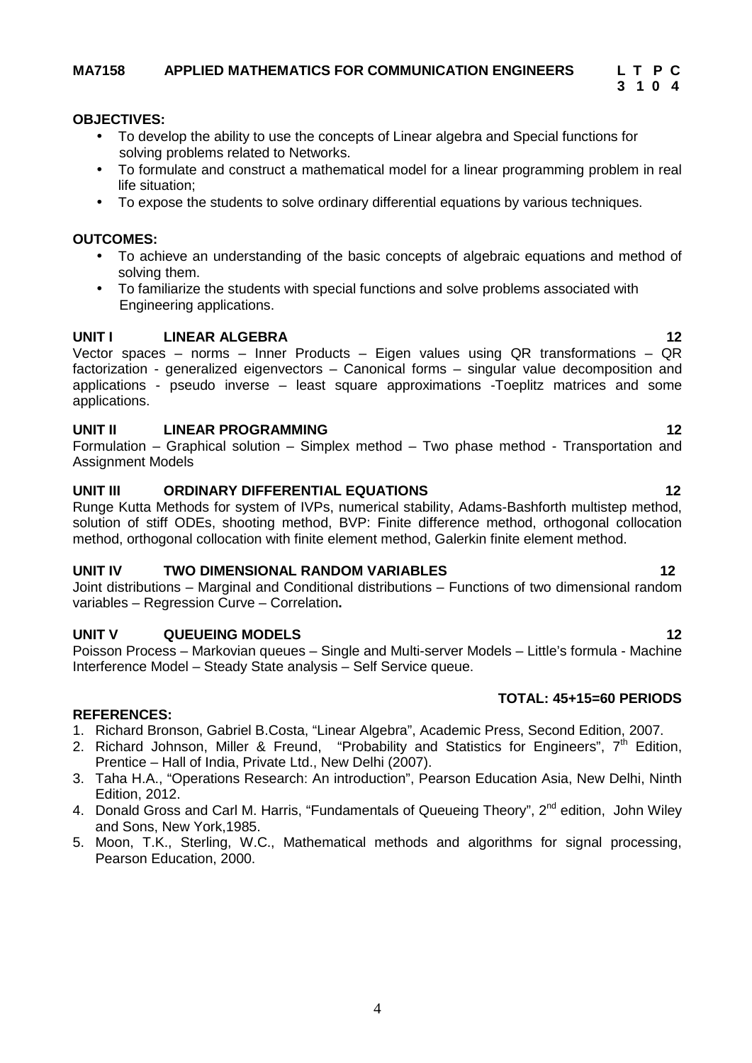#### **MA7158 APPLIED MATHEMATICS FOR COMMUNICATION ENGINEERS L T P C**

#### **OBJECTIVES:**

- To develop the ability to use the concepts of Linear algebra and Special functions for solving problems related to Networks.
- To formulate and construct a mathematical model for a linear programming problem in real life situation;
- To expose the students to solve ordinary differential equations by various techniques.

#### **OUTCOMES:**

- To achieve an understanding of the basic concepts of algebraic equations and method of solving them.
- To familiarize the students with special functions and solve problems associated with Engineering applications.

#### **UNIT I LINEAR ALGEBRA 12**

Vector spaces – norms – Inner Products – Eigen values using QR transformations – QR factorization - generalized eigenvectors – Canonical forms – singular value decomposition and applications - pseudo inverse – least square approximations -Toeplitz matrices and some applications.

#### **UNIT II LINEAR PROGRAMMING 12**

Formulation – Graphical solution – Simplex method – Two phase method - Transportation and Assignment Models

#### **UNIT III ORDINARY DIFFERENTIAL EQUATIONS 12**

Runge Kutta Methods for system of IVPs, numerical stability, Adams-Bashforth multistep method, solution of stiff ODEs, shooting method, BVP: Finite difference method, orthogonal collocation method, orthogonal collocation with finite element method, Galerkin finite element method.

#### **UNIT IV TWO DIMENSIONAL RANDOM VARIABLES 12**

Joint distributions – Marginal and Conditional distributions – Functions of two dimensional random variables – Regression Curve – Correlation**.**

#### **UNIT V QUEUEING MODELS 12**

Poisson Process – Markovian queues – Single and Multi-server Models – Little's formula - Machine Interference Model – Steady State analysis – Self Service queue.

# **TOTAL: 45+15=60 PERIODS**

- 1. Richard Bronson, Gabriel B.Costa, "Linear Algebra", Academic Press, Second Edition, 2007.
- 2. Richard Johnson, Miller & Freund, "Probability and Statistics for Engineers",  $7<sup>th</sup>$  Edition, Prentice – Hall of India, Private Ltd., New Delhi (2007).
- 3. Taha H.A., "Operations Research: An introduction", Pearson Education Asia, New Delhi, Ninth Edition, 2012.
- 4. Donald Gross and Carl M. Harris, "Fundamentals of Queueing Theory", 2<sup>nd</sup> edition, John Wiley and Sons, New York,1985.
- 5. Moon, T.K., Sterling, W.C., Mathematical methods and algorithms for signal processing, Pearson Education, 2000.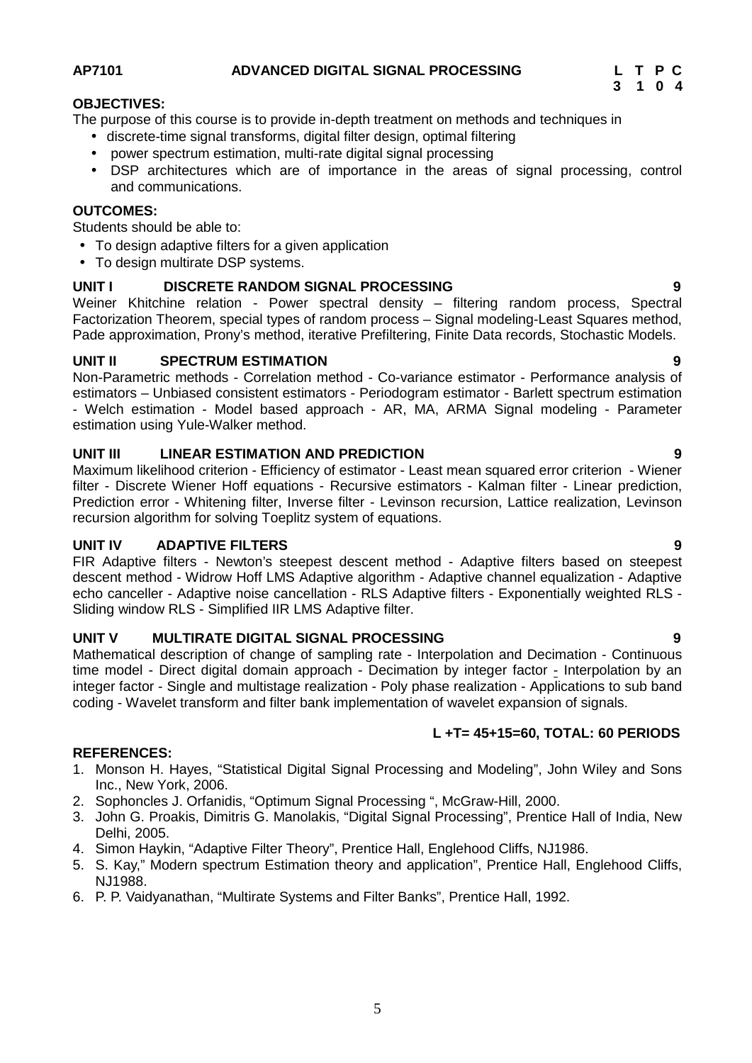### **AP7101 ADVANCED DIGITAL SIGNAL PROCESSING L T P C**

#### **OBJECTIVES:**

The purpose of this course is to provide in-depth treatment on methods and techniques in

- discrete-time signal transforms, digital filter design, optimal filtering
- power spectrum estimation, multi-rate digital signal processing
- DSP architectures which are of importance in the areas of signal processing, control and communications.

#### **OUTCOMES:**

Students should be able to:

- To design adaptive filters for a given application
- To design multirate DSP systems.

#### **UNIT I DISCRETE RANDOM SIGNAL PROCESSING 9**

Weiner Khitchine relation - Power spectral density – filtering random process, Spectral Factorization Theorem, special types of random process – Signal modeling-Least Squares method, Pade approximation, Prony's method, iterative Prefiltering, Finite Data records, Stochastic Models.

#### **UNIT II SPECTRUM ESTIMATION 9**

Non-Parametric methods - Correlation method - Co-variance estimator - Performance analysis of estimators – Unbiased consistent estimators - Periodogram estimator - Barlett spectrum estimation - Welch estimation - Model based approach - AR, MA, ARMA Signal modeling - Parameter estimation using Yule-Walker method.

#### **UNIT III LINEAR ESTIMATION AND PREDICTION 9**

Maximum likelihood criterion - Efficiency of estimator - Least mean squared error criterion - Wiener filter - Discrete Wiener Hoff equations - Recursive estimators - Kalman filter - Linear prediction, Prediction error - Whitening filter, Inverse filter - Levinson recursion, Lattice realization, Levinson recursion algorithm for solving Toeplitz system of equations.

#### **UNIT IV ADAPTIVE FILTERS 9**

FIR Adaptive filters - Newton's steepest descent method - Adaptive filters based on steepest descent method - Widrow Hoff LMS Adaptive algorithm - Adaptive channel equalization - Adaptive echo canceller - Adaptive noise cancellation - RLS Adaptive filters - Exponentially weighted RLS - Sliding window RLS - Simplified IIR LMS Adaptive filter.

#### **UNIT V MULTIRATE DIGITAL SIGNAL PROCESSING 9**

Mathematical description of change of sampling rate - Interpolation and Decimation - Continuous time model - Direct digital domain approach - Decimation by integer factor - Interpolation by an integer factor - Single and multistage realization - Poly phase realization - Applications to sub band coding - Wavelet transform and filter bank implementation of wavelet expansion of signals.

#### **L +T= 45+15=60, TOTAL: 60 PERIODS**

- 1. Monson H. Hayes, "Statistical Digital Signal Processing and Modeling", John Wiley and Sons Inc., New York, 2006.
- 2. Sophoncles J. Orfanidis, "Optimum Signal Processing ", McGraw-Hill, 2000.
- 3. John G. Proakis, Dimitris G. Manolakis, "Digital Signal Processing", Prentice Hall of India, New Delhi, 2005.
- 4. Simon Haykin, "Adaptive Filter Theory", Prentice Hall, Englehood Cliffs, NJ1986.
- 5. S. Kay," Modern spectrum Estimation theory and application", Prentice Hall, Englehood Cliffs, NJ1988.
- 6. P. P. Vaidyanathan, "Multirate Systems and Filter Banks", Prentice Hall, 1992.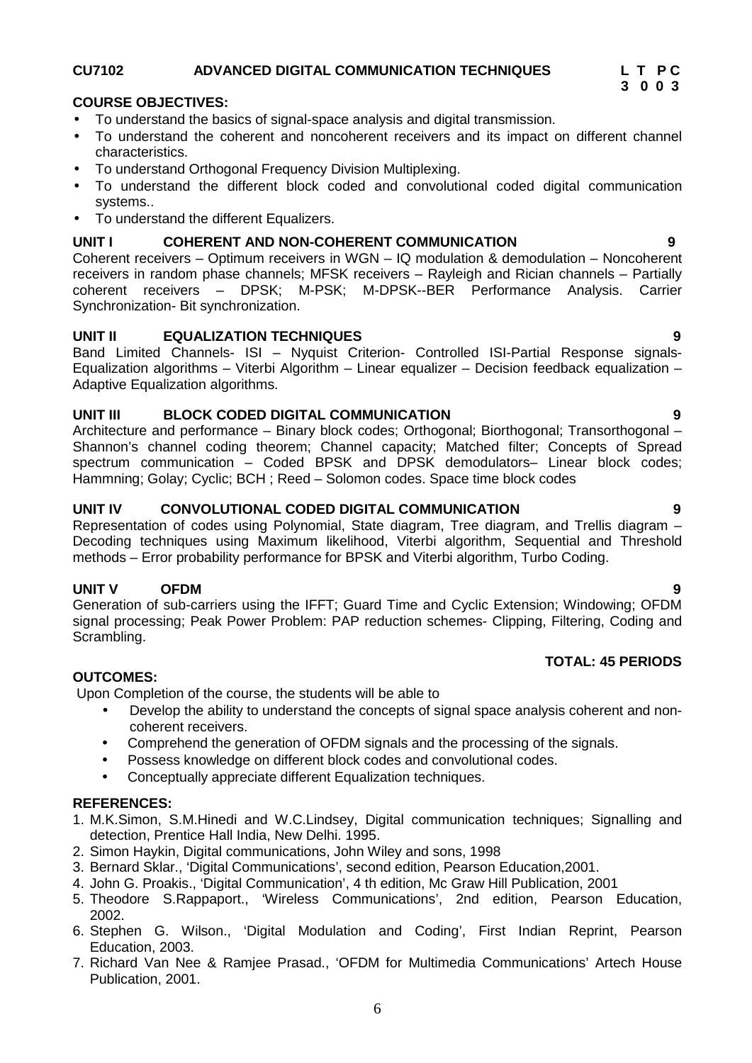# **CU7102 ADVANCED DIGITAL COMMUNICATION TECHNIQUES L T P C**

**COURSE OBJECTIVES:**

- To understand the basics of signal-space analysis and digital transmission.
- To understand the coherent and noncoherent receivers and its impact on different channel characteristics.
- To understand Orthogonal Frequency Division Multiplexing.
- To understand the different block coded and convolutional coded digital communication systems..
- To understand the different Equalizers.

### **UNIT I COHERENT AND NON-COHERENT COMMUNICATION 9**

Coherent receivers – Optimum receivers in WGN – IQ modulation & demodulation – Noncoherent receivers in random phase channels; MFSK receivers – Rayleigh and Rician channels – Partially coherent receivers – DPSK; M-PSK; M-DPSK--BER Performance Analysis. Carrier Synchronization- Bit synchronization.

#### **UNIT II EQUALIZATION TECHNIQUES 9**

Band Limited Channels- ISI – Nyquist Criterion- Controlled ISI-Partial Response signals- Equalization algorithms – Viterbi Algorithm – Linear equalizer – Decision feedback equalization – Adaptive Equalization algorithms.

### **UNIT III BLOCK CODED DIGITAL COMMUNICATION 9**

Architecture and performance – Binary block codes; Orthogonal; Biorthogonal; Transorthogonal – Shannon's channel coding theorem; Channel capacity; Matched filter; Concepts of Spread spectrum communication – Coded BPSK and DPSK demodulators– Linear block codes; Hammning; Golay; Cyclic; BCH ; Reed – Solomon codes. Space time block codes

### **UNIT IV CONVOLUTIONAL CODED DIGITAL COMMUNICATION 9**

Representation of codes using Polynomial, State diagram, Tree diagram, and Trellis diagram – Decoding techniques using Maximum likelihood, Viterbi algorithm, Sequential and Threshold methods – Error probability performance for BPSK and Viterbi algorithm, Turbo Coding.

**UNIT V OFDM 9** Generation of sub-carriers using the IFFT; Guard Time and Cyclic Extension; Windowing; OFDM signal processing; Peak Power Problem: PAP reduction schemes- Clipping, Filtering, Coding and Scrambling.

# **TOTAL: 45 PERIODS**

#### **OUTCOMES:**

Upon Completion of the course, the students will be able to

- Develop the ability to understand the concepts of signal space analysis coherent and non coherent receivers.
- Comprehend the generation of OFDM signals and the processing of the signals.
- Possess knowledge on different block codes and convolutional codes.
- Conceptually appreciate different Equalization techniques.

- 1. M.K.Simon, S.M.Hinedi and W.C.Lindsey, Digital communication techniques; Signalling and detection, Prentice Hall India, New Delhi. 1995.
- 2. Simon Haykin, Digital communications, John Wiley and sons, 1998
- 3. Bernard Sklar., 'Digital Communications', second edition, Pearson Education,2001.
- 4. John G. Proakis., 'Digital Communication', 4 th edition, Mc Graw Hill Publication, 2001
- 5. Theodore S.Rappaport., 'Wireless Communications', 2nd edition, Pearson Education, 2002.
- 6. Stephen G. Wilson., 'Digital Modulation and Coding', First Indian Reprint, Pearson Education, 2003.
- 7. Richard Van Nee & Ramjee Prasad., 'OFDM for Multimedia Communications' Artech House Publication, 2001.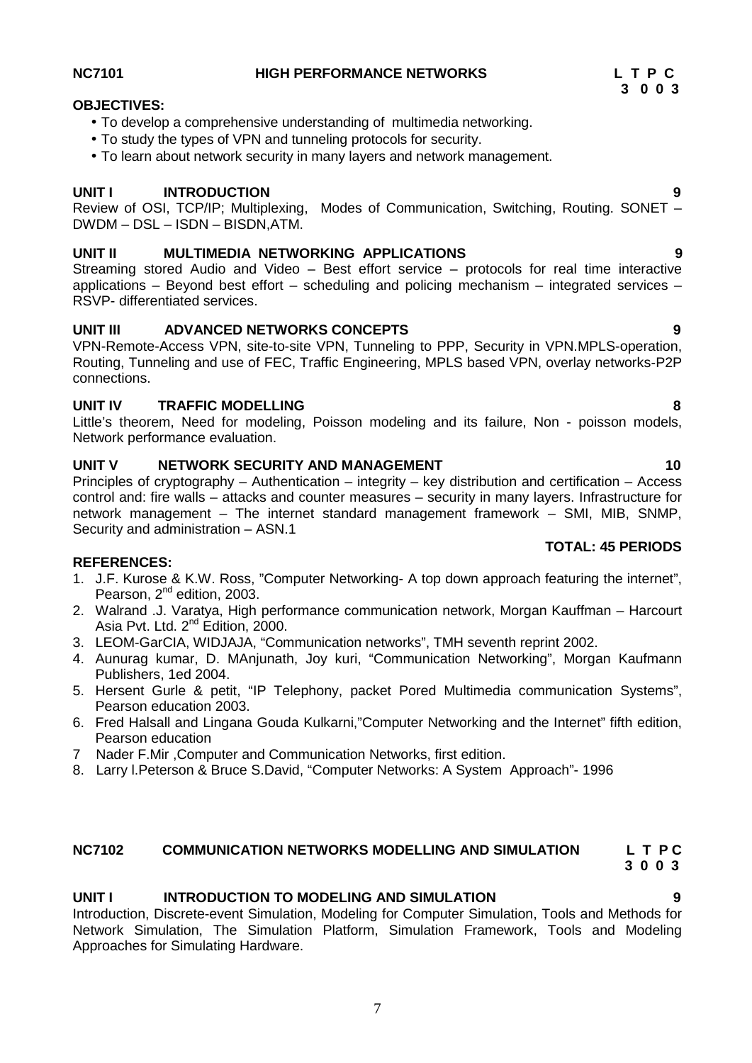### **NC7101 HIGH PERFORMANCE NETWORKS L T P C**

#### **OBJECTIVES:**

- To develop a comprehensive understanding of multimedia networking.
- To study the types of VPN and tunneling protocols for security.
- To learn about network security in many layers and network management.

#### **UNIT I INTRODUCTION 9**

Review of OSI, TCP/IP; Multiplexing, Modes of Communication, Switching, Routing. SONET – DWDM – DSL – ISDN – BISDN,ATM.

#### **UNIT II MULTIMEDIA NETWORKING APPLICATIONS 9**

Streaming stored Audio and Video – Best effort service – protocols for real time interactive applications – Beyond best effort – scheduling and policing mechanism – integrated services – RSVP- differentiated services.

### **UNIT III ADVANCED NETWORKS CONCEPTS 9**

VPN-Remote-Access VPN, site-to-site VPN, Tunneling to PPP, Security in VPN.MPLS-operation, Routing, Tunneling and use of FEC, Traffic Engineering, MPLS based VPN, overlay networks-P2P connections.

#### **UNIT IV TRAFFIC MODELLING 8**

Little's theorem, Need for modeling, Poisson modeling and its failure, Non - poisson models, Network performance evaluation.

### **UNIT V NETWORK SECURITY AND MANAGEMENT 10**

Principles of cryptography – Authentication – integrity – key distribution and certification – Access control and: fire walls – attacks and counter measures – security in many layers. Infrastructure for network management – The internet standard management framework – SMI, MIB, SNMP, Security and administration – ASN.1

#### **REFERENCES:**

- 1. J.F. Kurose & K.W. Ross, "Computer Networking- A top down approach featuring the internet", Pearson, 2<sup>nd</sup> edition, 2003.
- 2. Walrand .J. Varatya, High performance communication network, Morgan Kauffman Harcourt Asia Pvt. Ltd. 2<sup>nd</sup> Edition, 2000.
- 3. LEOM-GarCIA, WIDJAJA, "Communication networks", TMH seventh reprint 2002.
- 4. Aunurag kumar, D. MAnjunath, Joy kuri, "Communication Networking", Morgan Kaufmann Publishers, 1ed 2004.
- 5. Hersent Gurle & petit, "IP Telephony, packet Pored Multimedia communication Systems", Pearson education 2003.
- 6. Fred Halsall and Lingana Gouda Kulkarni,"Computer Networking and the Internet" fifth edition, Pearson education
- 7 Nader F.Mir ,Computer and Communication Networks, first edition.
- 8. Larry l.Peterson & Bruce S.David, "Computer Networks: A System Approach"- 1996

#### **NC7102 COMMUNICATION NETWORKS MODELLING AND SIMULATION L T P C 3 0 0 3**

#### **UNIT I INTRODUCTION TO MODELING AND SIMULATION 9**

Introduction, Discrete-event Simulation, Modeling for Computer Simulation, Tools and Methods for Network Simulation, The Simulation Platform, Simulation Framework, Tools and Modeling Approaches for Simulating Hardware.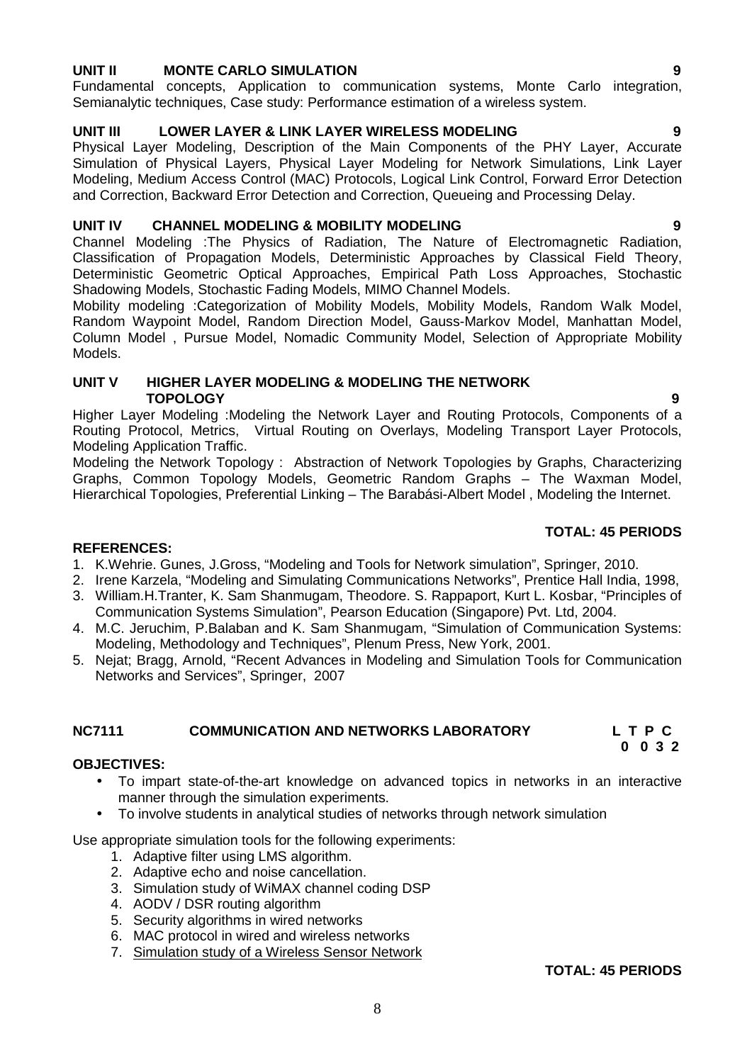#### **UNIT II MONTE CARLO SIMULATION 9**

Fundamental concepts, Application to communication systems, Monte Carlo integration, Semianalytic techniques, Case study: Performance estimation of a wireless system.

### **UNIT III LOWER LAYER & LINK LAYER WIRELESS MODELING 9**

Physical Layer Modeling, Description of the Main Components of the PHY Layer, Accurate Simulation of Physical Layers, Physical Layer Modeling for Network Simulations, Link Layer Modeling, Medium Access Control (MAC) Protocols, Logical Link Control, Forward Error Detection and Correction, Backward Error Detection and Correction, Queueing and Processing Delay.

#### **UNIT IV CHANNEL MODELING & MOBILITY MODELING 9**

Channel Modeling :The Physics of Radiation, The Nature of Electromagnetic Radiation, Classification of Propagation Models, Deterministic Approaches by Classical Field Theory, Deterministic Geometric Optical Approaches, Empirical Path Loss Approaches, Stochastic Shadowing Models, Stochastic Fading Models, MIMO Channel Models.

Mobility modeling :Categorization of Mobility Models, Mobility Models, Random Walk Model, Random Waypoint Model, Random Direction Model, Gauss-Markov Model, Manhattan Model, Column Model , Pursue Model, Nomadic Community Model, Selection of Appropriate Mobility Models.

#### UNIT V **HIGHER LAYER MODELING & MODELING THE NETWORK**<br>TOPOLOGY **TOPOLOGY 9**

Higher Layer Modeling :Modeling the Network Layer and Routing Protocols, Components of a Routing Protocol, Metrics, Virtual Routing on Overlays, Modeling Transport Layer Protocols, Modeling Application Traffic.

Modeling the Network Topology : Abstraction of Network Topologies by Graphs, Characterizing Graphs, Common Topology Models, Geometric Random Graphs – The Waxman Model, Hierarchical Topologies, Preferential Linking – The Barabási-Albert Model , Modeling the Internet.

### **TOTAL: 45 PERIODS**

**0 0 3 2**

#### **REFERENCES:**

- 1. K.Wehrie. Gunes, J.Gross, "Modeling and Tools for Network simulation", Springer, 2010.
- 2. Irene Karzela, "Modeling and Simulating Communications Networks", Prentice Hall India, 1998,
- 3. William.H.Tranter, K. Sam Shanmugam, Theodore. S. Rappaport, Kurt L. Kosbar, "Principles of Communication Systems Simulation", Pearson Education (Singapore) Pvt. Ltd, 2004.
- 4. M.C. Jeruchim, P.Balaban and K. Sam Shanmugam, "Simulation of Communication Systems: Modeling, Methodology and Techniques", Plenum Press, New York, 2001.
- 5. Nejat; Bragg, Arnold, "Recent Advances in Modeling and Simulation Tools for Communication Networks and Services", Springer, 2007

#### **NC7111 COMMUNICATION AND NETWORKS LABORATORY L T P C**

#### **OBJECTIVES:**

- To impart state-of-the-art knowledge on advanced topics in networks in an interactive manner through the simulation experiments.
- To involve students in analytical studies of networks through network simulation

Use appropriate simulation tools for the following experiments:

- 1. Adaptive filter using LMS algorithm.
- 2. Adaptive echo and noise cancellation.
- 3. Simulation study of WiMAX channel coding DSP
- 4. AODV / DSR routing algorithm
- 5. Security algorithms in wired networks
- 6. MAC protocol in wired and wireless networks
- 7. Simulation study of a Wireless Sensor Network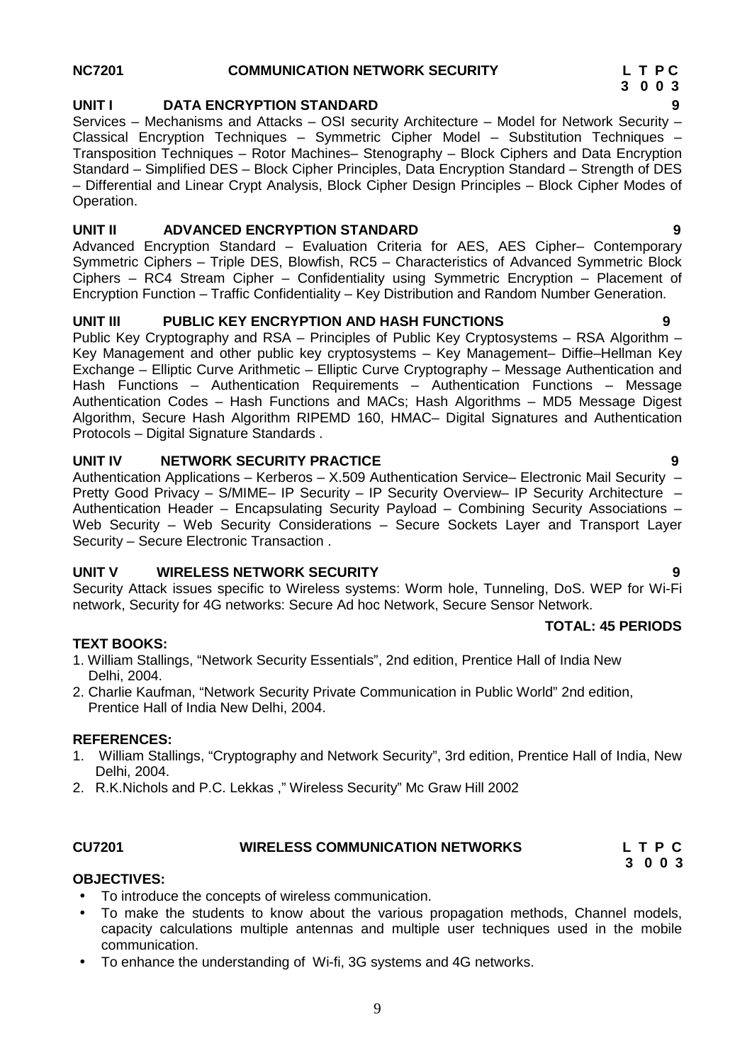# **NC7201 COMMUNICATION NETWORK SECURITY L T P C**

#### **UNIT I DATA ENCRYPTION STANDARD 9**

Services – Mechanisms and Attacks – OSI security Architecture – Model for Network Security – Classical Encryption Techniques – Symmetric Cipher Model – Substitution Techniques – Transposition Techniques – Rotor Machines– Stenography – Block Ciphers and Data Encryption Standard – Simplified DES – Block Cipher Principles, Data Encryption Standard – Strength of DES – Differential and Linear Crypt Analysis, Block Cipher Design Principles – Block Cipher Modes of Operation.

#### **UNIT II ADVANCED ENCRYPTION STANDARD 9**

Advanced Encryption Standard – Evaluation Criteria for AES, AES Cipher– Contemporary Symmetric Ciphers – Triple DES, Blowfish, RC5 – Characteristics of Advanced Symmetric Block Ciphers – RC4 Stream Cipher – Confidentiality using Symmetric Encryption – Placement of Encryption Function – Traffic Confidentiality – Key Distribution and Random Number Generation.

#### **UNIT III PUBLIC KEY ENCRYPTION AND HASH FUNCTIONS 9**

Public Key Cryptography and RSA – Principles of Public Key Cryptosystems – RSA Algorithm – Key Management and other public key cryptosystems – Key Management– Diffie–Hellman Key Exchange – Elliptic Curve Arithmetic – Elliptic Curve Cryptography – Message Authentication and Hash Functions – Authentication Requirements – Authentication Functions – Message Authentication Codes – Hash Functions and MACs; Hash Algorithms – MD5 Message Digest Algorithm, Secure Hash Algorithm RIPEMD 160, HMAC– Digital Signatures and Authentication Protocols – Digital Signature Standards .

#### **UNIT IV NETWORK SECURITY PRACTICE 9**

Authentication Applications – Kerberos – X.509 Authentication Service– Electronic Mail Security – Pretty Good Privacy - S/MIME- IP Security - IP Security Overview- IP Security Architecture -Authentication Header – Encapsulating Security Payload – Combining Security Associations – Web Security – Web Security Considerations – Secure Sockets Layer and Transport Layer Security – Secure Electronic Transaction .

#### **UNIT V WIRELESS NETWORK SECURITY 9**

Security Attack issues specific to Wireless systems: Worm hole, Tunneling, DoS. WEP for Wi-Fi network, Security for 4G networks: Secure Ad hoc Network, Secure Sensor Network.

#### **TEXT BOOKS:**

- 1. William Stallings, "Network Security Essentials", 2nd edition, Prentice Hall of India New Delhi, 2004.
- 2. Charlie Kaufman, "Network Security Private Communication in Public World" 2nd edition, Prentice Hall of India New Delhi, 2004.

#### **REFERENCES:**

- 1. William Stallings, "Cryptography and Network Security", 3rd edition, Prentice Hall of India, New Delhi, 2004.
- 2. R.K.Nichols and P.C. Lekkas ," Wireless Security" Mc Graw Hill 2002

#### **CU7201 WIRELESS COMMUNICATION NETWORKS L T P C**

**3 0 0 3**

#### **OBJECTIVES:**

- To introduce the concepts of wireless communication.
- To make the students to know about the various propagation methods, Channel models, capacity calculations multiple antennas and multiple user techniques used in the mobile communication.
- To enhance the understanding of Wi-fi, 3G systems and 4G networks.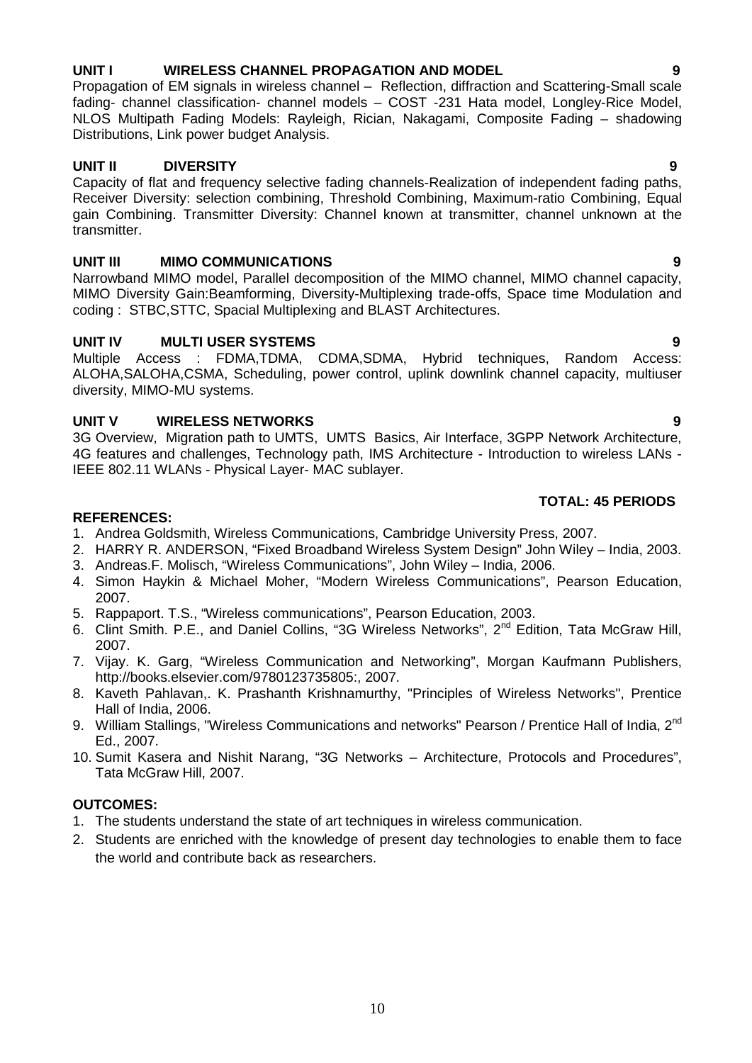# **UNIT I WIRELESS CHANNEL PROPAGATION AND MODEL 9**

#### Propagation of EM signals in wireless channel – Reflection, diffraction and Scattering-Small scale fading- channel classification- channel models – COST -231 Hata model, Longley-Rice Model, NLOS Multipath Fading Models: Rayleigh, Rician, Nakagami, Composite Fading – shadowing Distributions, Link power budget Analysis.

# **UNIT II DIVERSITY 9**

Capacity of flat and frequency selective fading channels-Realization of independent fading paths, Receiver Diversity: selection combining, Threshold Combining, Maximum-ratio Combining, Equal gain Combining. Transmitter Diversity: Channel known at transmitter, channel unknown at the transmitter.

# **UNIT III MIMO COMMUNICATIONS 9**

Narrowband MIMO model, Parallel decomposition of the MIMO channel, MIMO channel capacity, MIMO Diversity Gain:Beamforming, Diversity-Multiplexing trade-offs, Space time Modulation and coding : STBC,STTC, Spacial Multiplexing and BLAST Architectures.

# **UNIT IV MULTI USER SYSTEMS 9**

Multiple Access : FDMA,TDMA, CDMA,SDMA, Hybrid techniques, Random Access: ALOHA,SALOHA,CSMA, Scheduling, power control, uplink downlink channel capacity, multiuser diversity, MIMO-MU systems.

# **UNIT V WIRELESS NETWORKS 9**

3G Overview, Migration path to UMTS, UMTS Basics, Air Interface, 3GPP Network Architecture, 4G features and challenges, Technology path, IMS Architecture - Introduction to wireless LANs - IEEE 802.11 WLANs - Physical Layer- MAC sublayer.

# **TOTAL: 45 PERIODS**

# **REFERENCES:**

- 1. Andrea Goldsmith, Wireless Communications, Cambridge University Press, 2007.
- 2. HARRY R. ANDERSON, "Fixed Broadband Wireless System Design" John Wiley India, 2003.
- 3. Andreas.F. Molisch, "Wireless Communications", John Wiley India, 2006.
- 4. Simon Haykin & Michael Moher, "Modern Wireless Communications", Pearson Education, 2007.
- 5. Rappaport. T.S., "Wireless communications", Pearson Education, 2003.
- 6. Clint Smith. P.E., and Daniel Collins, "3G Wireless Networks", 2<sup>nd</sup> Edition, Tata McGraw Hill, 2007.
- 7. Vijay. K. Garg, "Wireless Communication and Networking", Morgan Kaufmann Publishers, http://books.elsevier.com/9780123735805:, 2007.
- 8. Kaveth Pahlavan,. K. Prashanth Krishnamurthy, "Principles of Wireless Networks", Prentice Hall of India, 2006.
- 9. William Stallings, "Wireless Communications and networks" Pearson / Prentice Hall of India, 2<sup>nd</sup> Ed., 2007.
- 10. Sumit Kasera and Nishit Narang, "3G Networks Architecture, Protocols and Procedures", Tata McGraw Hill, 2007.

# **OUTCOMES:**

- 1. The students understand the state of art techniques in wireless communication.
- 2. Students are enriched with the knowledge of present day technologies to enable them to face the world and contribute back as researchers.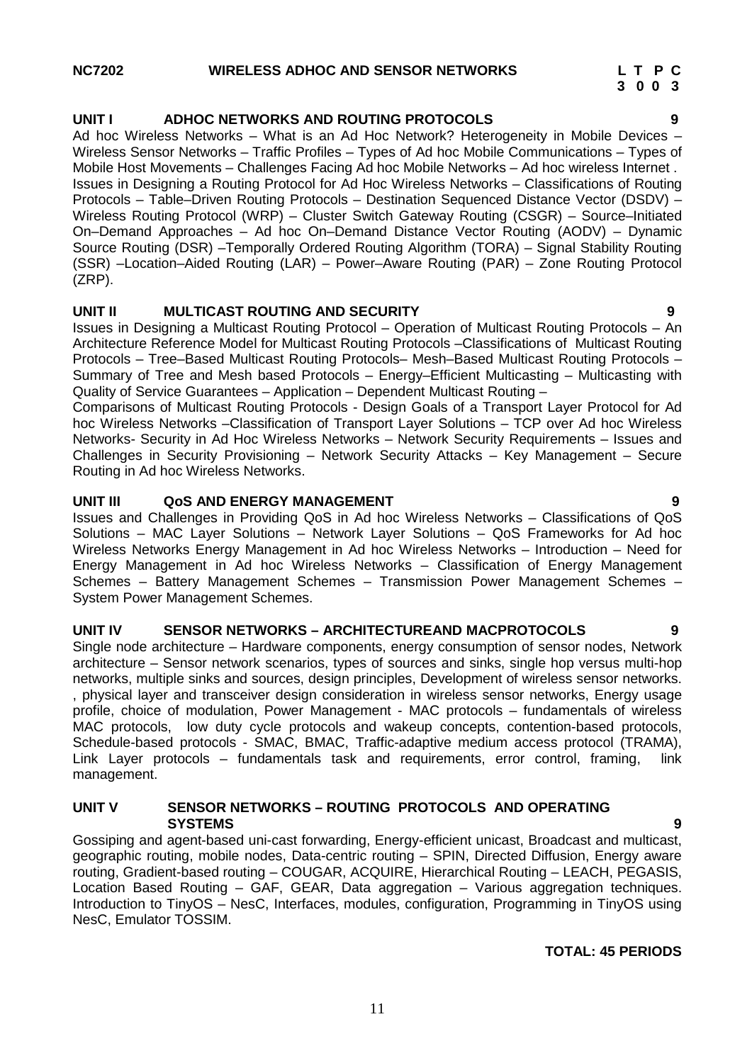### **UNIT I ADHOC NETWORKS AND ROUTING PROTOCOLS 9**

Ad hoc Wireless Networks – What is an Ad Hoc Network? Heterogeneity in Mobile Devices – Wireless Sensor Networks – Traffic Profiles – Types of Ad hoc Mobile Communications – Types of Mobile Host Movements – Challenges Facing Ad hoc Mobile Networks – Ad hoc wireless Internet . Issues in Designing a Routing Protocol for Ad Hoc Wireless Networks – Classifications of Routing Protocols – Table–Driven Routing Protocols – Destination Sequenced Distance Vector (DSDV) – Wireless Routing Protocol (WRP) – Cluster Switch Gateway Routing (CSGR) – Source–Initiated On–Demand Approaches – Ad hoc On–Demand Distance Vector Routing (AODV) – Dynamic Source Routing (DSR) –Temporally Ordered Routing Algorithm (TORA) – Signal Stability Routing (SSR) –Location–Aided Routing (LAR) – Power–Aware Routing (PAR) – Zone Routing Protocol (ZRP).

### **UNIT II MULTICAST ROUTING AND SECURITY 9**

Issues in Designing a Multicast Routing Protocol – Operation of Multicast Routing Protocols – An Architecture Reference Model for Multicast Routing Protocols –Classifications of Multicast Routing Protocols – Tree–Based Multicast Routing Protocols– Mesh–Based Multicast Routing Protocols – Summary of Tree and Mesh based Protocols – Energy–Efficient Multicasting – Multicasting with Quality of Service Guarantees – Application – Dependent Multicast Routing –

Comparisons of Multicast Routing Protocols - Design Goals of a Transport Layer Protocol for Ad hoc Wireless Networks –Classification of Transport Layer Solutions – TCP over Ad hoc Wireless Networks- Security in Ad Hoc Wireless Networks – Network Security Requirements – Issues and Challenges in Security Provisioning – Network Security Attacks – Key Management – Secure Routing in Ad hoc Wireless Networks.

#### **UNIT III QoS AND ENERGY MANAGEMENT 9**

Issues and Challenges in Providing QoS in Ad hoc Wireless Networks – Classifications of QoS Solutions – MAC Layer Solutions – Network Layer Solutions – QoS Frameworks for Ad hoc Wireless Networks Energy Management in Ad hoc Wireless Networks – Introduction – Need for Energy Management in Ad hoc Wireless Networks – Classification of Energy Management Schemes – Battery Management Schemes – Transmission Power Management Schemes – System Power Management Schemes.

#### **UNIT IV SENSOR NETWORKS – ARCHITECTUREAND MACPROTOCOLS 9**

Single node architecture – Hardware components, energy consumption of sensor nodes, Network architecture – Sensor network scenarios, types of sources and sinks, single hop versus multi-hop networks, multiple sinks and sources, design principles, Development of wireless sensor networks. , physical layer and transceiver design consideration in wireless sensor networks, Energy usage profile, choice of modulation, Power Management - MAC protocols – fundamentals of wireless MAC protocols, low duty cycle protocols and wakeup concepts, contention-based protocols, Schedule-based protocols - SMAC, BMAC, Traffic-adaptive medium access protocol (TRAMA), Link Layer protocols – fundamentals task and requirements, error control, framing, link management.

#### **UNIT V SENSOR NETWORKS – ROUTING PROTOCOLS AND OPERATING SYSTEMS 9**

Gossiping and agent-based uni-cast forwarding, Energy-efficient unicast, Broadcast and multicast, geographic routing, mobile nodes, Data-centric routing – SPIN, Directed Diffusion, Energy aware routing, Gradient-based routing – COUGAR, ACQUIRE, Hierarchical Routing – LEACH, PEGASIS, Location Based Routing – GAF, GEAR, Data aggregation – Various aggregation techniques. Introduction to TinyOS – NesC, Interfaces, modules, configuration, Programming in TinyOS using NesC, Emulator TOSSIM.

# **TOTAL: 45 PERIODS**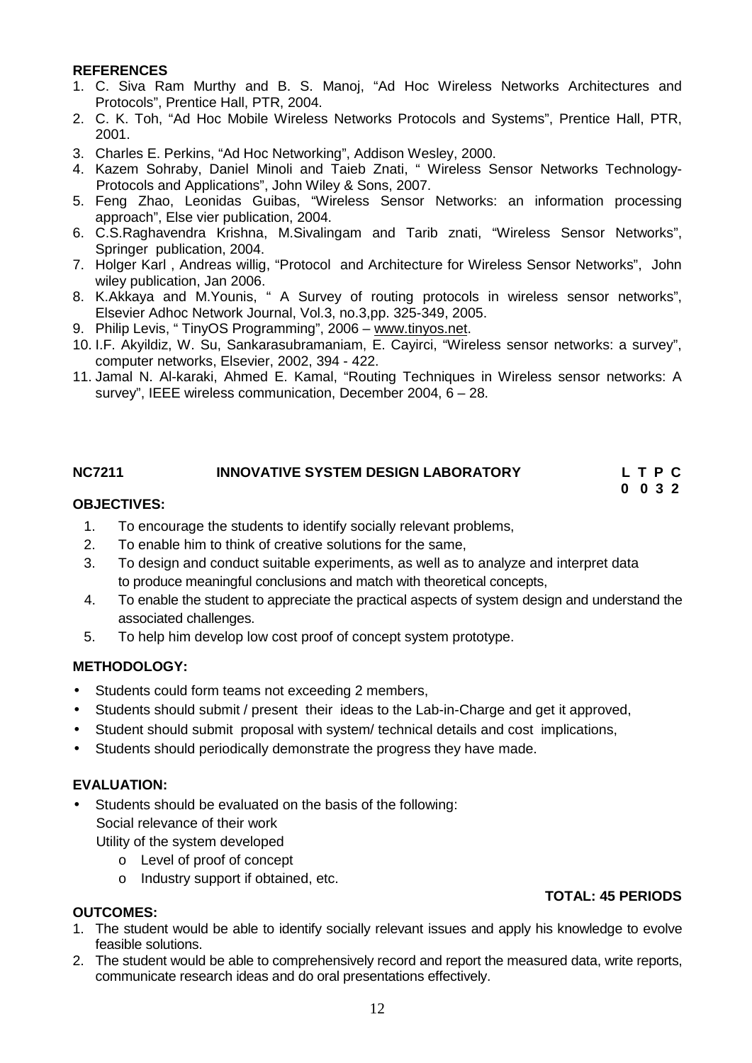- 1. C. Siva Ram Murthy and B. S. Manoj, "Ad Hoc Wireless Networks Architectures and Protocols", Prentice Hall, PTR, 2004.
- 2. C. K. Toh, "Ad Hoc Mobile Wireless Networks Protocols and Systems", Prentice Hall, PTR, 2001.
- 3. Charles E. Perkins, "Ad Hoc Networking", Addison Wesley, 2000.
- 4. Kazem Sohraby, Daniel Minoli and Taieb Znati, " Wireless Sensor Networks Technology- Protocols and Applications", John Wiley & Sons, 2007.
- 5. Feng Zhao, Leonidas Guibas, "Wireless Sensor Networks: an information processing approach", Else vier publication, 2004.
- 6. C.S.Raghavendra Krishna, M.Sivalingam and Tarib znati, "Wireless Sensor Networks", Springer publication, 2004.
- 7. Holger Karl , Andreas willig, "Protocol and Architecture for Wireless Sensor Networks", John wiley publication, Jan 2006.
- 8. K.Akkaya and M.Younis, " A Survey of routing protocols in wireless sensor networks", Elsevier Adhoc Network Journal, Vol.3, no.3,pp. 325-349, 2005.
- 9. Philip Levis, " TinyOS Programming", 2006 www.tinyos.net.
- 10. I.F. Akyildiz, W. Su, Sankarasubramaniam, E. Cayirci, "Wireless sensor networks: a survey", computer networks, Elsevier, 2002, 394 - 422.
- 11. Jamal N. Al-karaki, Ahmed E. Kamal, "Routing Techniques in Wireless sensor networks: A survey", IEEE wireless communication, December 2004, 6 – 28.

### **NC7211 INNOVATIVE SYSTEM DESIGN LABORATORY L T P C**

**0 0 3 2**

#### **OBJECTIVES:**

- 1. To encourage the students to identify socially relevant problems,
- 2. To enable him to think of creative solutions for the same,
- 3. To design and conduct suitable experiments, as well as to analyze and interpret data to produce meaningful conclusions and match with theoretical concepts,
- 4. To enable the student to appreciate the practical aspects of system design and understand the associated challenges.
- 5. To help him develop low cost proof of concept system prototype.

#### **METHODOLOGY:**

- Students could form teams not exceeding 2 members,
- Students should submit / present their ideas to the Lab-in-Charge and get it approved,
- Student should submit proposal with system/ technical details and cost implications,
- Students should periodically demonstrate the progress they have made.

#### **EVALUATION:**

- Students should be evaluated on the basis of the following: Social relevance of their work Utility of the system developed
	- o Level of proof of concept
		- o Industry support if obtained, etc.

#### **OUTCOMES:**

- 1. The student would be able to identify socially relevant issues and apply his knowledge to evolve feasible solutions.
- 2. The student would be able to comprehensively record and report the measured data, write reports, communicate research ideas and do oral presentations effectively.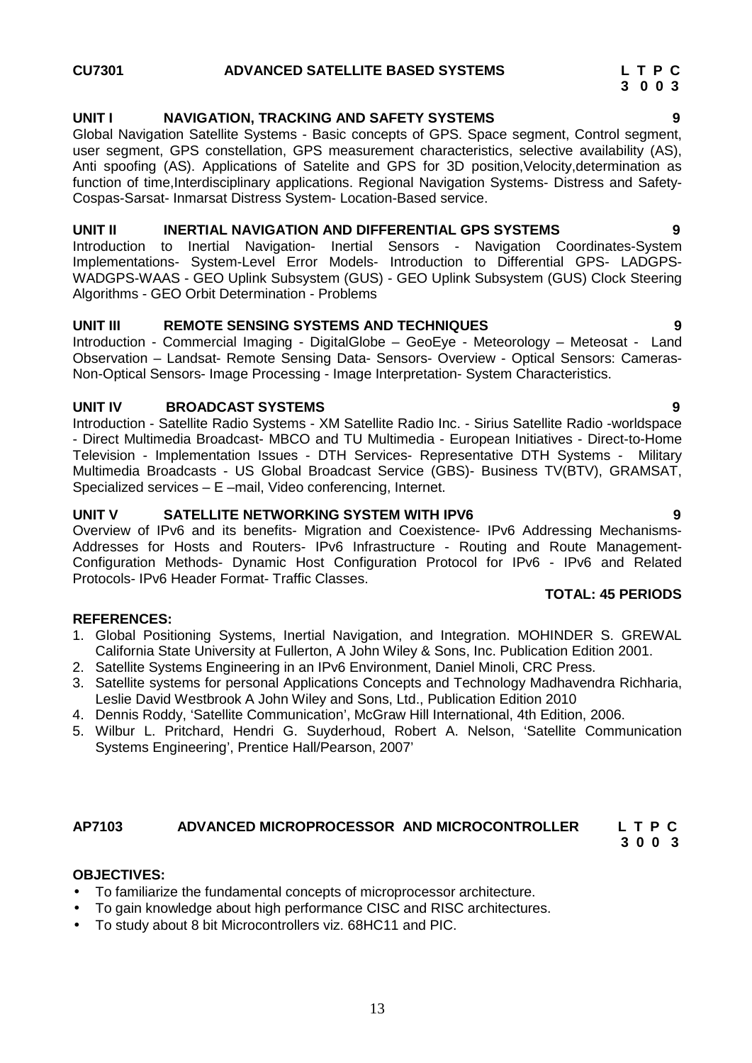# **UNIT I NAVIGATION, TRACKING AND SAFETY SYSTEMS 9**

Global Navigation Satellite Systems - Basic concepts of GPS. Space segment, Control segment, user segment, GPS constellation, GPS measurement characteristics, selective availability (AS), Anti spoofing (AS). Applications of Satelite and GPS for 3D position,Velocity,determination as function of time,Interdisciplinary applications. Regional Navigation Systems- Distress and Safety- Cospas-Sarsat- Inmarsat Distress System- Location-Based service.

# **UNIT II INERTIAL NAVIGATION AND DIFFERENTIAL GPS SYSTEMS 9**

Introduction to Inertial Navigation- Inertial Sensors - Navigation Coordinates-System Implementations- System-Level Error Models- Introduction to Differential GPS- LADGPS- WADGPS-WAAS - GEO Uplink Subsystem (GUS) - GEO Uplink Subsystem (GUS) Clock Steering Algorithms - GEO Orbit Determination - Problems

### **UNIT III REMOTE SENSING SYSTEMS AND TECHNIQUES 9**

Introduction - Commercial Imaging - DigitalGlobe – GeoEye - Meteorology – Meteosat - Land Observation – Landsat- Remote Sensing Data- Sensors- Overview - Optical Sensors: Cameras- Non-Optical Sensors- Image Processing - Image Interpretation- System Characteristics.

### **UNIT IV BROADCAST SYSTEMS 9**

Introduction - Satellite Radio Systems - XM Satellite Radio Inc. - Sirius Satellite Radio -worldspace - Direct Multimedia Broadcast- MBCO and TU Multimedia - European Initiatives - Direct-to-Home Television - Implementation Issues - DTH Services- Representative DTH Systems - Military Multimedia Broadcasts - US Global Broadcast Service (GBS)- Business TV(BTV), GRAMSAT, Specialized services – E –mail, Video conferencing, Internet.

#### **UNIT V SATELLITE NETWORKING SYSTEM WITH IPV6 9**

Overview of IPv6 and its benefits- Migration and Coexistence- IPv6 Addressing Mechanisms- Addresses for Hosts and Routers- IPv6 Infrastructure - Routing and Route Management- Configuration Methods- Dynamic Host Configuration Protocol for IPv6 - IPv6 and Related Protocols- IPv6 Header Format- Traffic Classes.

### **TOTAL: 45 PERIODS**

#### **REFERENCES:**

- 1. Global Positioning Systems, Inertial Navigation, and Integration. MOHINDER S. GREWAL California State University at Fullerton, A John Wiley & Sons, Inc. Publication Edition 2001.
- 2. Satellite Systems Engineering in an IPv6 Environment, Daniel Minoli, CRC Press.
- 3. Satellite systems for personal Applications Concepts and Technology Madhavendra Richharia, Leslie David Westbrook A John Wiley and Sons, Ltd., Publication Edition 2010
- 4. Dennis Roddy, 'Satellite Communication', McGraw Hill International, 4th Edition, 2006.
- 5. Wilbur L. Pritchard, Hendri G. Suyderhoud, Robert A. Nelson, 'Satellite Communication Systems Engineering', Prentice Hall/Pearson, 2007'

#### **AP7103 ADVANCED MICROPROCESSOR AND MICROCONTROLLER L T P C 3 0 0 3**

#### **OBJECTIVES:**

- To familiarize the fundamental concepts of microprocessor architecture.
- To gain knowledge about high performance CISC and RISC architectures.
- To study about 8 bit Microcontrollers viz. 68HC11 and PIC.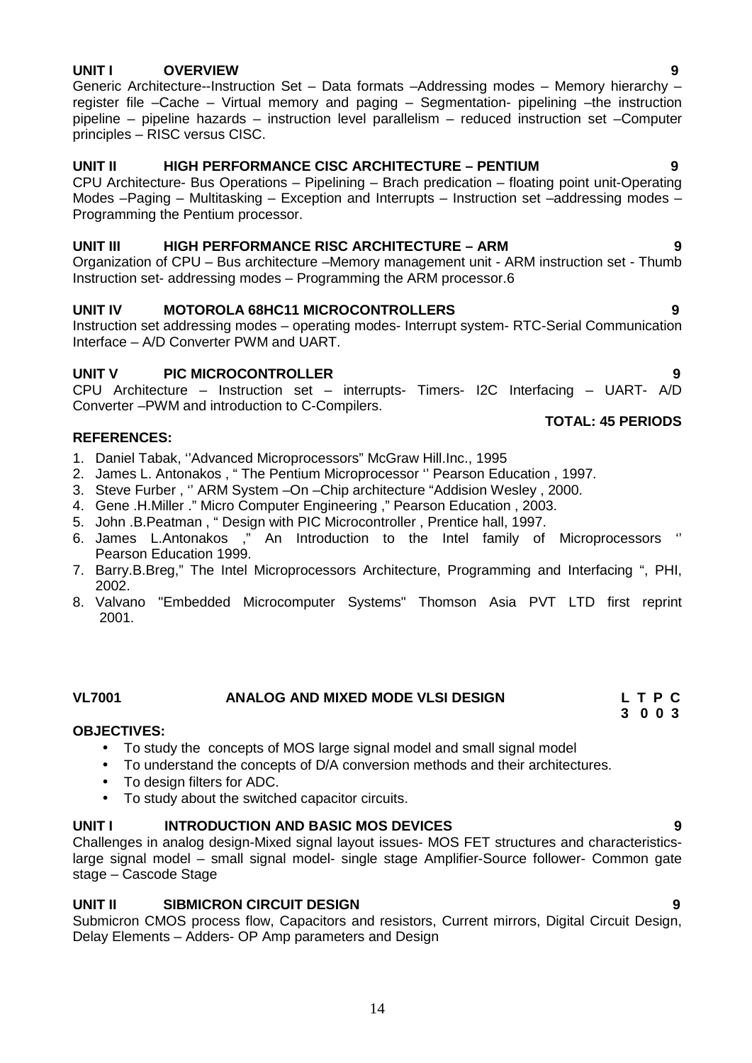# **UNIT I OVERVIEW 9**

Generic Architecture--Instruction Set – Data formats –Addressing modes – Memory hierarchy – register file –Cache – Virtual memory and paging – Segmentation- pipelining –the instruction pipeline – pipeline hazards – instruction level parallelism – reduced instruction set –Computer principles – RISC versus CISC.

# **UNIT II HIGH PERFORMANCE CISC ARCHITECTURE – PENTIUM 9**

CPU Architecture- Bus Operations – Pipelining – Brach predication – floating point unit-Operating Modes –Paging – Multitasking – Exception and Interrupts – Instruction set –addressing modes – Programming the Pentium processor.

#### **UNIT III HIGH PERFORMANCE RISC ARCHITECTURE – ARM 9**

Organization of CPU – Bus architecture –Memory management unit - ARM instruction set - Thumb Instruction set- addressing modes – Programming the ARM processor.6

### **UNIT IV MOTOROLA 68HC11 MICROCONTROLLERS 9**

Instruction set addressing modes – operating modes- Interrupt system- RTC-Serial Communication Interface – A/D Converter PWM and UART.

### **UNIT V PIC MICROCONTROLLER 9**

CPU Architecture – Instruction set – interrupts- Timers- I2C Interfacing – UART- A/D Converter –PWM and introduction to C-Compilers.

#### **REFERENCES:**

- 1. Daniel Tabak, ''Advanced Microprocessors" McGraw Hill.Inc., 1995
- 2. James L. Antonakos , " The Pentium Microprocessor '' Pearson Education , 1997.
- 3. Steve Furber , '' ARM System –On –Chip architecture "Addision Wesley , 2000.
- 4. Gene .H.Miller ." Micro Computer Engineering ," Pearson Education , 2003.
- 5. John .B.Peatman , " Design with PIC Microcontroller , Prentice hall, 1997.
- 6. James L.Antonakos ," An Introduction to the Intel family of Microprocessors '' Pearson Education 1999.
- 7. Barry.B.Breg," The Intel Microprocessors Architecture, Programming and Interfacing ", PHI, 2002.
- 8. Valvano "Embedded Microcomputer Systems" Thomson Asia PVT LTD first reprint 2001.

# **VL7001 ANALOG AND MIXED MODE VLSI DESIGN L T P C**

#### **OBJECTIVES:**

- To study the concepts of MOS large signal model and small signal model
- To understand the concepts of D/A conversion methods and their architectures.
- To design filters for ADC.
- To study about the switched capacitor circuits.

#### **UNIT I INTRODUCTION AND BASIC MOS DEVICES 9**

Challenges in analog design-Mixed signal layout issues- MOS FET structures and characteristicslarge signal model – small signal model- single stage Amplifier-Source follower- Common gate stage – Cascode Stage

#### **UNIT II SIBMICRON CIRCUIT DESIGN 9**

Submicron CMOS process flow, Capacitors and resistors, Current mirrors, Digital Circuit Design, Delay Elements – Adders- OP Amp parameters and Design

# **TOTAL: 45 PERIODS**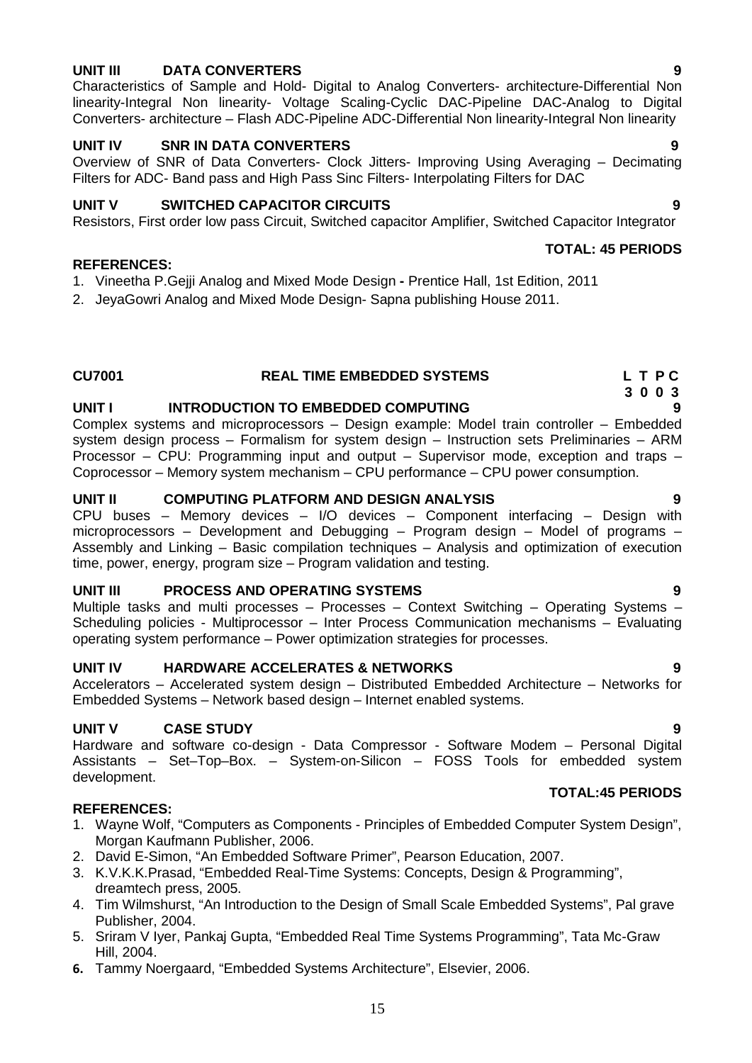#### **UNIT III DATA CONVERTERS 9**

Characteristics of Sample and Hold- Digital to Analog Converters- architecture-Differential Non linearity-Integral Non linearity- Voltage Scaling-Cyclic DAC-Pipeline DAC-Analog to Digital Converters- architecture – Flash ADC-Pipeline ADC-Differential Non linearity-Integral Non linearity

#### **UNIT IV SNR IN DATA CONVERTERS 9**

Overview of SNR of Data Converters- Clock Jitters- Improving Using Averaging – Decimating Filters for ADC- Band pass and High Pass Sinc Filters- Interpolating Filters for DAC

#### **UNIT V SWITCHED CAPACITOR CIRCUITS 9**

Resistors, First order low pass Circuit, Switched capacitor Amplifier, Switched Capacitor Integrator

#### **REFERENCES:**

- 1. Vineetha P.Gejji Analog and Mixed Mode Design **-** Prentice Hall, 1st Edition, 2011
- 2. JeyaGowri Analog and Mixed Mode Design- Sapna publishing House 2011.

#### **CU7001 REAL TIME EMBEDDED SYSTEMS L T P C 3 0 0 3**

#### **UNIT I INTRODUCTION TO EMBEDDED COMPUTING 9**

Complex systems and microprocessors – Design example: Model train controller – Embedded system design process – Formalism for system design – Instruction sets Preliminaries – ARM Processor – CPU: Programming input and output – Supervisor mode, exception and traps – Coprocessor – Memory system mechanism – CPU performance – CPU power consumption.

#### **UNIT II COMPUTING PLATFORM AND DESIGN ANALYSIS 9**

CPU buses – Memory devices – I/O devices – Component interfacing – Design with microprocessors – Development and Debugging – Program design – Model of programs – Assembly and Linking – Basic compilation techniques – Analysis and optimization of execution time, power, energy, program size – Program validation and testing.

#### **UNIT III PROCESS AND OPERATING SYSTEMS 9**

Multiple tasks and multi processes – Processes – Context Switching – Operating Systems – Scheduling policies - Multiprocessor – Inter Process Communication mechanisms – Evaluating operating system performance – Power optimization strategies for processes.

#### **UNIT IV HARDWARE ACCELERATES & NETWORKS 9**

Accelerators – Accelerated system design – Distributed Embedded Architecture – Networks for Embedded Systems – Network based design – Internet enabled systems.

#### **UNIT V CASE STUDY 9**

Hardware and software co-design - Data Compressor - Software Modem – Personal Digital Assistants – Set–Top–Box. – System-on-Silicon – FOSS Tools for embedded system development.

#### **REFERENCES:**

- 1. Wayne Wolf, "Computers as Components Principles of Embedded Computer System Design", Morgan Kaufmann Publisher, 2006.
- 2. David E-Simon, "An Embedded Software Primer", Pearson Education, 2007.
- 3. K.V.K.K.Prasad, "Embedded Real-Time Systems: Concepts, Design & Programming", dreamtech press, 2005.
- 4. Tim Wilmshurst, "An Introduction to the Design of Small Scale Embedded Systems", Pal grave Publisher, 2004.
- 5. Sriram V Iyer, Pankaj Gupta, "Embedded Real Time Systems Programming", Tata Mc-Graw Hill, 2004.
- **6.** Tammy Noergaard, "Embedded Systems Architecture", Elsevier, 2006.

# **TOTAL:45 PERIODS**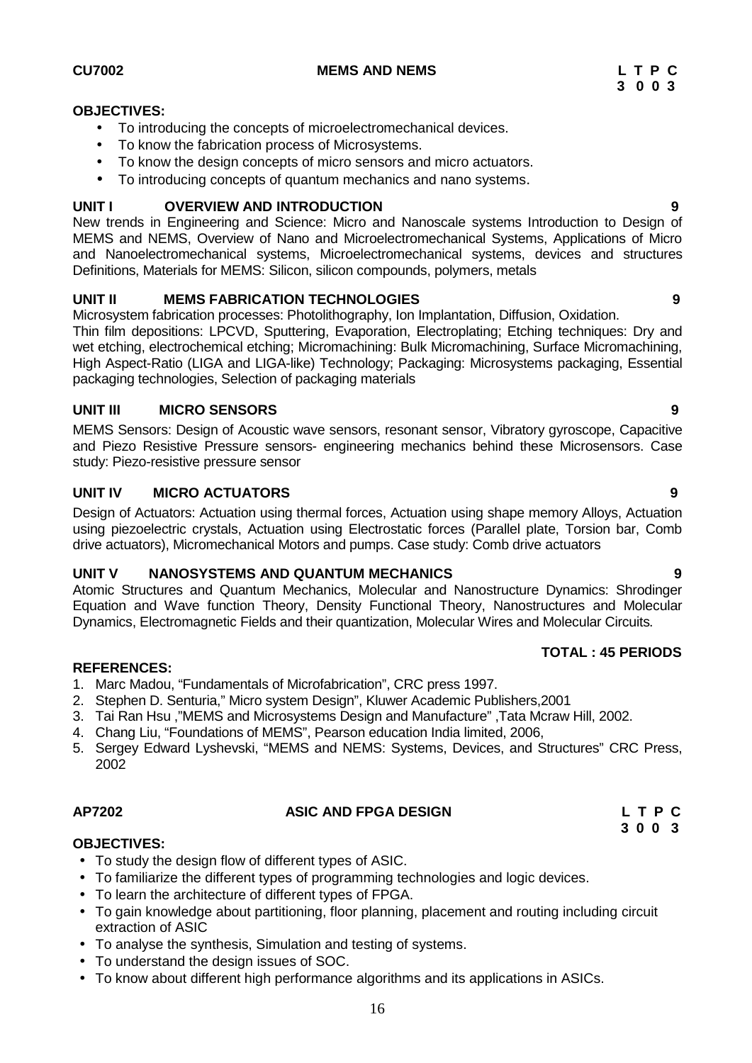#### **OBJECTIVES:**

- To introducing the concepts of microelectromechanical devices.
- To know the fabrication process of Microsystems.
- To know the design concepts of micro sensors and micro actuators.
- To introducing concepts of quantum mechanics and nano systems.

#### **UNIT I OVERVIEW AND INTRODUCTION 9**

New trends in Engineering and Science: Micro and Nanoscale systems Introduction to Design of MEMS and NEMS, Overview of Nano and Microelectromechanical Systems, Applications of Micro and Nanoelectromechanical systems, Microelectromechanical systems, devices and structures Definitions, Materials for MEMS: Silicon, silicon compounds, polymers, metals

#### **UNIT II MEMS FABRICATION TECHNOLOGIES 9**

Microsystem fabrication processes: Photolithography, Ion Implantation, Diffusion, Oxidation.

Thin film depositions: LPCVD, Sputtering, Evaporation, Electroplating; Etching techniques: Dry and wet etching, electrochemical etching; Micromachining: Bulk Micromachining, Surface Micromachining, High Aspect-Ratio (LIGA and LIGA-like) Technology; Packaging: Microsystems packaging, Essential packaging technologies, Selection of packaging materials

#### **UNIT III MICRO SENSORS 9**

MEMS Sensors: Design of Acoustic wave sensors, resonant sensor, Vibratory gyroscope, Capacitive and Piezo Resistive Pressure sensors- engineering mechanics behind these Microsensors. Case study: Piezo-resistive pressure sensor

#### **UNIT IV MICRO ACTUATORS 9**

Design of Actuators: Actuation using thermal forces, Actuation using shape memory Alloys, Actuation using piezoelectric crystals, Actuation using Electrostatic forces (Parallel plate, Torsion bar, Comb drive actuators), Micromechanical Motors and pumps. Case study: Comb drive actuators

#### **UNIT V NANOSYSTEMS AND QUANTUM MECHANICS 9**

Atomic Structures and Quantum Mechanics, Molecular and Nanostructure Dynamics: Shrodinger Equation and Wave function Theory, Density Functional Theory, Nanostructures and Molecular Dynamics, Electromagnetic Fields and their quantization, Molecular Wires and Molecular Circuits.

#### **REFERENCES:**

- 1. Marc Madou, "Fundamentals of Microfabrication", CRC press 1997.
- 2. Stephen D. Senturia," Micro system Design", Kluwer Academic Publishers,2001
- 3. Tai Ran Hsu ,"MEMS and Microsystems Design and Manufacture" ,Tata Mcraw Hill, 2002.
- 4. Chang Liu, "Foundations of MEMS", Pearson education India limited, 2006,
- 5. Sergey Edward Lyshevski, "MEMS and NEMS: Systems, Devices, and Structures" CRC Press, 2002

# **AP7202 ASIC AND FPGA DESIGN L T P C**

#### **OBJECTIVES:**

- To study the design flow of different types of ASIC.
- To familiarize the different types of programming technologies and logic devices.
- To learn the architecture of different types of FPGA.
- To gain knowledge about partitioning, floor planning, placement and routing including circuit extraction of ASIC

16

- To analyse the synthesis, Simulation and testing of systems.
- To understand the design issues of SOC.
- To know about different high performance algorithms and its applications in ASICs.

**TOTAL : 45 PERIODS**

**3 0 0 3**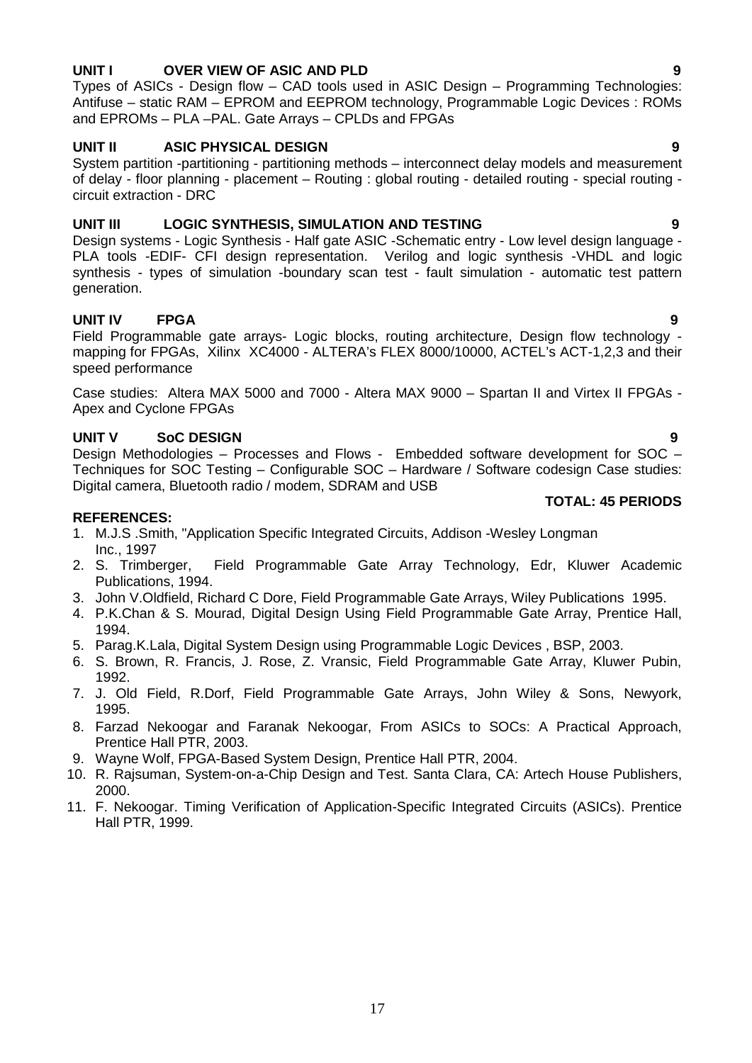# 17

### **UNIT I OVER VIEW OF ASIC AND PLD 9**

Types of ASICs - Design flow – CAD tools used in ASIC Design – Programming Technologies: Antifuse – static RAM – EPROM and EEPROM technology, Programmable Logic Devices : ROMs and EPROMs – PLA –PAL. Gate Arrays – CPLDs and FPGAs

#### **UNIT II ASIC PHYSICAL DESIGN 9**

System partition -partitioning - partitioning methods – interconnect delay models and measurement of delay - floor planning - placement – Routing : global routing - detailed routing - special routing circuit extraction - DRC

#### **UNIT III LOGIC SYNTHESIS, SIMULATION AND TESTING 9**

Design systems - Logic Synthesis - Half gate ASIC -Schematic entry - Low level design language - PLA tools -EDIF- CFI design representation. Verilog and logic synthesis -VHDL and logic synthesis - types of simulation -boundary scan test - fault simulation - automatic test pattern generation.

# **UNIT IV FPGA 9**

Field Programmable gate arrays- Logic blocks, routing architecture, Design flow technology mapping for FPGAs, Xilinx XC4000 - ALTERA's FLEX 8000/10000, ACTEL's ACT-1,2,3 and their speed performance

Case studies: Altera MAX 5000 and 7000 - Altera MAX 9000 – Spartan II and Virtex II FPGAs - Apex and Cyclone FPGAs

### **UNIT V SoC DESIGN 9**

Design Methodologies – Processes and Flows - Embedded software development for SOC – Techniques for SOC Testing – Configurable SOC – Hardware / Software codesign Case studies: Digital camera, Bluetooth radio / modem, SDRAM and USB

#### **TOTAL: 45 PERIODS**

- 1. M.J.S .Smith, "Application Specific Integrated Circuits, Addison -Wesley Longman Inc., 1997
- 2. S. Trimberger, Field Programmable Gate Array Technology, Edr, Kluwer Academic Publications, 1994.
- 3. John V.Oldfield, Richard C Dore, Field Programmable Gate Arrays, Wiley Publications 1995.
- 4. P.K.Chan & S. Mourad, Digital Design Using Field Programmable Gate Array, Prentice Hall, 1994.
- 5. Parag.K.Lala, Digital System Design using Programmable Logic Devices , BSP, 2003.
- 6. S. Brown, R. Francis, J. Rose, Z. Vransic, Field Programmable Gate Array, Kluwer Pubin, 1992.
- 7. J. Old Field, R.Dorf, Field Programmable Gate Arrays, John Wiley & Sons, Newyork, 1995.
- 8. Farzad Nekoogar and Faranak Nekoogar, From ASICs to SOCs: A Practical Approach, Prentice Hall PTR, 2003.
- 9. Wayne Wolf, FPGA-Based System Design, Prentice Hall PTR, 2004.
- 10. R. Rajsuman, System-on-a-Chip Design and Test. Santa Clara, CA: Artech House Publishers, 2000.
- 11. F. Nekoogar. Timing Verification of Application-Specific Integrated Circuits (ASICs). Prentice Hall PTR, 1999.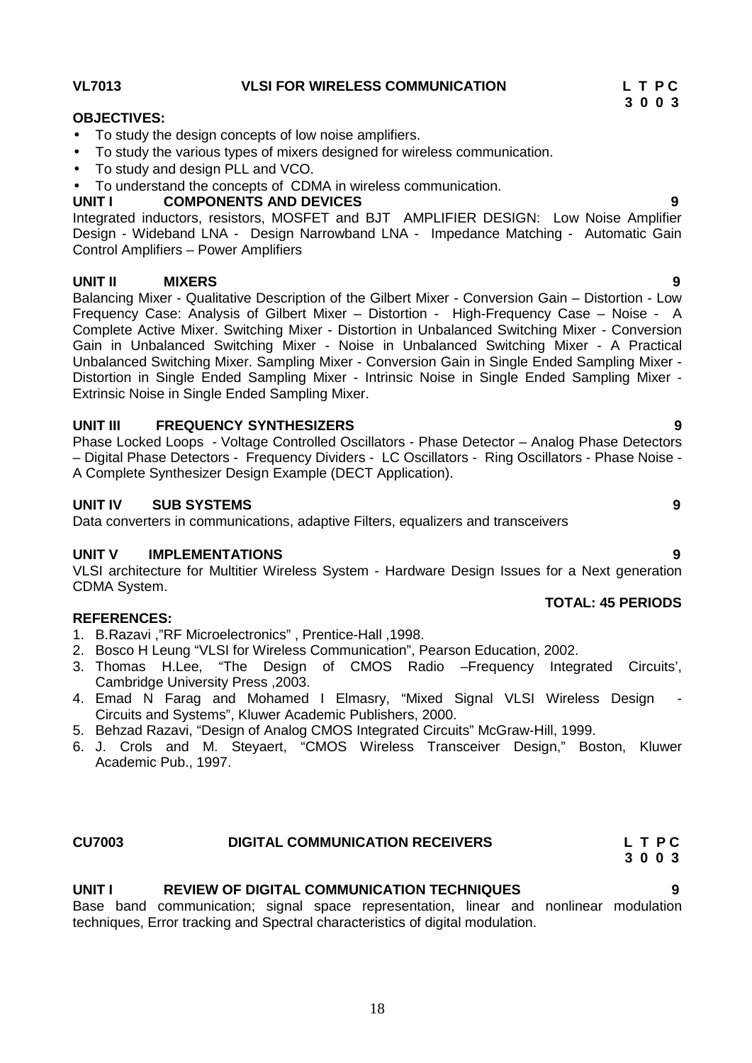#### **VL7013 VLSI FOR WIRELESS COMMUNICATION L T P C**

#### **OBJECTIVES:**

- To study the design concepts of low noise amplifiers.
- To study the various types of mixers designed for wireless communication.
- To study and design PLL and VCO.
- To understand the concepts of CDMA in wireless communication.<br>
UNIT I COMPONENTS AND DEVICES

# **COMPONENTS AND DEVICES 9**

Integrated inductors, resistors, MOSFET and BJT AMPLIFIER DESIGN: Low Noise Amplifier Design - Wideband LNA - Design Narrowband LNA - Impedance Matching - Automatic Gain Control Amplifiers – Power Amplifiers

# **UNIT II MIXERS 9**

Balancing Mixer - Qualitative Description of the Gilbert Mixer - Conversion Gain – Distortion - Low Frequency Case: Analysis of Gilbert Mixer – Distortion - High-Frequency Case – Noise - A Complete Active Mixer. Switching Mixer - Distortion in Unbalanced Switching Mixer - Conversion Gain in Unbalanced Switching Mixer - Noise in Unbalanced Switching Mixer - A Practical Unbalanced Switching Mixer. Sampling Mixer - Conversion Gain in Single Ended Sampling Mixer - Distortion in Single Ended Sampling Mixer - Intrinsic Noise in Single Ended Sampling Mixer - Extrinsic Noise in Single Ended Sampling Mixer.

# **UNIT III FREQUENCY SYNTHESIZERS 9**

Phase Locked Loops - Voltage Controlled Oscillators - Phase Detector – Analog Phase Detectors – Digital Phase Detectors - Frequency Dividers - LC Oscillators - Ring Oscillators - Phase Noise - A Complete Synthesizer Design Example (DECT Application).

# **UNIT IV SUB SYSTEMS 9**

Data converters in communications, adaptive Filters, equalizers and transceivers

# **UNIT V IMPLEMENTATIONS 9**

VLSI architecture for Multitier Wireless System - Hardware Design Issues for a Next generation CDMA System.

# **REFERENCES:**

- 1. B.Razavi ,"RF Microelectronics" , Prentice-Hall ,1998.
- 2. Bosco H Leung "VLSI for Wireless Communication", Pearson Education, 2002.
- 3. Thomas H.Lee, "The Design of CMOS Radio Frequency Integrated Circuits', Cambridge University Press ,2003.
- 4. Emad N Farag and Mohamed I Elmasry, "Mixed Signal VLSI Wireless Design Circuits and Systems", Kluwer Academic Publishers, 2000.
- 5. Behzad Razavi, "Design of Analog CMOS Integrated Circuits" McGraw-Hill, 1999.
- 6. J. Crols and M. Steyaert, "CMOS Wireless Transceiver Design," Boston, Kluwer Academic Pub., 1997.

# **CU7003 DIGITAL COMMUNICATION RECEIVERS L T P C**

**3 0 0 3**

# **UNIT I REVIEW OF DIGITAL COMMUNICATION TECHNIQUES 9**

Base band communication; signal space representation, linear and nonlinear modulation techniques, Error tracking and Spectral characteristics of digital modulation.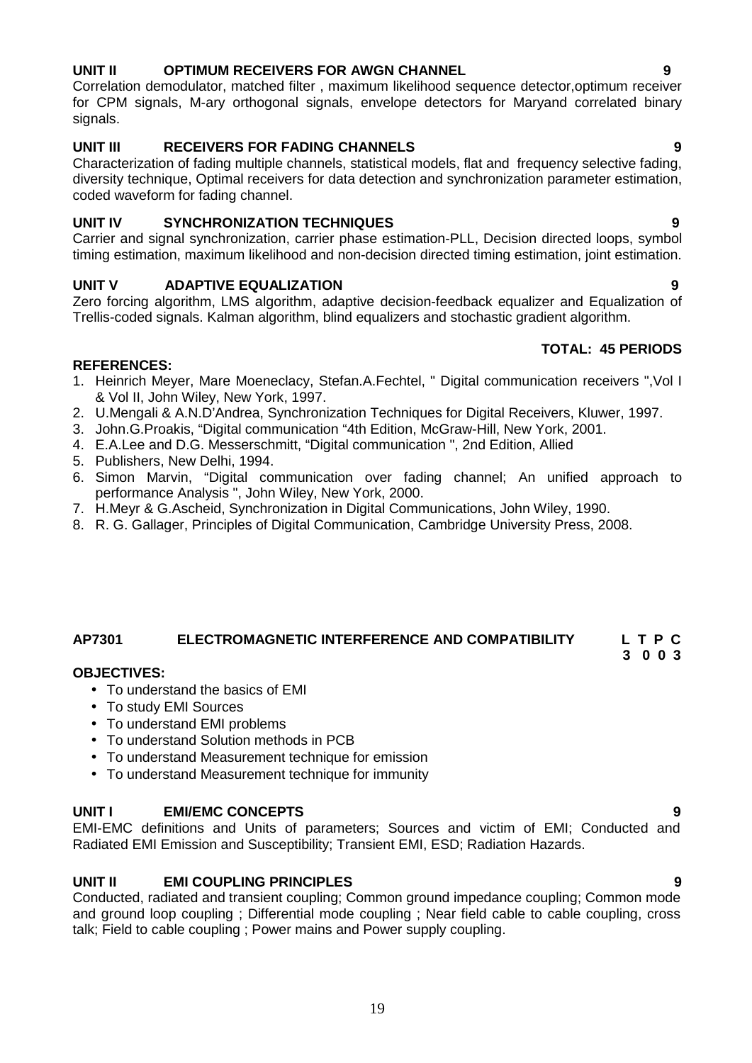# **UNIT II OPTIMUM RECEIVERS FOR AWGN CHANNEL 9**

Correlation demodulator, matched filter , maximum likelihood sequence detector,optimum receiver for CPM signals, M-ary orthogonal signals, envelope detectors for Maryand correlated binary signals.

### **UNIT III RECEIVERS FOR FADING CHANNELS 9**

Characterization of fading multiple channels, statistical models, flat and frequency selective fading, diversity technique, Optimal receivers for data detection and synchronization parameter estimation, coded waveform for fading channel.

### **UNIT IV SYNCHRONIZATION TECHNIQUES 9**

Carrier and signal synchronization, carrier phase estimation-PLL, Decision directed loops, symbol timing estimation, maximum likelihood and non-decision directed timing estimation, joint estimation.

### **UNIT V ADAPTIVE EQUALIZATION 9**

Zero forcing algorithm, LMS algorithm, adaptive decision-feedback equalizer and Equalization of Trellis-coded signals. Kalman algorithm, blind equalizers and stochastic gradient algorithm.

# **TOTAL: 45 PERIODS**

#### **REFERENCES:**

- 1. Heinrich Meyer, Mare Moeneclacy, Stefan.A.Fechtel, " Digital communication receivers ",Vol I & Vol II, John Wiley, New York, 1997.
- 2. U.Mengali & A.N.D'Andrea, Synchronization Techniques for Digital Receivers, Kluwer, 1997.
- 3. John.G.Proakis, "Digital communication "4th Edition, McGraw-Hill, New York, 2001.
- 4. E.A.Lee and D.G. Messerschmitt, "Digital communication ", 2nd Edition, Allied
- 5. Publishers, New Delhi, 1994.
- 6. Simon Marvin, "Digital communication over fading channel; An unified approach to performance Analysis ", John Wiley, New York, 2000.
- 7. H.Meyr & G.Ascheid, Synchronization in Digital Communications, John Wiley, 1990.
- 8. R. G. Gallager, Principles of Digital Communication, Cambridge University Press, 2008.

# **AP7301 ELECTROMAGNETIC INTERFERENCE AND COMPATIBILITY L T P C**

#### **OBJECTIVES:**

- To understand the basics of EMI
- To study EMI Sources
- To understand EMI problems
- To understand Solution methods in PCB
- To understand Measurement technique for emission
- To understand Measurement technique for immunity

#### **UNIT I EMI/EMC CONCEPTS 9**

EMI-EMC definitions and Units of parameters; Sources and victim of EMI; Conducted and Radiated EMI Emission and Susceptibility; Transient EMI, ESD; Radiation Hazards.

#### **UNIT II EMI COUPLING PRINCIPLES 9**

Conducted, radiated and transient coupling; Common ground impedance coupling; Common mode and ground loop coupling ; Differential mode coupling ; Near field cable to cable coupling, cross talk; Field to cable coupling ; Power mains and Power supply coupling.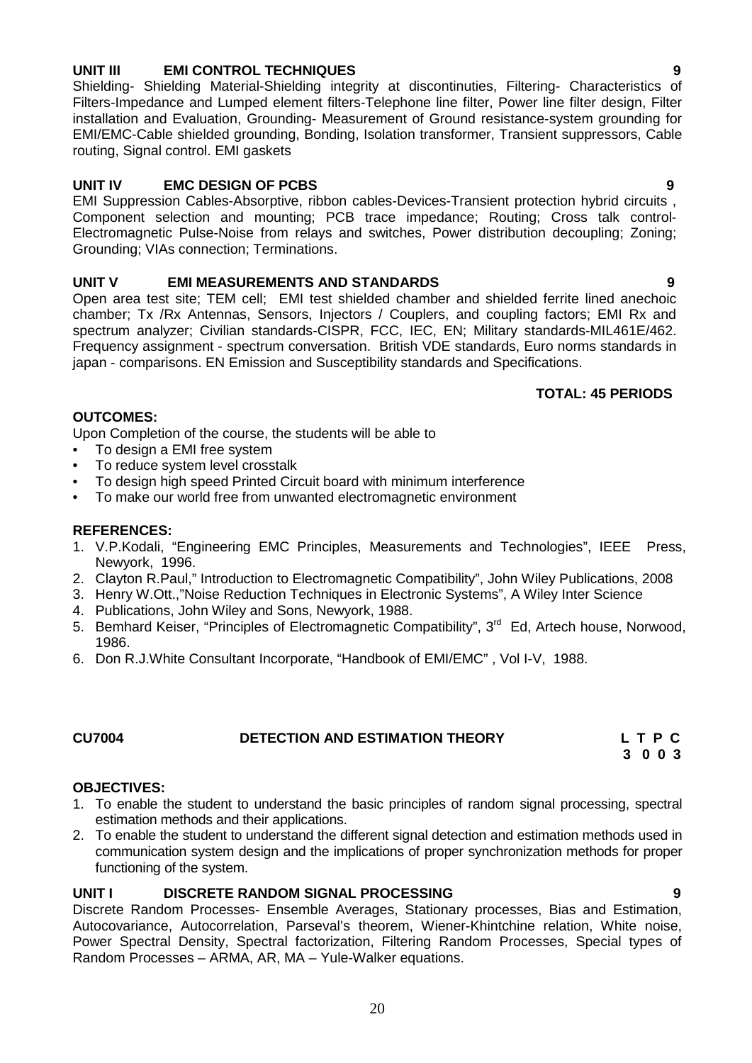# **UNIT III EMI CONTROL TECHNIQUES 9**

Shielding- Shielding Material-Shielding integrity at discontinuties, Filtering- Characteristics of Filters-Impedance and Lumped element filters-Telephone line filter, Power line filter design, Filter installation and Evaluation, Grounding- Measurement of Ground resistance-system grounding for EMI/EMC-Cable shielded grounding, Bonding, Isolation transformer, Transient suppressors, Cable routing, Signal control. EMI gaskets

### **UNIT IV EMC DESIGN OF PCBS 9**

EMI Suppression Cables-Absorptive, ribbon cables-Devices-Transient protection hybrid circuits , Component selection and mounting; PCB trace impedance; Routing; Cross talk control- Electromagnetic Pulse-Noise from relays and switches, Power distribution decoupling; Zoning; Grounding; VIAs connection; Terminations.

# **UNIT V EMI MEASUREMENTS AND STANDARDS 9**

Open area test site; TEM cell; EMI test shielded chamber and shielded ferrite lined anechoic chamber; Tx /Rx Antennas, Sensors, Injectors / Couplers, and coupling factors; EMI Rx and spectrum analyzer; Civilian standards-CISPR, FCC, IEC, EN; Military standards-MIL461E/462. Frequency assignment - spectrum conversation. British VDE standards, Euro norms standards in japan - comparisons. EN Emission and Susceptibility standards and Specifications.

# **TOTAL: 45 PERIODS**

### **OUTCOMES:**

Upon Completion of the course, the students will be able to

- To design a EMI free system
- To reduce system level crosstalk
- To design high speed Printed Circuit board with minimum interference
- To make our world free from unwanted electromagnetic environment

#### **REFERENCES:**

- 1. V.P.Kodali, "Engineering EMC Principles, Measurements and Technologies", IEEE Press, Newyork, 1996.
- 2. Clayton R.Paul," Introduction to Electromagnetic Compatibility", John Wiley Publications, 2008
- 3. Henry W.Ott.,"Noise Reduction Techniques in Electronic Systems", A Wiley Inter Science
- 4. Publications, John Wiley and Sons, Newyork, 1988.
- 5. Bemhard Keiser, "Principles of Electromagnetic Compatibility", 3<sup>rd</sup> Ed, Artech house, Norwood, 1986.
- 6. Don R.J.White Consultant Incorporate, "Handbook of EMI/EMC" , Vol I-V, 1988.

# **CU7004 DETECTION AND ESTIMATION THEORY L T P C**

**3 0 0 3**

# **OBJECTIVES:**

- 1. To enable the student to understand the basic principles of random signal processing, spectral estimation methods and their applications.
- 2. To enable the student to understand the different signal detection and estimation methods used in communication system design and the implications of proper synchronization methods for proper functioning of the system.

# **UNIT I DISCRETE RANDOM SIGNAL PROCESSING 9**

Discrete Random Processes- Ensemble Averages, Stationary processes, Bias and Estimation, Autocovariance, Autocorrelation, Parseval's theorem, Wiener-Khintchine relation, White noise, Power Spectral Density, Spectral factorization, Filtering Random Processes, Special types of Random Processes – ARMA, AR, MA – Yule-Walker equations.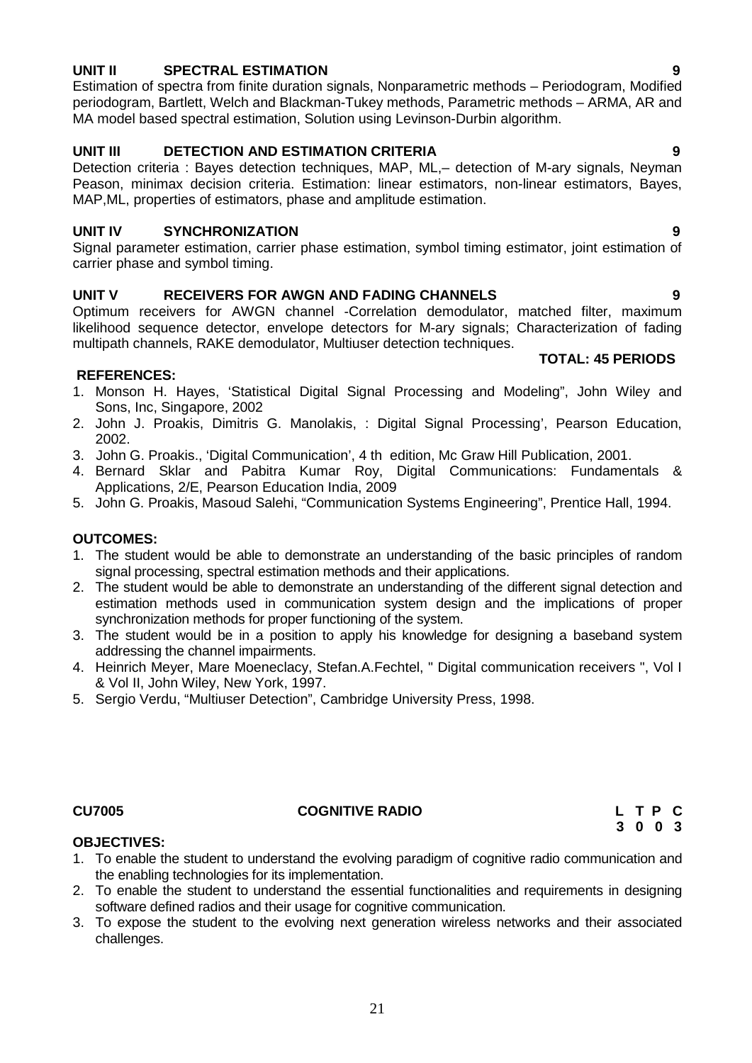### **UNIT II SPECTRAL ESTIMATION 9**

Estimation of spectra from finite duration signals, Nonparametric methods – Periodogram, Modified periodogram, Bartlett, Welch and Blackman-Tukey methods, Parametric methods – ARMA, AR and MA model based spectral estimation, Solution using Levinson-Durbin algorithm.

### **UNIT III DETECTION AND ESTIMATION CRITERIA 9**

Detection criteria : Bayes detection techniques, MAP, ML,– detection of M-ary signals, Neyman Peason, minimax decision criteria. Estimation: linear estimators, non-linear estimators, Bayes, MAP,ML, properties of estimators, phase and amplitude estimation.

#### **UNIT IV SYNCHRONIZATION 9**

Signal parameter estimation, carrier phase estimation, symbol timing estimator, joint estimation of carrier phase and symbol timing.

### **UNIT V RECEIVERS FOR AWGN AND FADING CHANNELS 9**

Optimum receivers for AWGN channel -Correlation demodulator, matched filter, maximum likelihood sequence detector, envelope detectors for M-ary signals; Characterization of fading multipath channels, RAKE demodulator, Multiuser detection techniques.

#### **REFERENCES:**

- 1. Monson H. Hayes, 'Statistical Digital Signal Processing and Modeling", John Wiley and Sons, Inc, Singapore, 2002
- 2. John J. Proakis, Dimitris G. Manolakis, : Digital Signal Processing', Pearson Education, 2002.
- 3. John G. Proakis., 'Digital Communication', 4 th edition, Mc Graw Hill Publication, 2001.
- 4. Bernard Sklar and Pabitra Kumar Roy, Digital Communications: Fundamentals & Applications, 2/E, Pearson Education India, 2009
- 5. John G. Proakis, Masoud Salehi, "Communication Systems Engineering", Prentice Hall, 1994.

### **OUTCOMES:**

- 1. The student would be able to demonstrate an understanding of the basic principles of random signal processing, spectral estimation methods and their applications.
- 2. The student would be able to demonstrate an understanding of the different signal detection and estimation methods used in communication system design and the implications of proper synchronization methods for proper functioning of the system.
- 3. The student would be in a position to apply his knowledge for designing a baseband system addressing the channel impairments.
- 4. Heinrich Meyer, Mare Moeneclacy, Stefan.A.Fechtel, " Digital communication receivers ", Vol I & Vol II, John Wiley, New York, 1997.
- 5. Sergio Verdu, "Multiuser Detection", Cambridge University Press, 1998.

#### **CU7005 COGNITIVE RADIO L T P C**

**3 0 0 3**

**TOTAL: 45 PERIODS**

# **OBJECTIVES:**

- 1. To enable the student to understand the evolving paradigm of cognitive radio communication and the enabling technologies for its implementation.
- 2. To enable the student to understand the essential functionalities and requirements in designing software defined radios and their usage for cognitive communication.
- 3. To expose the student to the evolving next generation wireless networks and their associated challenges.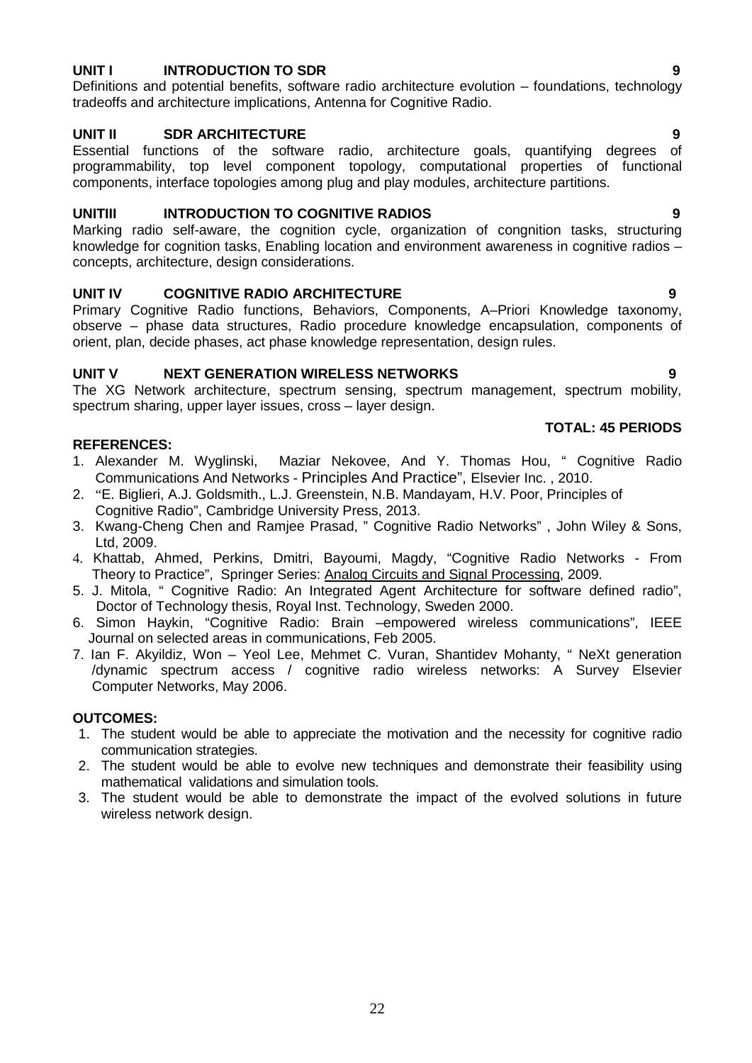### **UNIT I INTRODUCTION TO SDR 9**

Definitions and potential benefits, software radio architecture evolution – foundations, technology tradeoffs and architecture implications, Antenna for Cognitive Radio.

**UNIT II SDR ARCHITECTURE 9** Essential functions of the software radio, architecture goals, quantifying degrees programmability, top level component topology, computational properties of functional components, interface topologies among plug and play modules, architecture partitions.

#### **UNITIII INTRODUCTION TO COGNITIVE RADIOS 9**

Marking radio self-aware, the cognition cycle, organization of congnition tasks, structuring knowledge for cognition tasks, Enabling location and environment awareness in cognitive radios – concepts, architecture, design considerations.

#### **UNIT IV COGNITIVE RADIO ARCHITECTURE 9**

Primary Cognitive Radio functions, Behaviors, Components, A–Priori Knowledge taxonomy, observe – phase data structures, Radio procedure knowledge encapsulation, components of orient, plan, decide phases, act phase knowledge representation, design rules.

### **UNIT V NEXT GENERATION WIRELESS NETWORKS 9**

The XG Network architecture, spectrum sensing, spectrum management, spectrum mobility, spectrum sharing, upper layer issues, cross – layer design.

#### **REFERENCES:**

- 1. Alexander M. Wyglinski, Maziar Nekovee, And Y. Thomas Hou, " Cognitive Radio Communications And Networks - Principles And Practice", Elsevier Inc. , 2010.
- 2. "E. Biglieri, A.J. Goldsmith., L.J. Greenstein, N.B. Mandayam, H.V. Poor, Principles of Cognitive Radio", Cambridge University Press, 2013.
- 3. Kwang-Cheng Chen and Ramjee Prasad, " Cognitive Radio Networks" , John Wiley & Sons, Ltd, 2009.
- 4. Khattab, Ahmed, Perkins, Dmitri, Bayoumi, Magdy, "Cognitive Radio Networks From Theory to Practice", Springer Series: Analog Circuits and Signal Processing, 2009.
- 5. J. Mitola, " Cognitive Radio: An Integrated Agent Architecture for software defined radio", Doctor of Technology thesis, Royal Inst. Technology, Sweden 2000.
- 6. Simon Haykin, "Cognitive Radio: Brain –empowered wireless communications", IEEE Journal on selected areas in communications, Feb 2005.
- 7. Ian F. Akyildiz, Won Yeol Lee, Mehmet C. Vuran, Shantidev Mohanty, " NeXt generation /dynamic spectrum access / cognitive radio wireless networks: A Survey Elsevier Computer Networks, May 2006.

#### **OUTCOMES:**

- 1. The student would be able to appreciate the motivation and the necessity for cognitive radio communication strategies.
- 2. The student would be able to evolve new techniques and demonstrate their feasibility using mathematical validations and simulation tools.
- 3. The student would be able to demonstrate the impact of the evolved solutions in future wireless network design.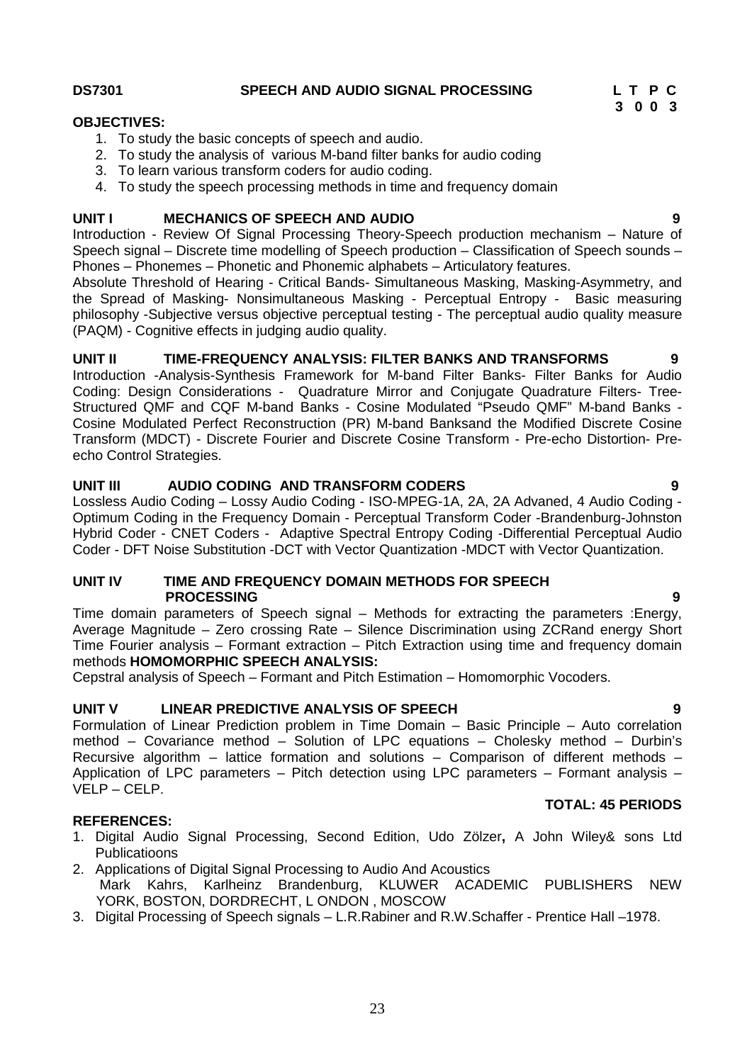### **DS7301 SPEECH AND AUDIO SIGNAL PROCESSING L T P C**

**3 0 0 3**

#### **OBJECTIVES:**

- 1. To study the basic concepts of speech and audio.
- 2. To study the analysis of various M-band filter banks for audio coding
- 3. To learn various transform coders for audio coding.
- 4. To study the speech processing methods in time and frequency domain

### **UNIT I MECHANICS OF SPEECH AND AUDIO 9**

Introduction - Review Of Signal Processing Theory-Speech production mechanism – Nature of Speech signal – Discrete time modelling of Speech production – Classification of Speech sounds – Phones – Phonemes – Phonetic and Phonemic alphabets – Articulatory features.

Absolute Threshold of Hearing - Critical Bands- Simultaneous Masking, Masking-Asymmetry, and the Spread of Masking- Nonsimultaneous Masking - Perceptual Entropy - Basic measuring philosophy -Subjective versus objective perceptual testing - The perceptual audio quality measure (PAQM) - Cognitive effects in judging audio quality.

# **UNIT II TIME-FREQUENCY ANALYSIS: FILTER BANKS AND TRANSFORMS 9**

Introduction -Analysis-Synthesis Framework for M-band Filter Banks- Filter Banks for Audio Coding: Design Considerations - Quadrature Mirror and Conjugate Quadrature Filters- Tree- Structured QMF and CQF M-band Banks - Cosine Modulated "Pseudo QMF" M-band Banks - Cosine Modulated Perfect Reconstruction (PR) M-band Banksand the Modified Discrete Cosine Transform (MDCT) - Discrete Fourier and Discrete Cosine Transform - Pre-echo Distortion- Pre echo Control Strategies.

### **UNIT III AUDIO CODING AND TRANSFORM CODERS 9**

Lossless Audio Coding – Lossy Audio Coding - ISO-MPEG-1A, 2A, 2A Advaned, 4 Audio Coding - Optimum Coding in the Frequency Domain - Perceptual Transform Coder -Brandenburg-Johnston Hybrid Coder - CNET Coders - Adaptive Spectral Entropy Coding -Differential Perceptual Audio Coder - DFT Noise Substitution -DCT with Vector Quantization -MDCT with Vector Quantization.

#### **UNIT IV TIME AND FREQUENCY DOMAIN METHODS FOR SPEECH PROCESSING 9**

Time domain parameters of Speech signal – Methods for extracting the parameters :Energy, Average Magnitude – Zero crossing Rate – Silence Discrimination using ZCRand energy Short Time Fourier analysis – Formant extraction – Pitch Extraction using time and frequency domain methods **HOMOMORPHIC SPEECH ANALYSIS:**

Cepstral analysis of Speech – Formant and Pitch Estimation – Homomorphic Vocoders.

# **UNIT V LINEAR PREDICTIVE ANALYSIS OF SPEECH 9**

Formulation of Linear Prediction problem in Time Domain – Basic Principle – Auto correlation method – Covariance method – Solution of LPC equations – Cholesky method – Durbin's Recursive algorithm – lattice formation and solutions – Comparison of different methods – Application of LPC parameters – Pitch detection using LPC parameters – Formant analysis – VELP –CELP.

#### **REFERENCES:**

- 1. Digital Audio Signal Processing, Second Edition, Udo Zölzer**,** A John Wiley& sons Ltd Publicatioons
- 2. Applications of Digital Signal Processing to Audio And Acoustics Mark Kahrs, Karlheinz Brandenburg, KLUWER ACADEMIC PUBLISHERS NEW YORK, BOSTON, DORDRECHT, L ONDON, MOSCOW
- 3. Digital Processing of Speech signals L.R.Rabiner and R.W.Schaffer Prentice Hall –1978.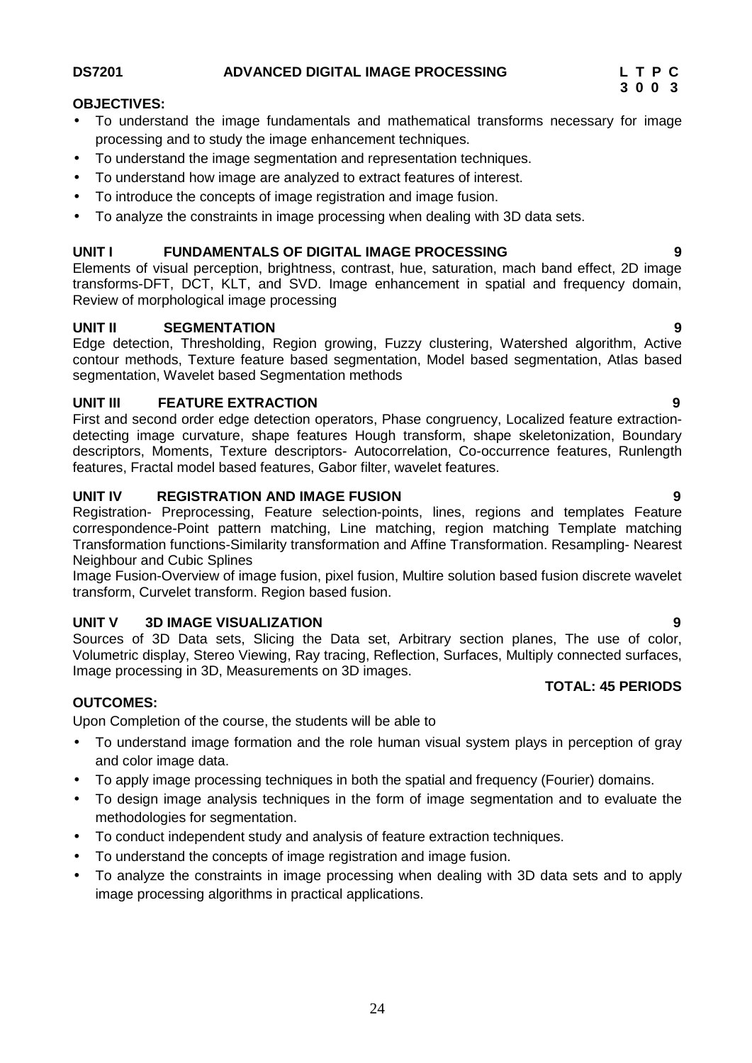#### **DS7201 ADVANCED DIGITAL IMAGE PROCESSING L T P C**

### **OBJECTIVES:**

- To understand the image fundamentals and mathematical transforms necessary for image processing and to study the image enhancement techniques.
- To understand the image segmentation and representation techniques.
- To understand how image are analyzed to extract features of interest.
- To introduce the concepts of image registration and image fusion.
- To analyze the constraints in image processing when dealing with 3D data sets.

### **UNIT I FUNDAMENTALS OF DIGITAL IMAGE PROCESSING 9**

Elements of visual perception, brightness, contrast, hue, saturation, mach band effect, 2D image transforms-DFT, DCT, KLT, and SVD. Image enhancement in spatial and frequency domain, Review of morphological image processing

### **UNIT II SEGMENTATION 9**

Edge detection, Thresholding, Region growing, Fuzzy clustering, Watershed algorithm, Active contour methods, Texture feature based segmentation, Model based segmentation, Atlas based segmentation, Wavelet based Segmentation methods

### **UNIT III FEATURE EXTRACTION 9**

First and second order edge detection operators, Phase congruency, Localized feature extraction detecting image curvature, shape features Hough transform, shape skeletonization, Boundary descriptors, Moments, Texture descriptors- Autocorrelation, Co-occurrence features, Runlength features, Fractal model based features, Gabor filter, wavelet features.

### **UNIT IV REGISTRATION AND IMAGE FUSION 9**

Registration- Preprocessing, Feature selection-points, lines, regions and templates Feature correspondence-Point pattern matching, Line matching, region matching Template matching Transformation functions-Similarity transformation and Affine Transformation. Resampling- Nearest Neighbour and Cubic Splines

Image Fusion-Overview of image fusion, pixel fusion, Multire solution based fusion discrete wavelet transform, Curvelet transform. Region based fusion.

#### **UNIT V 3D IMAGE VISUALIZATION 9**

Sources of 3D Data sets, Slicing the Data set, Arbitrary section planes, The use of color, Volumetric display, Stereo Viewing, Ray tracing, Reflection, Surfaces, Multiply connected surfaces, Image processing in 3D, Measurements on 3D images. **TOTAL: 45 PERIODS**

#### **OUTCOMES:**

Upon Completion of the course, the students will be able to

- To understand image formation and the role human visual system plays in perception of gray and color image data.
- To apply image processing techniques in both the spatial and frequency (Fourier) domains.
- To design image analysis techniques in the form of image segmentation and to evaluate the methodologies for segmentation.
- To conduct independent study and analysis of feature extraction techniques.
- To understand the concepts of image registration and image fusion.
- To analyze the constraints in image processing when dealing with 3D data sets and to apply image processing algorithms in practical applications.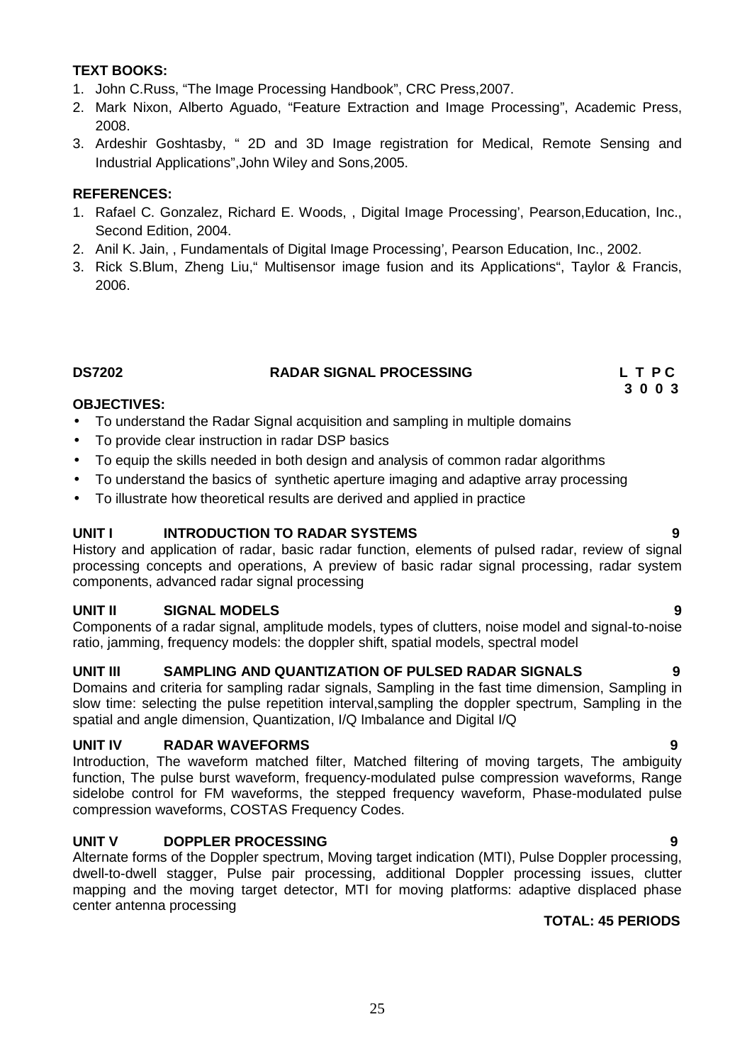### **TEXT BOOKS:**

- 1. John C.Russ, "The Image Processing Handbook", CRC Press,2007.
- 2. Mark Nixon, Alberto Aguado, "Feature Extraction and Image Processing", Academic Press, 2008.
- 3. Ardeshir Goshtasby, " 2D and 3D Image registration for Medical, Remote Sensing and Industrial Applications",John Wiley and Sons,2005.

#### **REFERENCES:**

- 1. Rafael C. Gonzalez, Richard E. Woods, , Digital Image Processing', Pearson,Education, Inc., Second Edition, 2004.
- 2. Anil K. Jain, , Fundamentals of Digital Image Processing', Pearson Education, Inc., 2002.
- 3. Rick S.Blum, Zheng Liu," Multisensor image fusion and its Applications", Taylor & Francis, 2006.

# **DS7202 RADAR SIGNAL PROCESSING L T P C**

**3 0 0 3**

#### **OBJECTIVES:**

- To understand the Radar Signal acquisition and sampling in multiple domains
- To provide clear instruction in radar DSP basics
- To equip the skills needed in both design and analysis of common radar algorithms
- To understand the basics of synthetic aperture imaging and adaptive array processing
- To illustrate how theoretical results are derived and applied in practice

### **UNIT I INTRODUCTION TO RADAR SYSTEMS 9**

History and application of radar, basic radar function, elements of pulsed radar, review of signal processing concepts and operations, A preview of basic radar signal processing, radar system components, advanced radar signal processing

#### **UNIT II SIGNAL MODELS 9**

Components of a radar signal, amplitude models, types of clutters, noise model and signal-to-noise ratio, jamming, frequency models: the doppler shift, spatial models, spectral model

#### **UNIT III SAMPLING AND QUANTIZATION OF PULSED RADAR SIGNALS 9**

Domains and criteria for sampling radar signals, Sampling in the fast time dimension, Sampling in slow time: selecting the pulse repetition interval,sampling the doppler spectrum, Sampling in the spatial and angle dimension, Quantization, I/Q Imbalance and Digital I/Q

#### **UNIT IV RADAR WAVEFORMS 9**

Introduction, The waveform matched filter, Matched filtering of moving targets, The ambiguity function, The pulse burst waveform, frequency-modulated pulse compression waveforms, Range sidelobe control for FM waveforms, the stepped frequency waveform, Phase-modulated pulse compression waveforms, COSTAS Frequency Codes.

#### **UNIT V DOPPLER PROCESSING 9**

Alternate forms of the Doppler spectrum, Moving target indication (MTI), Pulse Doppler processing, dwell-to-dwell stagger, Pulse pair processing, additional Doppler processing issues, clutter mapping and the moving target detector, MTI for moving platforms: adaptive displaced phase center antenna processing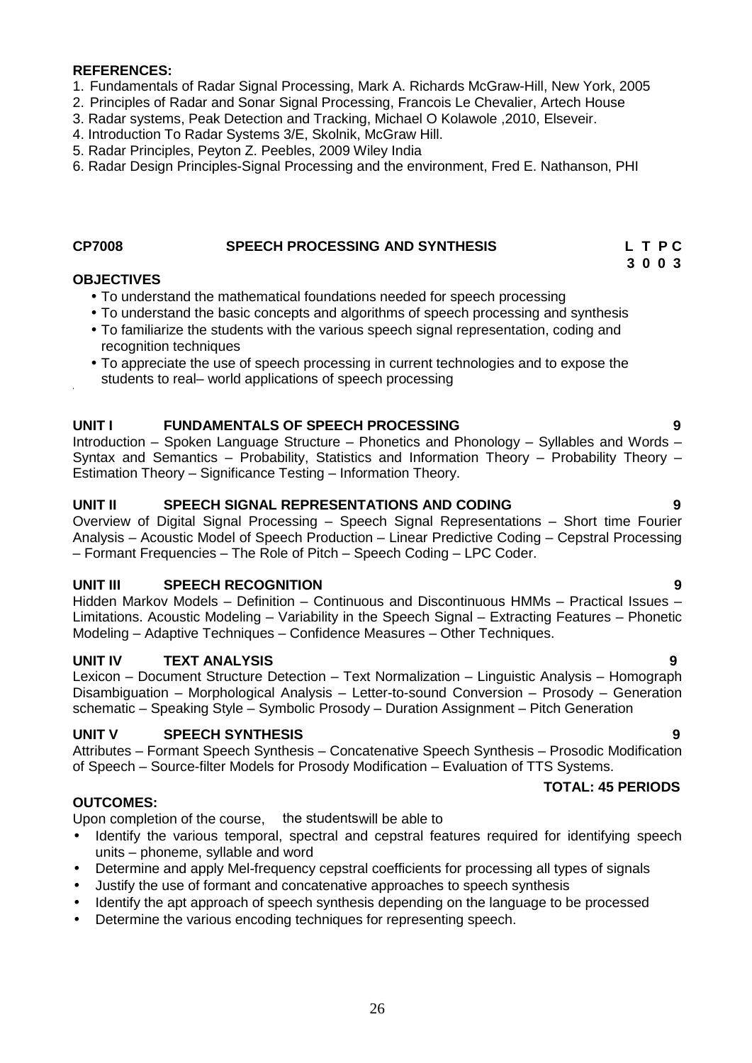- 1. Fundamentals of Radar Signal Processing, Mark A. Richards McGraw-Hill, New York, 2005
- 2. Principles of Radar and Sonar Signal Processing, Francois Le Chevalier, Artech House
- 3. Radar systems, Peak Detection and Tracking, Michael O Kolawole ,2010, Elseveir.
- 4. Introduction To Radar Systems 3/E, Skolnik, McGraw Hill.
- 5. Radar Principles, Peyton Z. Peebles, 2009 Wiley India
- 6. Radar Design Principles-Signal Processing and the environment, Fred E. Nathanson, PHI

### **CP7008 SPEECH PROCESSING AND SYNTHESIS L T P C**

#### **OBJECTIVES**

**'**

- To understand the mathematical foundations needed for speech processing
- To understand the basic concepts and algorithms of speech processing and synthesis
- To familiarize the students with the various speech signal representation, coding and recognition techniques
- To appreciate the use of speech processing in current technologies and to expose the students to real– world applications of speech processing

#### **UNIT I FUNDAMENTALS OF SPEECH PROCESSING 9**

Introduction – Spoken Language Structure – Phonetics and Phonology – Syllables and Words – Syntax and Semantics – Probability, Statistics and Information Theory – Probability Theory – Estimation Theory – Significance Testing – Information Theory.

#### **UNIT II SPEECH SIGNAL REPRESENTATIONS AND CODING 9**

Overview of Digital Signal Processing – Speech Signal Representations – Short time Fourier Analysis – Acoustic Model of Speech Production – Linear Predictive Coding – Cepstral Processing – Formant Frequencies – The Role of Pitch – Speech Coding – LPC Coder.

#### **UNIT III SPEECH RECOGNITION 9**

Hidden Markov Models – Definition – Continuous and Discontinuous HMMs – Practical Issues – Limitations. Acoustic Modeling – Variability in the Speech Signal – Extracting Features – Phonetic Modeling – Adaptive Techniques – Confidence Measures – Other Techniques.

#### **UNIT IV TEXT ANALYSIS 9**

Lexicon – Document Structure Detection – Text Normalization – Linguistic Analysis – Homograph Disambiguation – Morphological Analysis – Letter-to-sound Conversion – Prosody – Generation schematic – Speaking Style – Symbolic Prosody – Duration Assignment – Pitch Generation

#### **UNIT V SPEECH SYNTHESIS 9**

Attributes – Formant Speech Synthesis – Concatenative Speech Synthesis – Prosodic Modification of Speech – Source-filter Models for Prosody Modification – Evaluation of TTS Systems.

#### **TOTAL: 45 PERIODS**

#### **OUTCOMES:**

Upon completion of the course, the studentswill be able to

- Identify the various temporal, spectral and cepstral features required for identifying speech units – phoneme, syllable and word
- Determine and apply Mel-frequency cepstral coefficients for processing all types of signals
- Justify the use of formant and concatenative approaches to speech synthesis
- Identify the apt approach of speech synthesis depending on the language to be processed
- Determine the various encoding techniques for representing speech.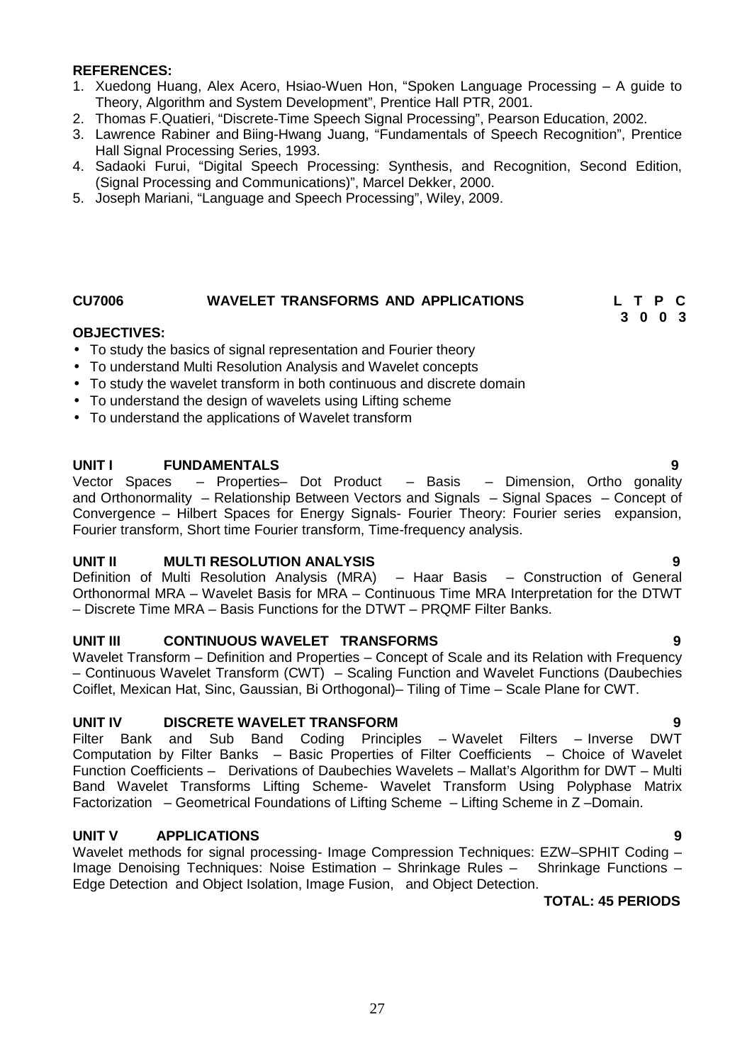- 1. Xuedong Huang, Alex Acero, Hsiao-Wuen Hon, "Spoken Language Processing A guide to Theory, Algorithm and System Development", Prentice Hall PTR, 2001.
- 2. Thomas F.Quatieri, "Discrete-Time Speech Signal Processing", Pearson Education, 2002.
- 3. Lawrence Rabiner and Biing-Hwang Juang, "Fundamentals of Speech Recognition", Prentice Hall Signal Processing Series, 1993.
- 4. Sadaoki Furui, "Digital Speech Processing: Synthesis, and Recognition, Second Edition, (Signal Processing and Communications)", Marcel Dekker, 2000.
- 5. Joseph Mariani, "Language and Speech Processing", Wiley, 2009.

#### **CU7006 WAVELET TRANSFORMS AND APPLICATIONS L T P C**

#### **OBJECTIVES:**

- To study the basics of signal representation and Fourier theory
- To understand Multi Resolution Analysis and Wavelet concepts
- To study the wavelet transform in both continuous and discrete domain
- To understand the design of wavelets using Lifting scheme
- To understand the applications of Wavelet transform

**UNIT I FUNDAMENTALS 9** – Properties– Dot Product and Orthonormality – Relationship Between Vectors and Signals – Signal Spaces – Concept of Convergence – Hilbert Spaces for Energy Signals- Fourier Theory: Fourier series expansion, Fourier transform, Short time Fourier transform, Time-frequency analysis.

#### **UNIT II MULTI RESOLUTION ANALYSIS 9**

Definition of Multi Resolution Analysis (MRA) – Haar Basis – Construction of General Orthonormal MRA – Wavelet Basis for MRA – Continuous Time MRA Interpretation for the DTWT – Discrete Time MRA –Basis Functions for the DTWT – PRQMF Filter Banks.

#### **UNIT III CONTINUOUS WAVELET TRANSFORMS 9**

Wavelet Transform – Definition and Properties – Concept of Scale and its Relation with Frequency – Continuous Wavelet Transform (CWT) – Scaling Function and Wavelet Functions (Daubechies Coiflet, Mexican Hat, Sinc, Gaussian, Bi Orthogonal)– Tiling of Time – Scale Plane for CWT.

**UNIT IV** DISCRETE WAVELET TRANSFORM<br>
Filter Bank and Sub Band Coding Principles – Wavelet Filters – Inverse DWT Filter Bank and Sub Band Coding Principles – Wavelet Filters – Inverse DWT Computation by Filter Banks – Basic Properties of Filter Coefficients – Choice of Wavelet Function Coefficients – Derivations of Daubechies Wavelets – Mallat's Algorithm for DWT – Multi Band Wavelet Transforms Lifting Scheme- Wavelet Transform Using Polyphase Matrix Factorization – Geometrical Foundations of Lifting Scheme – Lifting Scheme in Z –Domain.

#### **UNIT V APPLICATIONS 9**

Wavelet methods for signal processing- Image Compression Techniques: EZW–SPHIT Coding – Image Denoising Techniques: Noise Estimation – Shrinkage Rules – Shrinkage Functions – Edge Detection and Object Isolation, Image Fusion, and Object Detection.

#### **TOTAL: 45 PERIODS**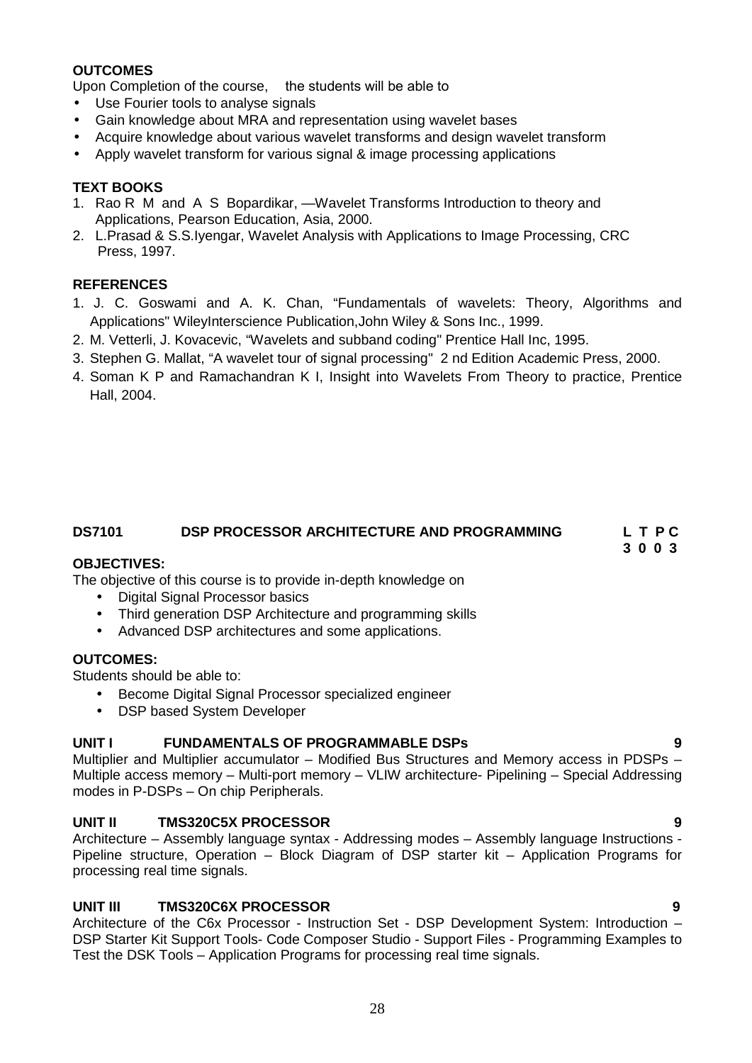# **OUTCOMES**

Upon Completion of the course, the students will be able to

- Use Fourier tools to analyse signals
- Gain knowledge about MRA and representation using wavelet bases
- Acquire knowledge about various wavelet transforms and design wavelet transform
- Apply wavelet transform for various signal & image processing applications

### **TEXT BOOKS**

- 1. Rao R M and A S Bopardikar, Wavelet Transforms Introduction to theory and Applications, Pearson Education, Asia, 2000.
- 2. L.Prasad & S.S.Iyengar, Wavelet Analysis with Applications to Image Processing, CRC Press, 1997.

### **REFERENCES**

- 1. J. C. Goswami and A. K. Chan, "Fundamentals of wavelets: Theory, Algorithms and Applications" WileyInterscience Publication,John Wiley & Sons Inc., 1999.
- 2. M. Vetterli, J. Kovacevic, "Wavelets and subband coding" Prentice Hall Inc, 1995.
- 3. Stephen G. Mallat, "A wavelet tour of signal processing" 2 nd Edition Academic Press, 2000.
- 4. Soman K P and Ramachandran K I, Insight into Wavelets From Theory to practice, Prentice Hall, 2004.

#### **DS7101 DSP PROCESSOR ARCHITECTURE AND PROGRAMMING L T P C 3 0 0 3**

#### **OBJECTIVES:**

The objective of this course is to provide in-depth knowledge on

- Digital Signal Processor basics
- Third generation DSP Architecture and programming skills
- Advanced DSP architectures and some applications.

#### **OUTCOMES:**

Students should be able to:

- Become Digital Signal Processor specialized engineer
- DSP based System Developer

#### **UNIT I FUNDAMENTALS OF PROGRAMMABLE DSPs 9**

Multiplier and Multiplier accumulator – Modified Bus Structures and Memory access in PDSPs – Multiple access memory – Multi-port memory – VLIW architecture- Pipelining – Special Addressing modes in P-DSPs – On chip Peripherals.

# **UNIT II TMS320C5X PROCESSOR 9**

Architecture – Assembly language syntax - Addressing modes – Assembly language Instructions - Pipeline structure, Operation – Block Diagram of DSP starter kit – Application Programs for processing real time signals.

# **UNIT III TMS320C6X PROCESSOR 9**

Architecture of the C6x Processor - Instruction Set - DSP Development System: Introduction – DSP Starter Kit Support Tools- Code Composer Studio - Support Files - Programming Examples to Test the DSK Tools – Application Programs for processing real time signals.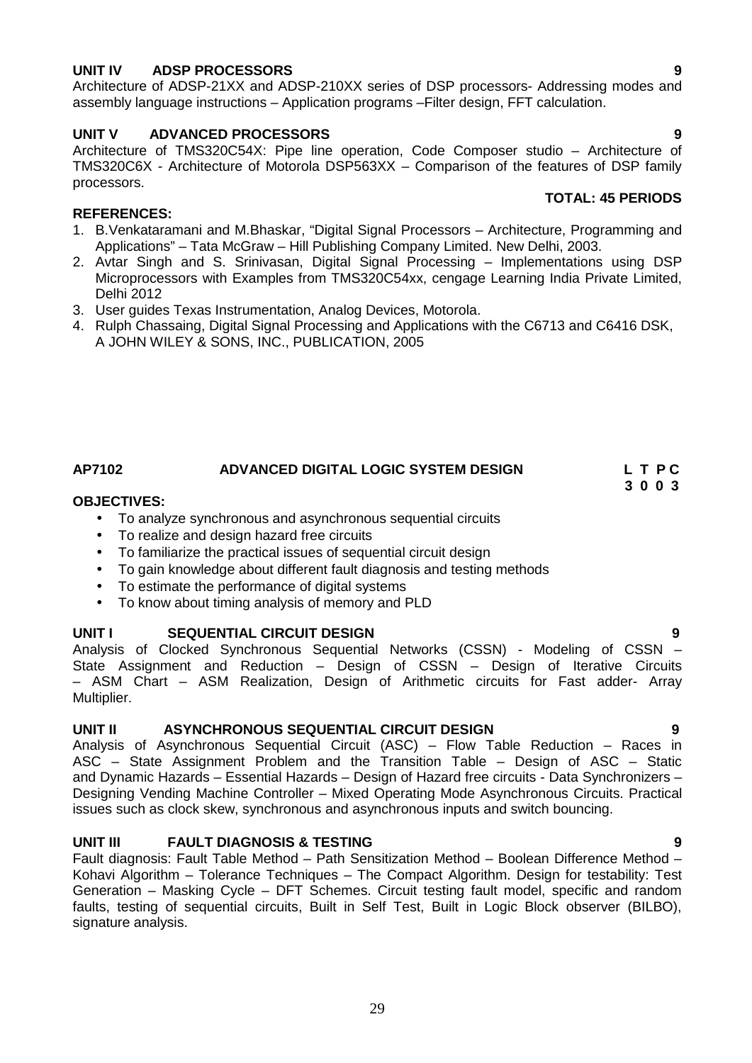# **UNIT IV ADSP PROCESSORS 9**

Architecture of ADSP-21XX and ADSP-210XX series of DSP processors- Addressing modes and assembly language instructions – Application programs –Filter design, FFT calculation.

### **UNIT V ADVANCED PROCESSORS 9**

Architecture of TMS320C54X: Pipe line operation, Code Composer studio – Architecture of TMS320C6X - Architecture of Motorola DSP563XX – Comparison of the features of DSP family processors. **TOTAL: 45 PERIODS**

### **REFERENCES:**

- 1. B.Venkataramani and M.Bhaskar, "Digital Signal Processors Architecture, Programming and Applications" – Tata McGraw – Hill Publishing Company Limited. New Delhi, 2003.
- 2. Avtar Singh and S. Srinivasan, Digital Signal Processing Implementations using DSP Microprocessors with Examples from TMS320C54xx, cengage Learning India Private Limited, Delhi 2012
- 3. User guides Texas Instrumentation, Analog Devices, Motorola.
- 4. Rulph Chassaing, Digital Signal Processing and Applications with the C6713 and C6416 DSK, A JOHN WILEY & SONS, INC., PUBLICATION, 2005

# **AP7102 ADVANCED DIGITAL LOGIC SYSTEM DESIGN L T P C**

### **OBJECTIVES:**

- To analyze synchronous and asynchronous sequential circuits
- To realize and design hazard free circuits
- To familiarize the practical issues of sequential circuit design
- To gain knowledge about different fault diagnosis and testing methods
- To estimate the performance of digital systems
- To know about timing analysis of memory and PLD

#### **UNIT I SEQUENTIAL CIRCUIT DESIGN 9**

Analysis of Clocked Synchronous Sequential Networks (CSSN) - Modeling of CSSN – State Assignment and Reduction – Design of CSSN – Design of Iterative Circuits – ASM Chart – ASM Realization, Design of Arithmetic circuits for Fast adder- Array Multiplier.

# **UNIT II ASYNCHRONOUS SEQUENTIAL CIRCUIT DESIGN 9**

Analysis of Asynchronous Sequential Circuit (ASC) – Flow Table Reduction – Races in ASC – State Assignment Problem and the Transition Table – Design of ASC – Static and Dynamic Hazards – Essential Hazards – Design of Hazard free circuits - Data Synchronizers – Designing Vending Machine Controller – Mixed Operating Mode Asynchronous Circuits. Practical issues such as clock skew, synchronous and asynchronous inputs and switch bouncing.

# **UNIT III FAULT DIAGNOSIS & TESTING 9**

Fault diagnosis: Fault Table Method – Path Sensitization Method – Boolean Difference Method – Kohavi Algorithm – Tolerance Techniques – The Compact Algorithm. Design for testability: Test Generation – Masking Cycle – DFT Schemes. Circuit testing fault model, specific and random faults, testing of sequential circuits, Built in Self Test, Built in Logic Block observer (BILBO), signature analysis.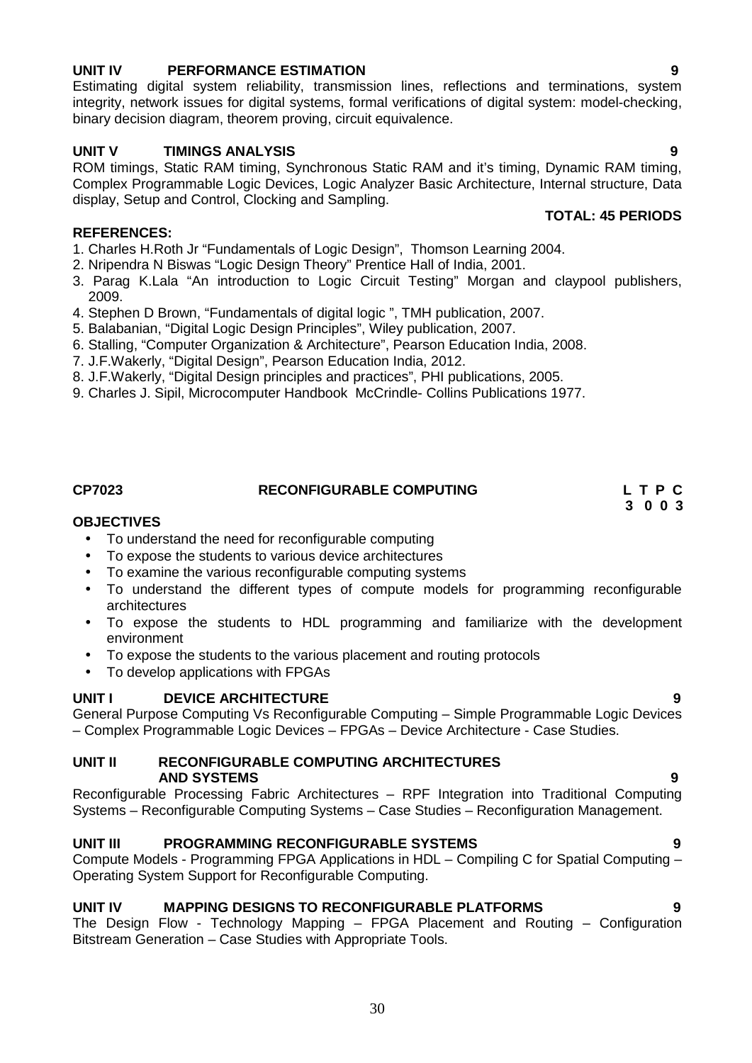# **UNIT IV PERFORMANCE ESTIMATION 9**

Estimating digital system reliability, transmission lines, reflections and terminations, system integrity, network issues for digital systems, formal verifications of digital system: model-checking, binary decision diagram, theorem proving, circuit equivalence.

# **UNIT V TIMINGS ANALYSIS 9**

ROM timings, Static RAM timing, Synchronous Static RAM and it's timing, Dynamic RAM timing, Complex Programmable Logic Devices, Logic Analyzer Basic Architecture, Internal structure, Data display, Setup and Control, Clocking and Sampling. **TOTAL: 45 PERIODS**

### **REFERENCES:**

- 1. Charles H.Roth Jr "Fundamentals of Logic Design", Thomson Learning 2004.
- 2. Nripendra N Biswas "Logic Design Theory" Prentice Hall of India, 2001.
- 3. Parag K.Lala "An introduction to Logic Circuit Testing" Morgan and claypool publishers, 2009.
- 4. Stephen D Brown, "Fundamentals of digital logic ", TMH publication, 2007.
- 5. Balabanian, "Digital Logic Design Principles", Wiley publication, 2007.
- 6. Stalling, "Computer Organization & Architecture", Pearson Education India, 2008.
- 7. J.F.Wakerly, "Digital Design", Pearson Education India, 2012.
- 8. J.F.Wakerly, "Digital Design principles and practices", PHI publications, 2005.
- 9. Charles J. Sipil, Microcomputer Handbook McCrindle- Collins Publications 1977.

# **OBJECTIVES**

- To understand the need for reconfigurable computing
- To expose the students to various device architectures
- To examine the various reconfigurable computing systems
- To understand the different types of compute models for programming reconfigurable architectures
- To expose the students to HDL programming and familiarize with the development environment
- To expose the students to the various placement and routing protocols
- To develop applications with FPGAs

# **UNIT I DEVICE ARCHITECTURE 9**

General Purpose Computing Vs Reconfigurable Computing – Simple Programmable Logic Devices – Complex Programmable Logic Devices – FPGAs – Device Architecture - Case Studies.

#### **UNIT II RECONFIGURABLE COMPUTING ARCHITECTURES AND SYSTEMS 9**

Reconfigurable Processing Fabric Architectures – RPF Integration into Traditional Computing Systems – Reconfigurable Computing Systems – Case Studies – Reconfiguration Management.

# **UNIT III PROGRAMMING RECONFIGURABLE SYSTEMS 9**

Compute Models - Programming FPGA Applications in HDL – Compiling C for Spatial Computing – Operating System Support for Reconfigurable Computing.

# **UNIT IV MAPPING DESIGNS TO RECONFIGURABLE PLATFORMS 9**

The Design Flow - Technology Mapping – FPGA Placement and Routing – Configuration Bitstream Generation – Case Studies with Appropriate Tools.

**CP7023 RECONFIGURABLE COMPUTING L T P C 3 0 0 3**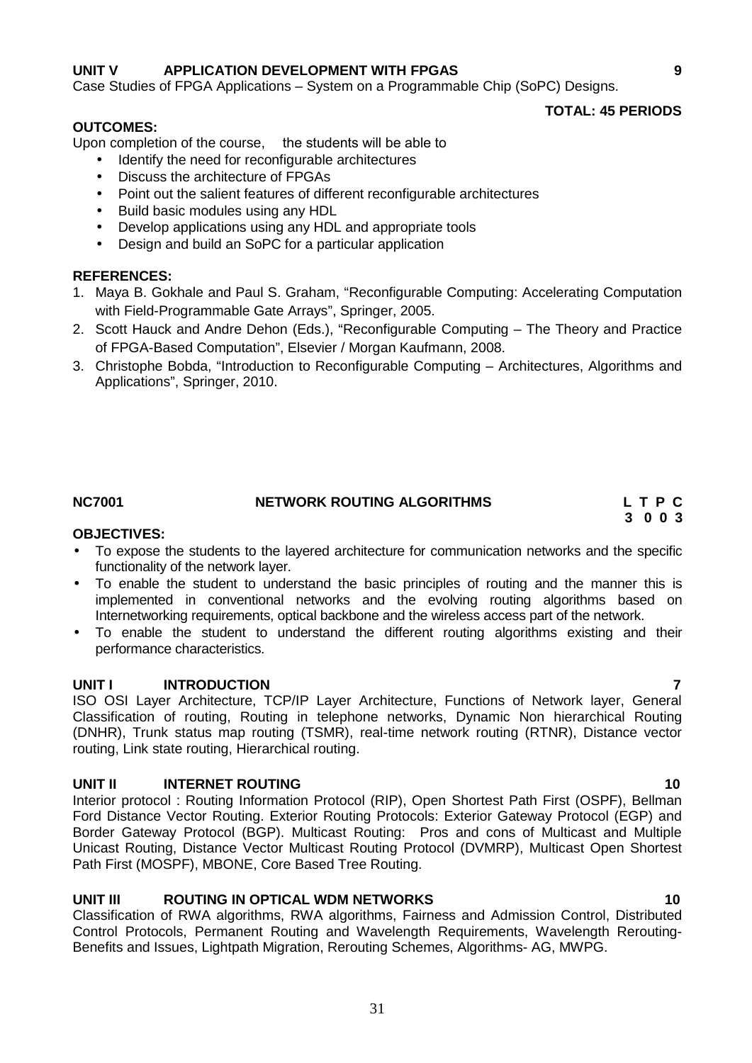#### **UNIT V APPLICATION DEVELOPMENT WITH FPGAS 9**

Case Studies of FPGA Applications – System on a Programmable Chip (SoPC) Designs.

#### **OUTCOMES:**

**TOTAL: 45 PERIODS**

Upon completion of the course, the students will be able to

- Identify the need for reconfigurable architectures
- Discuss the architecture of FPGAs
- Point out the salient features of different reconfigurable architectures
- Build basic modules using any HDL
- Develop applications using any HDL and appropriate tools
- Design and build an SoPC for a particular application

#### **REFERENCES:**

- 1. Maya B. Gokhale and Paul S. Graham, "Reconfigurable Computing: Accelerating Computation with Field-Programmable Gate Arrays", Springer, 2005.
- 2. Scott Hauck and Andre Dehon (Eds.), "Reconfigurable Computing The Theory and Practice of FPGA-Based Computation", Elsevier / Morgan Kaufmann, 2008.
- 3. Christophe Bobda, "Introduction to Reconfigurable Computing Architectures, Algorithms and Applications", Springer, 2010.

# **NC7001 NETWORK ROUTING ALGORITHMS L T P C**

# **3 0 0 3**

#### **OBJECTIVES:**

- To expose the students to the layered architecture for communication networks and the specific functionality of the network layer.
- To enable the student to understand the basic principles of routing and the manner this is implemented in conventional networks and the evolving routing algorithms based on Internetworking requirements, optical backbone and the wireless access part of the network.
- To enable the student to understand the different routing algorithms existing and their performance characteristics.

#### **UNIT I INTRODUCTION 7**

ISO OSI Layer Architecture, TCP/IP Layer Architecture, Functions of Network layer, General Classification of routing, Routing in telephone networks, Dynamic Non hierarchical Routing (DNHR), Trunk status map routing (TSMR), real-time network routing (RTNR), Distance vector routing, Link state routing, Hierarchical routing.

#### **UNIT II INTERNET ROUTING 10**

Interior protocol : Routing Information Protocol (RIP), Open Shortest Path First (OSPF), Bellman Ford Distance Vector Routing. Exterior Routing Protocols: Exterior Gateway Protocol (EGP) and Border Gateway Protocol (BGP). Multicast Routing: Pros and cons of Multicast and Multiple Unicast Routing, Distance Vector Multicast Routing Protocol (DVMRP), Multicast Open Shortest Path First (MOSPF), MBONE, Core Based Tree Routing.

#### **UNIT III ROUTING IN OPTICAL WDM NETWORKS 10**

Classification of RWA algorithms, RWA algorithms, Fairness and Admission Control, Distributed Control Protocols, Permanent Routing and Wavelength Requirements, Wavelength Rerouting- Benefits and Issues, Lightpath Migration, Rerouting Schemes, Algorithms- AG, MWPG.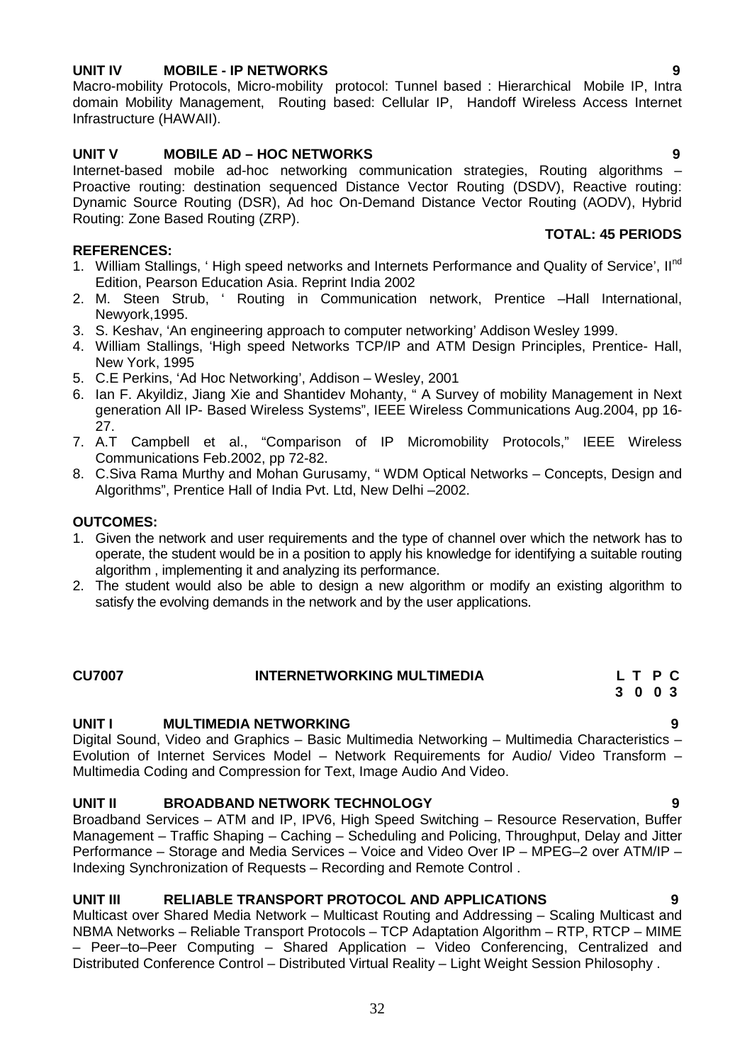#### **UNIT IV MOBILE - IP NETWORKS 9**

Macro-mobility Protocols, Micro-mobility protocol: Tunnel based : Hierarchical Mobile IP, Intra domain Mobility Management, Routing based: Cellular IP, Handoff Wireless Access Internet Infrastructure (HAWAII).

### **UNIT V MOBILE AD – HOC NETWORKS 9**

Internet-based mobile ad-hoc networking communication strategies, Routing algorithms – Proactive routing: destination sequenced Distance Vector Routing (DSDV), Reactive routing: Dynamic Source Routing (DSR), Ad hoc On-Demand Distance Vector Routing (AODV), Hybrid Routing: Zone Based Routing (ZRP).

#### **REFERENCES:**

- 1. William Stallings, 'High speed networks and Internets Performance and Quality of Service', Il<sup>nd</sup> Edition, Pearson Education Asia. Reprint India 2002
- 2. M. Steen Strub, ' Routing in Communication network, Prentice –Hall International, Newyork,1995.
- 3. S. Keshav, 'An engineering approach to computer networking' Addison Wesley 1999.
- 4. William Stallings, 'High speed Networks TCP/IP and ATM Design Principles, Prentice- Hall, New York, 1995
- 5. C.E Perkins, 'Ad Hoc Networking', Addison Wesley, 2001
- 6. Ian F. Akyildiz, Jiang Xie and Shantidev Mohanty, " A Survey of mobility Management in Next generation All IP- Based Wireless Systems", IEEE Wireless Communications Aug.2004, pp 16- 27.
- 7. A.T Campbell et al., "Comparison of IP Micromobility Protocols," IEEE Wireless Communications Feb.2002, pp 72-82.
- 8. C.Siva Rama Murthy and Mohan Gurusamy, " WDM Optical Networks Concepts, Design and Algorithms", Prentice Hall of India Pvt. Ltd, New Delhi –2002.

#### **OUTCOMES:**

- 1. Given the network and user requirements and the type of channel over which the network has to operate, the student would be in a position to apply his knowledge for identifying a suitable routing algorithm , implementing it and analyzing its performance.
- 2. The student would also be able to design a new algorithm or modify an existing algorithm to satisfy the evolving demands in the network and by the user applications.

#### **CU7007 INTERNETWORKING MULTIMEDIA L T P C**

**UNIT I MULTIMEDIA NETWORKING 9**

Digital Sound, Video and Graphics – Basic Multimedia Networking – Multimedia Characteristics – Evolution of Internet Services Model – Network Requirements for Audio/ Video Transform – Multimedia Coding and Compression for Text, Image Audio And Video.

#### **UNIT II BROADBAND NETWORK TECHNOLOGY 9**

Broadband Services – ATM and IP, IPV6, High Speed Switching – Resource Reservation, Buffer Management – Traffic Shaping – Caching – Scheduling and Policing, Throughput, Delay and Jitter Performance – Storage and Media Services – Voice and Video Over IP – MPEG–2 over ATM/IP – Indexing Synchronization of Requests – Recording and Remote Control .

#### **UNIT III RELIABLE TRANSPORT PROTOCOL AND APPLICATIONS 9**

Multicast over Shared Media Network – Multicast Routing and Addressing – Scaling Multicast and NBMA Networks – Reliable Transport Protocols – TCP Adaptation Algorithm – RTP, RTCP – MIME – Peer–to–Peer Computing – Shared Application – Video Conferencing, Centralized and Distributed Conference Control – Distributed Virtual Reality – Light Weight Session Philosophy .

**TOTAL: 45 PERIODS**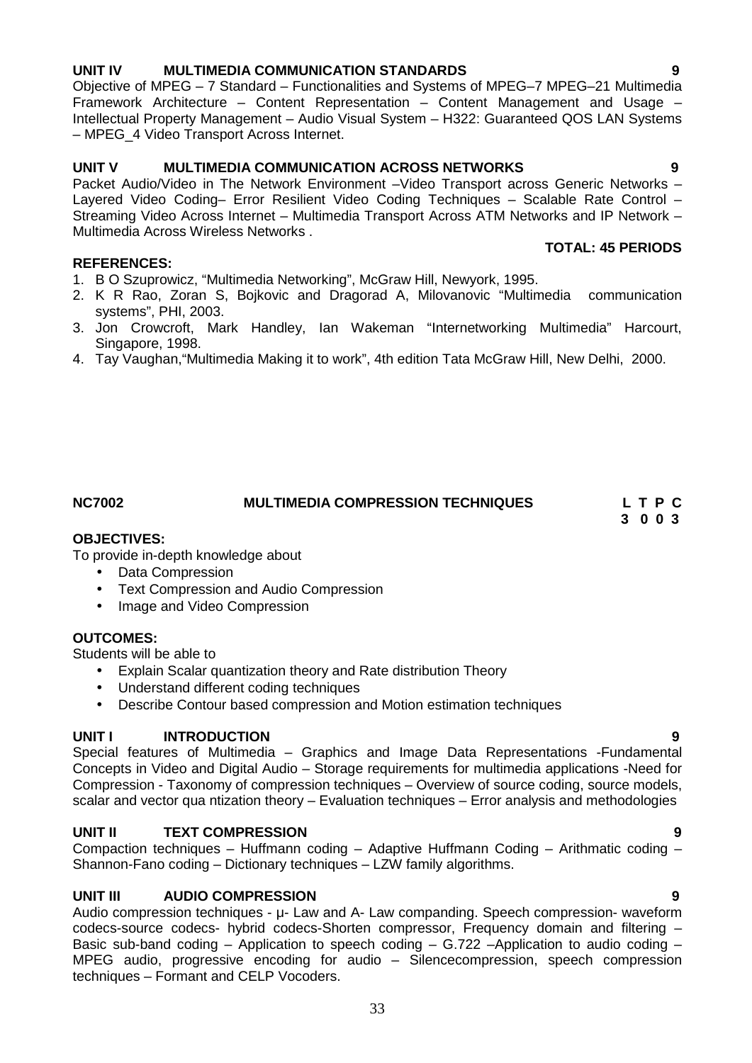# **UNIT IV MULTIMEDIA COMMUNICATION STANDARDS 9**

#### Objective of MPEG – 7 Standard – Functionalities and Systems of MPEG–7 MPEG–21 Multimedia Framework Architecture – Content Representation – Content Management and Usage – Intellectual Property Management – Audio Visual System – H322: Guaranteed QOS LAN Systems – MPEG\_4 Video Transport Across Internet.

### **UNIT V MULTIMEDIA COMMUNICATION ACROSS NETWORKS 9**

Packet Audio/Video in The Network Environment –Video Transport across Generic Networks – Layered Video Coding– Error Resilient Video Coding Techniques – Scalable Rate Control – Streaming Video Across Internet – Multimedia Transport Across ATM Networks and IP Network – Multimedia Across Wireless Networks .

#### **REFERENCES:**

- 1. B O Szuprowicz, "Multimedia Networking", McGraw Hill, Newyork, 1995.
- 2. K R Rao, Zoran S, Bojkovic and Dragorad A, Milovanovic "Multimedia communication systems", PHI, 2003.
- 3. Jon Crowcroft, Mark Handley, Ian Wakeman "Internetworking Multimedia" Harcourt, Singapore, 1998.

**NC7002 MULTIMEDIA COMPRESSION TECHNIQUES L T P C**

4. Tay Vaughan,"Multimedia Making it to work", 4th edition Tata McGraw Hill, New Delhi, 2000.

**OBJECTIVES:** To provide in-depth knowledge about

- Data Compression
- Text Compression and Audio Compression
- Image and Video Compression

#### **OUTCOMES:**

Students will be able to

- Explain Scalar quantization theory and Rate distribution Theory
- Understand different coding techniques
- Describe Contour based compression and Motion estimation techniques

#### **UNIT I INTRODUCTION 9**

Special features of Multimedia – Graphics and Image Data Representations -Fundamental Concepts in Video and Digital Audio – Storage requirements for multimedia applications -Need for Compression - Taxonomy of compression techniques – Overview of source coding, source models, scalar and vector qua ntization theory – Evaluation techniques – Error analysis and methodologies

#### **UNIT II TEXT COMPRESSION 9**

Compaction techniques – Huffmann coding – Adaptive Huffmann Coding – Arithmatic coding – Shannon-Fano coding – Dictionary techniques – LZW family algorithms.

#### **UNIT III AUDIO COMPRESSION 9**

Audio compression techniques - μ- Law and A- Law companding. Speech compression- waveform codecs-source codecs- hybrid codecs-Shorten compressor, Frequency domain and filtering – Basic sub-band coding – Application to speech coding – G.722 –Application to audio coding – MPEG audio, progressive encoding for audio – Silencecompression, speech compression techniques – Formant and CELP Vocoders.

### **TOTAL: 45 PERIODS**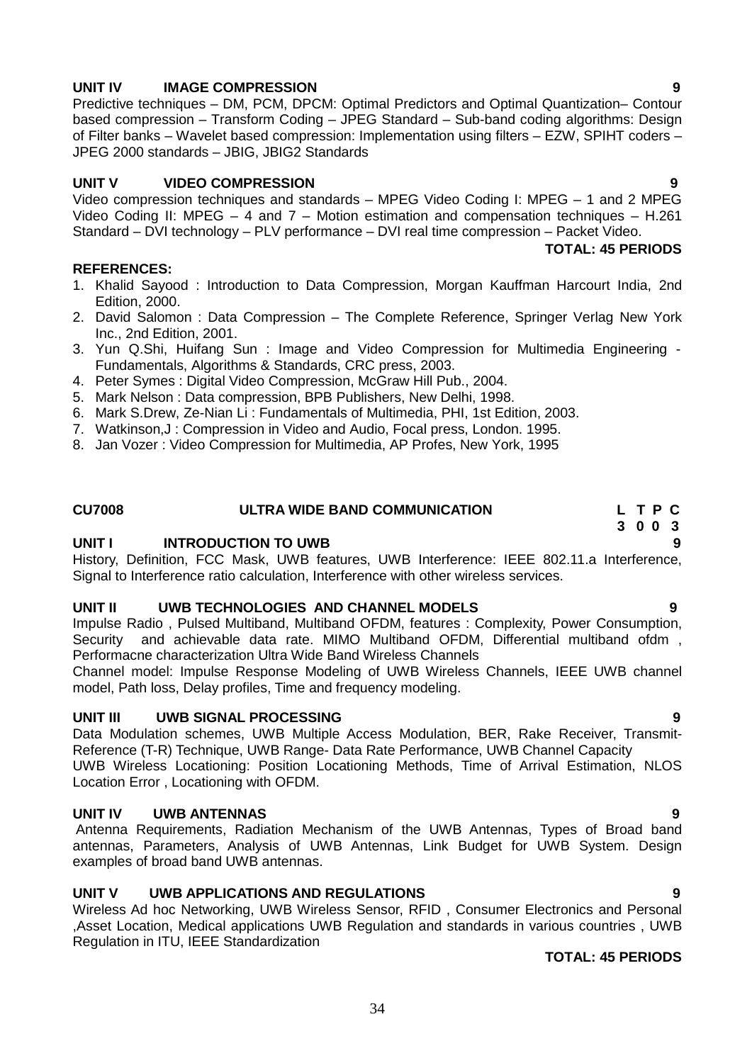# **UNIT IV IMAGE COMPRESSION 9**

Predictive techniques – DM, PCM, DPCM: Optimal Predictors and Optimal Quantization– Contour based compression – Transform Coding – JPEG Standard – Sub-band coding algorithms: Design of Filter banks – Wavelet based compression: Implementation using filters – EZW, SPIHT coders – JPEG 2000 standards – JBIG, JBIG2 Standards

### **UNIT V VIDEO COMPRESSION 9**

Video compression techniques and standards – MPEG Video Coding I: MPEG – 1 and 2 MPEG Video Coding II: MPEG – 4 and 7 – Motion estimation and compensation techniques – H.261 Standard – DVI technology – PLV performance – DVI real time compression – Packet Video.

### **REFERENCES:**

- 1. Khalid Sayood : Introduction to Data Compression, Morgan Kauffman Harcourt India, 2nd Edition, 2000.
- 2. David Salomon : Data Compression The Complete Reference, Springer Verlag New York Inc., 2nd Edition, 2001.
- 3. Yun Q.Shi, Huifang Sun : Image and Video Compression for Multimedia Engineering Fundamentals, Algorithms & Standards, CRC press, 2003.
- 4. Peter Symes : Digital Video Compression, McGraw Hill Pub., 2004.
- 5. Mark Nelson : Data compression, BPB Publishers, New Delhi, 1998.
- 6. Mark S.Drew, Ze-Nian Li : Fundamentals of Multimedia, PHI, 1st Edition, 2003.
- 7. Watkinson,J : Compression in Video and Audio, Focal press, London. 1995.
- 8. Jan Vozer : Video Compression for Multimedia, AP Profes, New York, 1995

#### **CU7008 ULTRA WIDE BAND COMMUNICATION L T P C**

#### **UNIT I INTRODUCTION TO UWB 9**

History, Definition, FCC Mask, UWB features, UWB Interference: IEEE 802.11.a Interference, Signal to Interference ratio calculation, Interference with other wireless services.

#### **UNIT II UWB TECHNOLOGIES AND CHANNEL MODELS 9**

Impulse Radio , Pulsed Multiband, Multiband OFDM, features : Complexity, Power Consumption, Security and achievable data rate. MIMO Multiband OFDM, Differential multiband ofdm , Performacne characterization Ultra Wide Band Wireless Channels

Channel model: Impulse Response Modeling of UWB Wireless Channels, IEEE UWB channel model, Path loss, Delay profiles, Time and frequency modeling.

# **UNIT III UWB SIGNAL PROCESSING 9**

Data Modulation schemes, UWB Multiple Access Modulation, BER, Rake Receiver, Transmit- Reference (T-R) Technique, UWB Range- Data Rate Performance, UWB Channel Capacity

UWB Wireless Locationing: Position Locationing Methods, Time of Arrival Estimation, NLOS Location Error , Locationing with OFDM.

#### **UNIT IV UWB ANTENNAS 9**

Antenna Requirements, Radiation Mechanism of the UWB Antennas, Types of Broad band antennas, Parameters, Analysis of UWB Antennas, Link Budget for UWB System. Design examples of broad band UWB antennas.

# **UNIT V UWB APPLICATIONS AND REGULATIONS 9**

Wireless Ad hoc Networking, UWB Wireless Sensor, RFID , Consumer Electronics and Personal ,Asset Location, Medical applications UWB Regulation and standards in various countries , UWB Regulation in ITU, IEEE Standardization

#### **TOTAL: 45 PERIODS**

**3 0 0 3**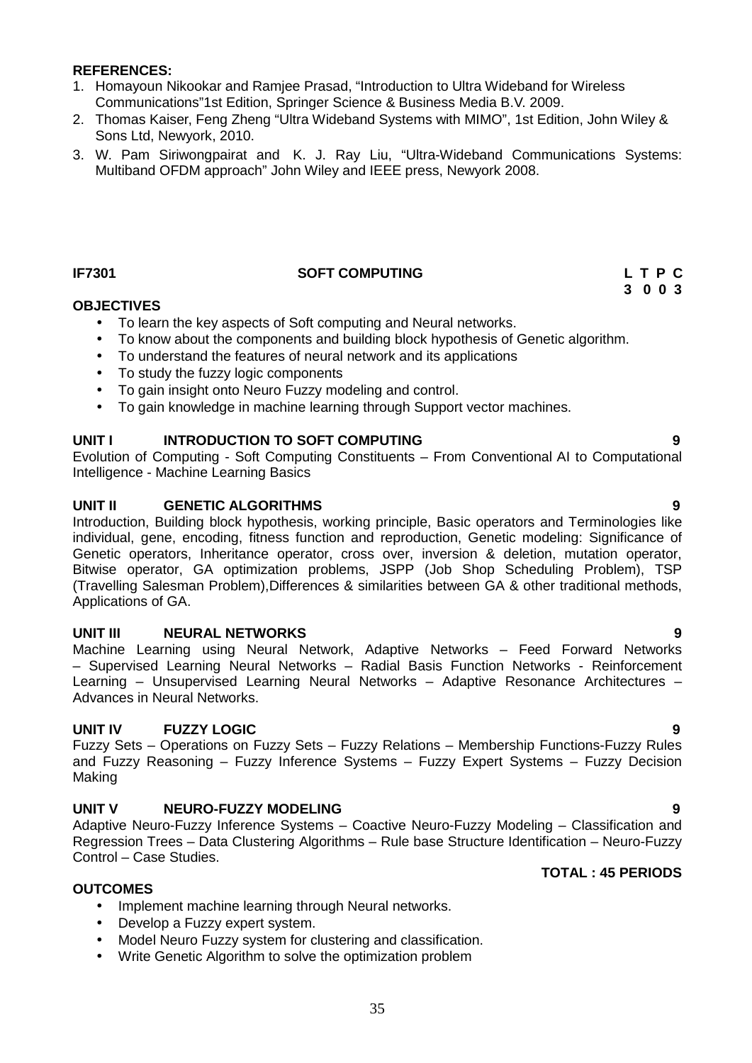- 1. Homayoun Nikookar and Ramjee Prasad, "Introduction to Ultra Wideband for Wireless Communications"1st Edition, Springer Science & Business Media B.V. 2009.
- 2. Thomas Kaiser, Feng Zheng "Ultra Wideband Systems with MIMO", 1st Edition, John Wiley & Sons Ltd, Newyork, 2010.
- 3. W. Pam Siriwongpairat and K. J. Ray Liu, "Ultra-Wideband Communications Systems: Multiband OFDM approach" John Wiley and IEEE press, Newyork 2008.

#### **IF7301 SOFT COMPUTING L T P C**

#### **OBJECTIVES**

- To learn the key aspects of Soft computing and Neural networks.
- To know about the components and building block hypothesis of Genetic algorithm.
- To understand the features of neural network and its applications
- To study the fuzzy logic components
- To gain insight onto Neuro Fuzzy modeling and control.
- To gain knowledge in machine learning through Support vector machines.

#### **UNIT I INTRODUCTION TO SOFT COMPUTING 9**

Evolution of Computing - Soft Computing Constituents – From Conventional AI to Computational Intelligence - Machine Learning Basics

#### **UNIT II GENETIC ALGORITHMS 9**

Introduction, Building block hypothesis, working principle, Basic operators and Terminologies like individual, gene, encoding, fitness function and reproduction, Genetic modeling: Significance of Genetic operators, Inheritance operator, cross over, inversion & deletion, mutation operator, Bitwise operator, GA optimization problems, JSPP (Job Shop Scheduling Problem), TSP (Travelling Salesman Problem),Differences & similarities between GA & other traditional methods, Applications of GA.

#### **UNIT III NEURAL NETWORKS 9**

Machine Learning using Neural Network, Adaptive Networks – Feed Forward Networks – Supervised Learning Neural Networks – Radial Basis Function Networks - Reinforcement Learning – Unsupervised Learning Neural Networks – Adaptive Resonance Architectures – Advances in Neural Networks.

#### **UNIT IV FUZZY LOGIC 9**

Fuzzy Sets – Operations on Fuzzy Sets – Fuzzy Relations – Membership Functions-Fuzzy Rules and Fuzzy Reasoning – Fuzzy Inference Systems – Fuzzy Expert Systems – Fuzzy Decision Making

#### **UNIT V NEURO-FUZZY MODELING 9**

Adaptive Neuro-Fuzzy Inference Systems – Coactive Neuro-Fuzzy Modeling – Classification and Regression Trees – Data Clustering Algorithms – Rule base Structure Identification – Neuro-Fuzzy Control – Case Studies.

#### **TOTAL : 45 PERIODS**

#### **OUTCOMES**

- Implement machine learning through Neural networks.
- Develop a Fuzzy expert system.
- Model Neuro Fuzzy system for clustering and classification.
- Write Genetic Algorithm to solve the optimization problem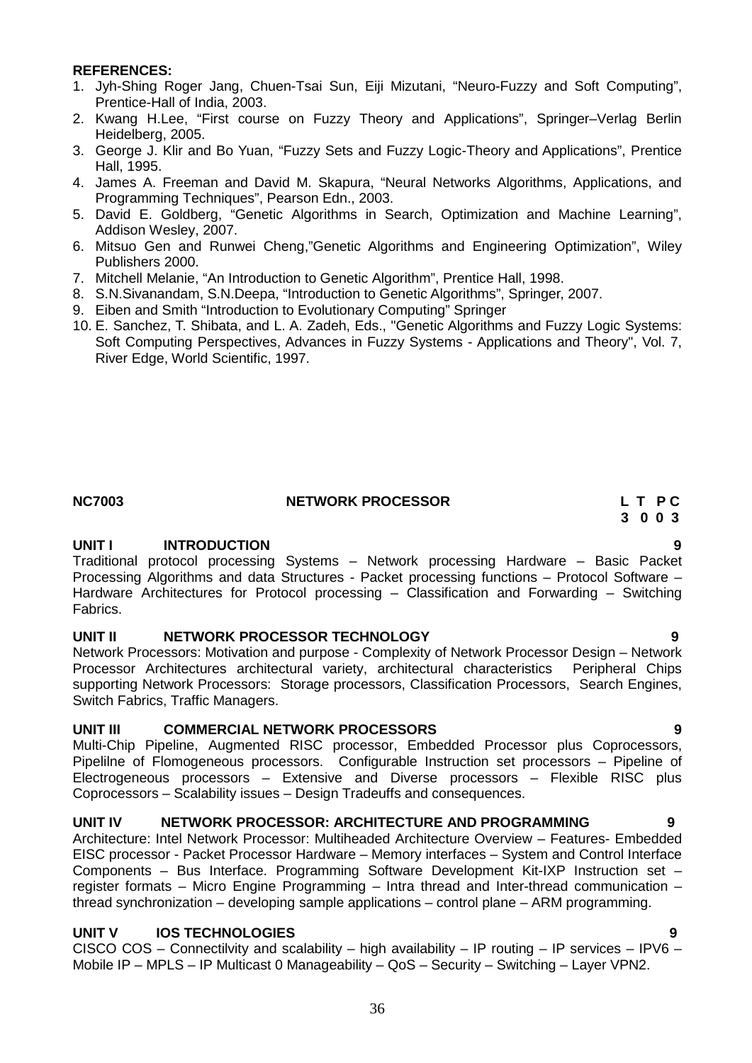- 1. Jyh-Shing Roger Jang, Chuen-Tsai Sun, Eiji Mizutani, "Neuro-Fuzzy and Soft Computing", Prentice-Hall of India, 2003.
- 2. Kwang H.Lee, "First course on Fuzzy Theory and Applications", Springer–Verlag Berlin Heidelberg, 2005.
- 3. George J. Klir and Bo Yuan, "Fuzzy Sets and Fuzzy Logic-Theory and Applications", Prentice Hall, 1995.
- 4. James A. Freeman and David M. Skapura, "Neural Networks Algorithms, Applications, and Programming Techniques", Pearson Edn., 2003.
- 5. David E. Goldberg, "Genetic Algorithms in Search, Optimization and Machine Learning", Addison Wesley, 2007.
- 6. Mitsuo Gen and Runwei Cheng,"Genetic Algorithms and Engineering Optimization", Wiley Publishers 2000.
- 7. Mitchell Melanie, "An Introduction to Genetic Algorithm", Prentice Hall, 1998.
- 8. S.N.Sivanandam, S.N.Deepa, "Introduction to Genetic Algorithms", Springer, 2007.
- 9. Eiben and Smith "Introduction to Evolutionary Computing" Springer
- 10. E. Sanchez, T. Shibata, and L. A. Zadeh, Eds., "Genetic Algorithms and Fuzzy Logic Systems: Soft Computing Perspectives, Advances in Fuzzy Systems - Applications and Theory", Vol. 7, River Edge, World Scientific, 1997.

# **NC7003 NETWORK PROCESSOR L T P C**

#### **UNIT I INTRODUCTION 9**

Traditional protocol processing Systems – Network processing Hardware – Basic Packet Processing Algorithms and data Structures - Packet processing functions – Protocol Software – Hardware Architectures for Protocol processing – Classification and Forwarding – Switching Fabrics.

### **UNIT II NETWORK PROCESSOR TECHNOLOGY 9**

Network Processors: Motivation and purpose - Complexity of Network Processor Design – Network Processor Architectures architectural variety, architectural characteristics Peripheral Chips supporting Network Processors: Storage processors, Classification Processors, Search Engines, Switch Fabrics, Traffic Managers.

#### **UNIT III COMMERCIAL NETWORK PROCESSORS 9**

Multi-Chip Pipeline, Augmented RISC processor, Embedded Processor plus Coprocessors, Pipelilne of Flomogeneous processors. Configurable Instruction set processors – Pipeline of Electrogeneous processors – Extensive and Diverse processors – Flexible RISC plus Coprocessors – Scalability issues – Design Tradeuffs and consequences.

# **UNIT IV NETWORK PROCESSOR: ARCHITECTURE AND PROGRAMMING 9**

Architecture: Intel Network Processor: Multiheaded Architecture Overview – Features- Embedded EISC processor - Packet Processor Hardware – Memory interfaces – System and Control Interface Components – Bus Interface. Programming Software Development Kit-IXP Instruction set – register formats – Micro Engine Programming – Intra thread and Inter-thread communication – thread synchronization – developing sample applications – control plane – ARM programming.

#### **UNIT V IOS TECHNOLOGIES 9**

CISCO COS – Connectilvity and scalability – high availability – IP routing – IP services – IPV6 – Mobile IP – MPLS –IP Multicast 0 Manageability – QoS –Security – Switching – Layer VPN2.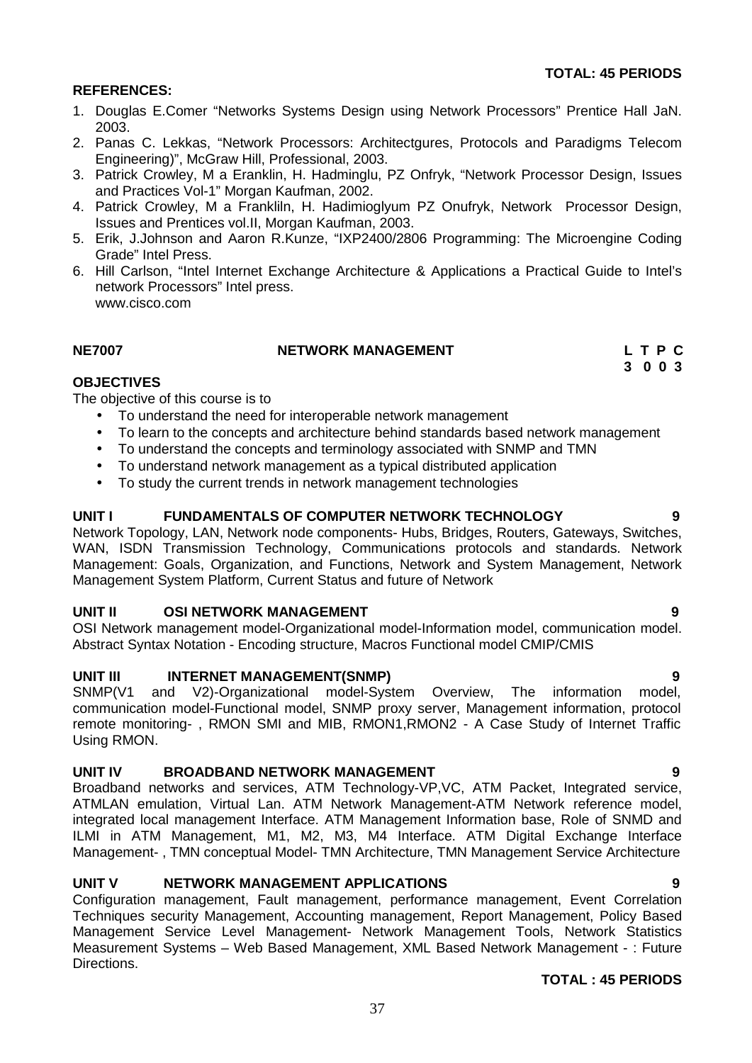- 1. Douglas E.Comer "Networks Systems Design using Network Processors" Prentice Hall JaN. 2003.
- 2. Panas C. Lekkas, "Network Processors: Architectgures, Protocols and Paradigms Telecom Engineering)", McGraw Hill, Professional, 2003.
- 3. Patrick Crowley, M a Eranklin, H. Hadminglu, PZ Onfryk, "Network Processor Design, Issues and Practices Vol-1" Morgan Kaufman, 2002.
- 4. Patrick Crowley, M a Frankliln, H. Hadimioglyum PZ Onufryk, Network Processor Design, Issues and Prentices vol.II, Morgan Kaufman, 2003.
- 5. Erik, J.Johnson and Aaron R.Kunze, "IXP2400/2806 Programming: The Microengine Coding Grade" Intel Press.
- 6. Hill Carlson, "Intel Internet Exchange Architecture & Applications a Practical Guide to Intel's network Processors" Intel press. www.cisco.com

# **NE7007 NETWORK MANAGEMENT L T P C**

**OBJECTIVES**

The objective of this course is to

- To understand the need for interoperable network management
- To learn to the concepts and architecture behind standards based network management
- To understand the concepts and terminology associated with SNMP and TMN
- To understand network management as a typical distributed application
- To study the current trends in network management technologies

#### **UNIT I FUNDAMENTALS OF COMPUTER NETWORK TECHNOLOGY 9**

Network Topology, LAN, Network node components- Hubs, Bridges, Routers, Gateways, Switches, WAN, ISDN Transmission Technology, Communications protocols and standards. Network Management: Goals, Organization, and Functions, Network and System Management, Network Management System Platform, Current Status and future of Network

#### **UNIT II OSI NETWORK MANAGEMENT 9**

OSI Network management model-Organizational model-Information model, communication model. Abstract Syntax Notation - Encoding structure, Macros Functional model CMIP/CMIS

**UNIT III INTERNET MANAGEMENT(SNMP)**<br>SNMP(V1 and V2)-Organizational model-System Overview, The information model, and V2)-Organizational model-System Overview. The information model, communication model-Functional model, SNMP proxy server, Management information, protocol remote monitoring- , RMON SMI and MIB, RMON1,RMON2 - A Case Study of Internet Traffic Using RMON.

### **UNIT IV BROADBAND NETWORK MANAGEMENT 9**

Broadband networks and services, ATM Technology-VP,VC, ATM Packet, Integrated service, ATMLAN emulation, Virtual Lan. ATM Network Management-ATM Network reference model, integrated local management Interface. ATM Management Information base, Role of SNMD and ILMI in ATM Management, M1, M2, M3, M4 Interface. ATM Digital Exchange Interface Management- , TMN conceptual Model- TMN Architecture, TMN Management Service Architecture

#### **UNIT V NETWORK MANAGEMENT APPLICATIONS 9**

Configuration management, Fault management, performance management, Event Correlation Techniques security Management, Accounting management, Report Management, Policy Based Management Service Level Management- Network Management Tools, Network Statistics Measurement Systems – Web Based Management, XML Based Network Management - : Future Directions.

#### **TOTAL: 45 PERIODS**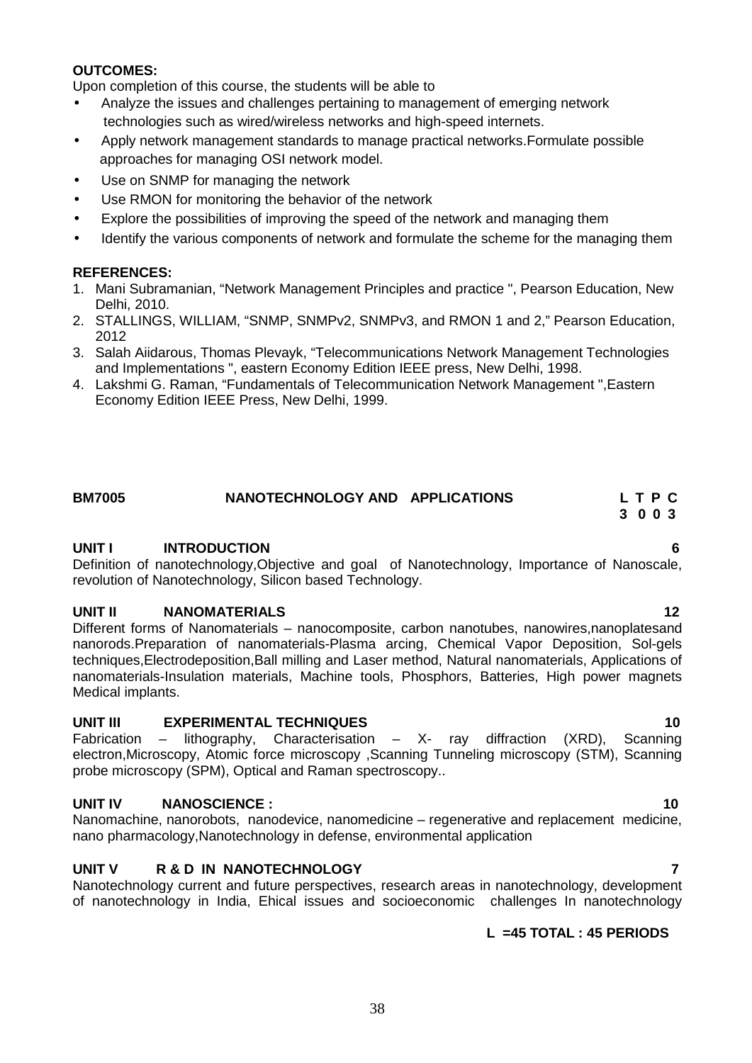#### **OUTCOMES:**

Upon completion of this course, the students will be able to

- Analyze the issues and challenges pertaining to management of emerging network technologies such as wired/wireless networks and high-speed internets.
- Apply network management standards to manage practical networks.Formulate possible approaches for managing OSI network model.
- Use on SNMP for managing the network
- Use RMON for monitoring the behavior of the network
- Explore the possibilities of improving the speed of the network and managing them
- Identify the various components of network and formulate the scheme for the managing them

### **REFERENCES:**

- 1. Mani Subramanian, "Network Management Principles and practice ", Pearson Education, New Delhi, 2010.
- 2. STALLINGS, WILLIAM, "SNMP, SNMPv2, SNMPv3, and RMON 1 and 2," Pearson Education, 2012
- 3. Salah Aiidarous, Thomas Plevayk, "Telecommunications Network Management Technologies and Implementations ", eastern Economy Edition IEEE press, New Delhi, 1998.
- 4. Lakshmi G. Raman, "Fundamentals of Telecommunication Network Management ",Eastern Economy Edition IEEE Press, New Delhi, 1999.

# **BM7005 NANOTECHNOLOGY AND APPLICATIONS L T P C**

# **UNIT I INTRODUCTION 6**

Definition of nanotechnology,Objective and goal of Nanotechnology, Importance of Nanoscale, revolution of Nanotechnology, Silicon based Technology.

# **UNIT II NANOMATERIALS 12**

Different forms of Nanomaterials – nanocomposite, carbon nanotubes, nanowires,nanoplatesand nanorods.Preparation of nanomaterials-Plasma arcing, Chemical Vapor Deposition, Sol-gels techniques,Electrodeposition,Ball milling and Laser method, Natural nanomaterials, Applications of nanomaterials-Insulation materials, Machine tools, Phosphors, Batteries, High power magnets Medical implants.

**UNIT III EXPERIMENTAL TECHNIQUES**<br>
Fabrication – lithography. Characterisation – X- ray diffraction (XRD). Scanning Characterisation –  $X-$  ray electron,Microscopy, Atomic force microscopy ,Scanning Tunneling microscopy (STM), Scanning probe microscopy (SPM), Optical and Raman spectroscopy..

# **UNIT IV NANOSCIENCE : 10**

Nanomachine, nanorobots, nanodevice, nanomedicine – regenerative and replacement medicine, nano pharmacology,Nanotechnology in defense, environmental application

# **UNIT V R & D IN NANOTECHNOLOGY 7**

Nanotechnology current and future perspectives, research areas in nanotechnology, development of nanotechnology in India, Ehical issues and socioeconomic challenges In nanotechnology

# **L =45 TOTAL : 45 PERIODS**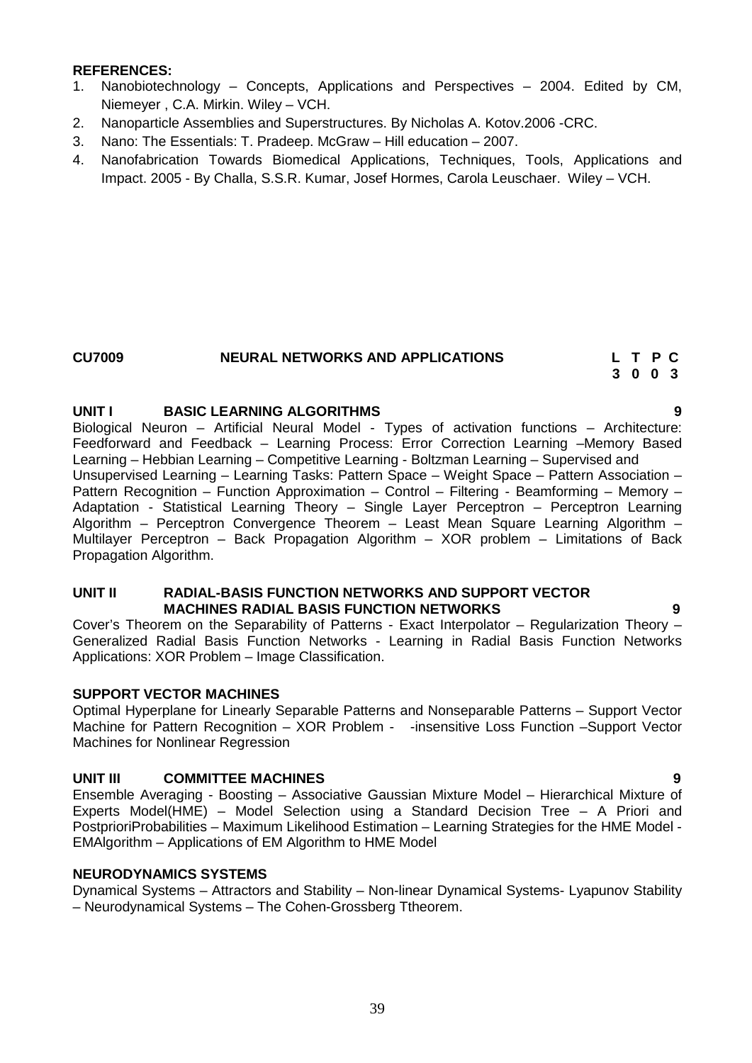- 1. Nanobiotechnology Concepts, Applications and Perspectives 2004. Edited by CM, Niemeyer , C.A. Mirkin. Wiley – VCH.
- 2. Nanoparticle Assemblies and Superstructures. By Nicholas A. Kotov.2006 -CRC.
- 3. Nano: The Essentials: T. Pradeep. McGraw Hill education 2007.
- 4. Nanofabrication Towards Biomedical Applications, Techniques, Tools, Applications and Impact. 2005 - By Challa, S.S.R. Kumar, Josef Hormes, Carola Leuschaer. Wiley – VCH.

#### **CU7009 NEURAL NETWORKS AND APPLICATIONS L T P C**

# **3 0 0 3**

#### **UNIT I BASIC LEARNING ALGORITHMS 9**

Biological Neuron – Artificial Neural Model - Types of activation functions – Architecture: Feedforward and Feedback – Learning Process: Error Correction Learning –Memory Based Learning – Hebbian Learning – Competitive Learning - Boltzman Learning – Supervised and Unsupervised Learning – Learning Tasks: Pattern Space – Weight Space – Pattern Association – Pattern Recognition – Function Approximation – Control – Filtering - Beamforming – Memory – Adaptation - Statistical Learning Theory – Single Layer Perceptron – Perceptron Learning Algorithm – Perceptron Convergence Theorem – Least Mean Square Learning Algorithm – Multilayer Perceptron – Back Propagation Algorithm – XOR problem – Limitations of Back Propagation Algorithm.

#### **UNIT II RADIAL-BASIS FUNCTION NETWORKS AND SUPPORT VECTOR MACHINES RADIAL BASIS FUNCTION NETWORKS 9**

Cover's Theorem on the Separability of Patterns - Exact Interpolator – Regularization Theory – Generalized Radial Basis Function Networks - Learning in Radial Basis Function Networks Applications: XOR Problem – Image Classification.

#### **SUPPORT VECTOR MACHINES**

Optimal Hyperplane for Linearly Separable Patterns and Nonseparable Patterns – Support Vector Machine for Pattern Recognition – XOR Problem - -insensitive Loss Function –Support Vector Machines for Nonlinear Regression

#### **UNIT III COMMITTEE MACHINES 9**

Ensemble Averaging - Boosting – Associative Gaussian Mixture Model – Hierarchical Mixture of Experts Model(HME) – Model Selection using a Standard Decision Tree – A Priori and PostprioriProbabilities – Maximum Likelihood Estimation – Learning Strategies for the HME Model - EMAlgorithm – Applications of EM Algorithm to HME Model

#### **NEURODYNAMICS SYSTEMS**

Dynamical Systems – Attractors and Stability – Non-linear Dynamical Systems- Lyapunov Stability – Neurodynamical Systems – The Cohen-Grossberg Ttheorem.